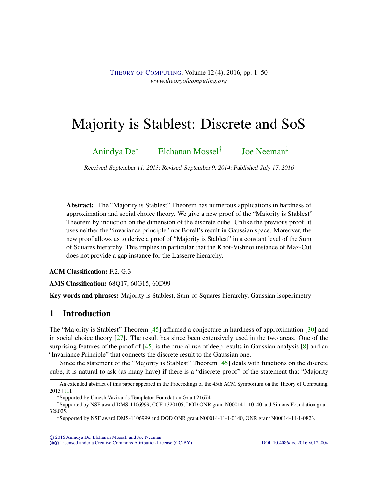# <span id="page-0-1"></span><span id="page-0-0"></span>Majority is Stablest: Discrete and SoS

[Anindya De](#page-49-0)<sup>∗</sup> [Elchanan Mossel](#page-49-1)† [Joe Neeman](#page-49-2)‡

Received September 11, 2013; Revised September 9, 2014; Published July 17, 2016

Abstract: The "Majority is Stablest" Theorem has numerous applications in hardness of approximation and social choice theory. We give a new proof of the "Majority is Stablest" Theorem by induction on the dimension of the discrete cube. Unlike the previous proof, it uses neither the "invariance principle" nor Borell's result in Gaussian space. Moreover, the new proof allows us to derive a proof of "Majority is Stablest" in a constant level of the Sum of Squares hierarchy. This implies in particular that the Khot-Vishnoi instance of Max-Cut does not provide a gap instance for the Lasserre hierarchy.

ACM Classification: F.2, G.3

AMS Classification: 68Q17, 60G15, 60D99

Key words and phrases: Majority is Stablest, Sum-of-Squares hierarchy, Gaussian isoperimetry

### 1 Introduction

The "Majority is Stablest" Theorem [\[45\]](#page-48-0) affirmed a conjecture in hardness of approximation [\[30\]](#page-47-0) and in social choice theory [\[27\]](#page-46-0). The result has since been extensively used in the two areas. One of the surprising features of the proof of  $[45]$  is the crucial use of deep results in Gaussian analysis  $[8]$  and an "Invariance Principle" that connects the discrete result to the Gaussian one.

Since the statement of the "Majority is Stablest" Theorem [\[45\]](#page-48-0) deals with functions on the discrete cube, it is natural to ask (as many have) if there is a "discrete proof" of the statement that "Majority

cb [Licensed under a Creative Commons Attribution License \(CC-BY\)](http://creativecommons.org/licenses/by/3.0/) [DOI: 10.4086/toc.2016.v012a004](http://dx.doi.org/10.4086/toc.2016.v012a004)

An extended abstract of this paper appeared in the Proceedings of the 45th ACM Symposium on the Theory of Computing, 2013 [\[11\]](#page-45-1).

<sup>∗</sup>Supported by Umesh Vazirani's Templeton Foundation Grant 21674.

<sup>†</sup>Supported by NSF award DMS-1106999, CCF-1320105, DOD ONR grant N000141110140 and Simons Foundation grant 328025.

<sup>‡</sup>Supported by NSF award DMS-1106999 and DOD ONR grant N00014-11-1-0140, ONR grant N00014-14-1-0823.

<sup>©</sup> [2016 Anindya De, Elchanan Mossel, and Joe Neeman](http://theoryofcomputing.org/copyright2009.html)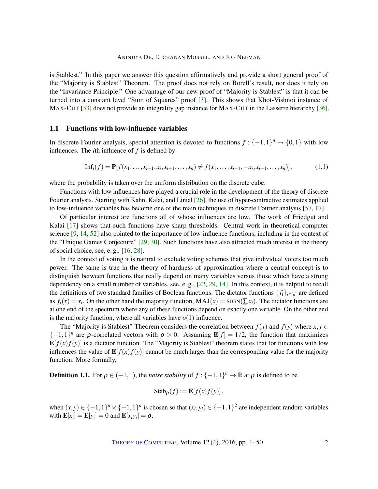<span id="page-1-0"></span>is Stablest." In this paper we answer this question affirmatively and provide a short general proof of the "Majority is Stablest" Theorem. The proof does not rely on Borell's result, nor does it rely on the "Invariance Principle." One advantage of our new proof of "Majority is Stablest" is that it can be turned into a constant level "Sum of Squares" proof [\[3\]](#page-45-2). This shows that Khot-Vishnoi instance of MAX-CUT [\[33\]](#page-47-1) does not provide an integrality gap instance for MAX-CUT in the Lasserre hierarchy [\[36\]](#page-47-2).

#### 1.1 Functions with low-influence variables

In discrete Fourier analysis, special attention is devoted to functions  $f: \{-1,1\}^n \to \{0,1\}$  with low influences. The *i*th influence of *f* is defined by

$$
\mathrm{Inf}_i(f) = \mathbf{P}[f(x_1, \ldots, x_{i-1}, x_i, x_{i+1}, \ldots, x_n) \neq f(x_1, \ldots, x_{i-1}, -x_i, x_{i+1}, \ldots, x_n)],\tag{1.1}
$$

where the probability is taken over the uniform distribution on the discrete cube.

Functions with low influences have played a crucial role in the development of the theory of discrete Fourier analysis. Starting with Kahn, Kalai, and Linial [\[26\]](#page-46-1), the use of hyper-contractive estimates applied to low-influence variables has become one of the main techniques in discrete Fourier analysis [\[57,](#page-48-1) [17\]](#page-46-2).

Of particular interest are functions all of whose influences are low. The work of Friedgut and Kalai [\[17\]](#page-46-2) shows that such functions have sharp thresholds. Central work in theoretical computer science [\[9,](#page-45-3) [14,](#page-45-4) [52\]](#page-48-2) also pointed to the importance of low-influence functions, including in the context of the "Unique Games Conjecture" [\[29,](#page-46-3) [30\]](#page-47-0). Such functions have also attracted much interest in the theory of social choice, see, e. g., [\[16,](#page-46-4) [28\]](#page-46-5).

In the context of voting it is natural to exclude voting schemes that give individual voters too much power. The same is true in the theory of hardness of approximation where a central concept is to distinguish between functions that really depend on many variables versus those which have a strong dependency on a small number of variables, see, e. g., [\[22,](#page-46-6) [29,](#page-46-3) [14\]](#page-45-4). In this context, it is helpful to recall the definitions of two standard families of Boolean functions. The dictator functions  $\{f_i\}_{i \in [n]}$  are defined as  $f_i(x) = x_i$ . On the other hand the majority function,  $MAJ(x) = SIGN(\sum x_i)$ . The dictator functions are at one end of the spectrum where any of these functions depend on exactly one variable. On the other end is the majority function, where all variables have  $o(1)$  influence.

The "Majority is Stablest" Theorem considers the correlation between  $f(x)$  and  $f(y)$  where  $x, y \in$  $\{-1,1\}^n$  are *ρ*-correlated vectors with  $\rho > 0$ . Assuming  $\mathbf{E}[f] = 1/2$ , the function that maximizes  $\mathbf{E}[f(x)f(y)]$  is a dictator function. The "Majority is Stablest" theorem states that for functions with low influences the value of  $\mathbf{E}[f(x)f(y)]$  cannot be much larger than the corresponding value for the majority function. More formally,

**Definition 1.1.** For  $\rho \in (-1,1)$ , the *noise stability* of  $f: \{-1,1\}^n \to \mathbb{R}$  at  $\rho$  is defined to be

$$
Stab_{\rho}(f) := \mathbf{E}[f(x)f(y)],
$$

when  $(x, y) \in \{-1, 1\}^n \times \{-1, 1\}^n$  is chosen so that  $(x_i, y_i) \in \{-1, 1\}^2$  are independent random variables with  $\mathbf{E}[x_i] = \mathbf{E}[y_i] = 0$  and  $\mathbf{E}[x_i y_i] = \rho$ .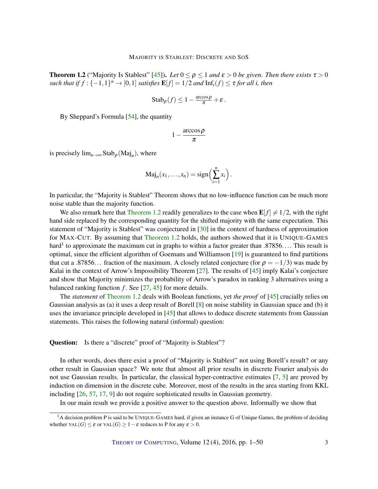<span id="page-2-1"></span><span id="page-2-0"></span>**Theorem 1.2** ("Majority Is Stablest" [\[45\]](#page-48-0)). *Let*  $0 \le \rho \le 1$  *and*  $\varepsilon > 0$  *be given. Then there exists*  $\tau > 0$ *such that if*  $f : \{-1,1\}^n \to [0,1]$  *satisfies*  $\mathbf{E}[f] = 1/2$  *and*  $\text{Inf}_i(f) \leq \tau$  *for all i, then* 

$$
Stab_{\rho}(f) \leq 1 - \frac{\arccos \rho}{\pi} + \varepsilon.
$$

By Sheppard's Formula [\[54\]](#page-48-3), the quantity

$$
1-\frac{\arccos\rho}{\pi}
$$

is precisely  $\lim_{n\to\infty} \text{Stab}_{\rho}(\text{Maj}_n)$ , where

$$
\mathrm{Maj}_n(x_1,\ldots,x_n)=\mathrm{sign}\Big(\sum_{i=1}^n x_i\Big).
$$

In particular, the "Majority is Stablest" Theorem shows that no low-influence function can be much more noise stable than the majority function.

We also remark here that [Theorem](#page-2-0) [1.2](#page-2-0) readily generalizes to the case when  $\mathbf{E}[f] \neq 1/2$ , with the right hand side replaced by the corresponding quantity for the shifted majority with the same expectation. This statement of "Majority is Stablest" was conjectured in [\[30\]](#page-47-0) in the context of hardness of approximation for MAX-CUT. By assuming that [Theorem](#page-2-0) [1.2](#page-2-0) holds, the authors showed that it is UNIQUE-GAMES hard<sup>1</sup> to approximate the maximum cut in graphs to within a factor greater than .87856.... This result is optimal, since the efficient algorithm of Goemans and Williamson [\[19\]](#page-46-7) is guaranteed to find partitions that cut a .87856... fraction of the maximum. A closely related conjecture (for  $\rho = -1/3$ ) was made by Kalai in the context of Arrow's Impossibility Theorem [\[27\]](#page-46-0). The results of [\[45\]](#page-48-0) imply Kalai's conjecture and show that Majority minimizes the probability of Arrow's paradox in ranking 3 alternatives using a balanced ranking function  $f$ . See  $[27, 45]$  $[27, 45]$  $[27, 45]$  for more details.

The *statement* of [Theorem](#page-2-0) [1.2](#page-2-0) deals with Boolean functions, yet *the proof* of [\[45\]](#page-48-0) crucially relies on Gaussian analysis as (a) it uses a deep result of Borell [\[8\]](#page-45-0) on noise stability in Gaussian space and (b) it uses the invariance principle developed in [\[45\]](#page-48-0) that allows to deduce discrete statements from Gaussian statements. This raises the following natural (informal) question:

Question: Is there a "discrete" proof of "Majority is Stablest"?

In other words, does there exist a proof of "Majority is Stablest" not using Borell's result? or any other result in Gaussian space? We note that almost all prior results in discrete Fourier analysis do not use Gaussian results. In particular, the classical hyper-contractive estimates [\[7,](#page-45-5) [5\]](#page-45-6) are proved by induction on dimension in the discrete cube. Moreover, most of the results in the area starting from KKL including [\[26,](#page-46-1) [57,](#page-48-1) [17,](#page-46-2) [9\]](#page-45-3) do not require sophisticated results in Gaussian geometry.

In our main result we provide a positive answer to the question above. Informally we show that

<sup>&</sup>lt;sup>1</sup>A decision problem P is said to be UNIQUE-GAMES hard, if given an instance G of Unique Games, the problem of deciding whether  $\text{VAL}(G) \leq \varepsilon$  or  $\text{VAL}(G) \geq 1 - \varepsilon$  reduces to P for any  $\varepsilon > 0$ .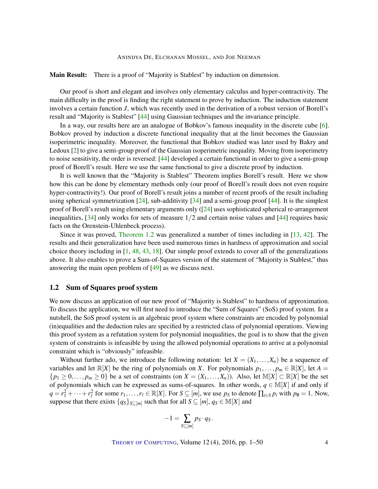<span id="page-3-0"></span>Main Result: There is a proof of "Majority is Stablest" by induction on dimension.

Our proof is short and elegant and involves only elementary calculus and hyper-contractivity. The main difficulty in the proof is finding the right statement to prove by induction. The induction statement involves a certain function *J*, which was recently used in the derivation of a robust version of Borell's result and "Majority is Stablest" [\[44\]](#page-48-4) using Gaussian techniques and the invariance principle.

In a way, our results here are an analogue of Bobkov's famous inequality in the discrete cube [\[6\]](#page-45-7). Bobkov proved by induction a discrete functional inequality that at the limit becomes the Gaussian isoperimetric inequality. Moreover, the functional that Bobkov studied was later used by Bakry and Ledoux [\[2\]](#page-44-0) to give a semi-group proof of the Gaussian isoperimetric inequality. Moving from isoperimetry to noise sensitivity, the order is reversed: [\[44\]](#page-48-4) developed a certain functional in order to give a semi-group proof of Borell's result. Here we use the same functional to give a discrete proof by induction.

It is well known that the "Majority is Stablest" Theorem implies Borell's result. Here we show how this can be done by elementary methods only (our proof of Borell's result does not even require hyper-contractivity!). Our proof of Borell's result joins a number of recent proofs of the result including using spherical symmetrization [\[24\]](#page-46-8), sub-additivity [\[34\]](#page-47-3) and a semi-group proof  $[44]$ . It is the simplest proof of Borell's result using elementary arguments only ([\[24\]](#page-46-8) uses sophisticated spherical re-arrangement inequalities,  $[34]$  only works for sets of measure  $1/2$  and certain noise values and  $[44]$  requires basic facts on the Orenstein-Uhlenbeck process).

Since it was proved, [Theorem](#page-2-0) [1.2](#page-2-0) was generalized a number of times including in [\[13,](#page-45-8) [42\]](#page-47-4). The results and their generalization have been used numerous times in hardness of approximation and social choice theory including in [\[1,](#page-44-1) [48,](#page-48-5) [43,](#page-47-5) [18\]](#page-46-9). Our simple proof extends to cover all of the generalizations above. It also enables to prove a Sum-of-Squares version of the statement of "Majority is Stablest," thus answering the main open problem of [\[49\]](#page-48-6) as we discuss next.

#### 1.2 Sum of Squares proof system

We now discuss an application of our new proof of "Majority is Stablest" to hardness of approximation. To discuss the application, we will first need to introduce the "Sum of Squares" (SoS) proof system. In a nutshell, the SoS proof system is an algebraic proof system where constraints are encoded by polynomial (in)equalities and the deduction rules are specified by a restricted class of polynomial operations. Viewing this proof system as a refutation system for polynomial inequalities, the goal is to show that the given system of constraints is infeasible by using the allowed polynomial operations to arrive at a polynomial constraint which is "obviously" infeasible.

Without further ado, we introduce the following notation: let  $X = (X_1, \ldots, X_n)$  be a sequence of variables and let  $\mathbb{R}[X]$  be the ring of polynomials on *X*. For polynomials  $p_1, \ldots, p_m \in \mathbb{R}[X]$ , let  $A =$  ${p_1 \geq 0, \ldots, p_m \geq 0}$  be a set of constraints (on  $X = (X_1, \ldots, X_n)$ ). Also, let  $\mathbb{M}[X] \subset \mathbb{R}[X]$  be the set of polynomials which can be expressed as sums-of-squares. In other words,  $q \in M[X]$  if and only if  $q = r_1^2 + \cdots + r_\ell^2$  for some  $r_1, \ldots, r_\ell \in \mathbb{R}[X]$ . For  $S \subseteq [m]$ , we use  $p_S$  to denote  $\prod_{i \in S} p_i$  with  $p_\emptyset = 1$ . Now, suppose that there exists  $\{q_S\}_{S \subseteq [m]}$  such that for all  $S \subseteq [m]$ ,  $q_S \in M[X]$  and

$$
-1=\sum_{S\subseteq [m]}p_S\cdot q_S.
$$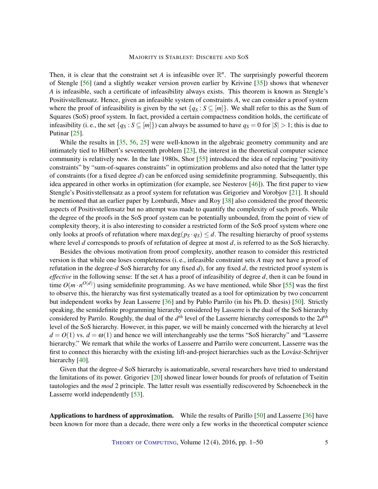<span id="page-4-0"></span>Then, it is clear that the constraint set *A* is infeasible over  $\mathbb{R}^n$ . The surprisingly powerful theorem of Stengle [\[56\]](#page-48-7) (and a slightly weaker version proven earlier by Krivine [\[35\]](#page-47-6)) shows that whenever *A* is infeasible, such a certificate of infeasibility always exists. This theorem is known as Stengle's Positivstellensatz. Hence, given an infeasible system of constraints *A*, we can consider a proof system where the proof of infeasibility is given by the set  $\{q_S : S \subseteq [m]\}\)$ . We shall refer to this as the Sum of Squares (SoS) proof system. In fact, provided a certain compactness condition holds, the certificate of infeasibility (i. e., the set  $\{q_S : S \subseteq [m]\}\)$  can always be assumed to have  $q_S = 0$  for  $|S| > 1$ ; this is due to Putinar [\[25\]](#page-46-10).

While the results in [\[35,](#page-47-6) [56,](#page-48-7) [25\]](#page-46-10) were well-known in the algebraic geometry community and are intimately tied to Hilbert's seventeenth problem [\[23\]](#page-46-11), the interest in the theoretical computer science community is relatively new. In the late 1980s, Shor [\[55\]](#page-48-8) introduced the idea of replacing "positivity constraints" by "sum-of-squares constraints" in optimization problems and also noted that the latter type of constraints (for a fixed degree *d*) can be enforced using semidefinite programming. Subsequently, this idea appeared in other works in optimization (for example, see Nesterov [\[46\]](#page-48-9)). The first paper to view Stengle's Positivstellensatz as a proof system for refutation was Grigoriev and Vorobjov [\[21\]](#page-46-12). It should be mentioned that an earlier paper by Lombardi, Mnev and Roy [\[38\]](#page-47-7) also considered the proof theoretic aspects of Positivstellensatz but no attempt was made to quantify the complexity of such proofs. While the degree of the proofs in the SoS proof system can be potentially unbounded, from the point of view of complexity theory, it is also interesting to consider a restricted form of the SoS proof system where one only looks at proofs of refutation where max deg( $p_S \cdot q_S$ )  $\leq d$ . The resulting hierarchy of proof systems where level *d* corresponds to proofs of refutation of degree at most *d*, is referred to as the SoS hierarchy.

Besides the obvious motivation from proof complexity, another reason to consider this restricted version is that while one loses completeness (i. e., infeasible constraint sets *A* may not have a proof of refutation in the degree-*d* SoS hierarchy for any fixed *d*), for any fixed *d*, the restricted proof system is *effective* in the following sense: If the set *A* has a proof of infeasibility of degree *d*, then it can be found in time  $O(m \cdot n^{O(d)})$  using semidefinite programming. As we have mentioned, while Shor [\[55\]](#page-48-8) was the first to observe this, the hierarchy was first systematically treated as a tool for optimization by two concurrent but independent works by Jean Lasserre [\[36\]](#page-47-2) and by Pablo Parrilo (in his Ph. D. thesis) [\[50\]](#page-48-10). Strictly speaking, the semidefinite programming hierarchy considered by Lasserre is the dual of the SoS hierarchy considered by Parrilo. Roughly, the dual of the *d th* level of the Lasserre hierarchy corresponds to the 2*d th* level of the SoS hierarchy. However, in this paper, we will be mainly concerned with the hierarchy at level  $d = O(1)$  vs.  $d = \omega(1)$  and hence we will interchangeably use the terms "SoS hierarchy" and "Lasserre hierarchy." We remark that while the works of Lasserre and Parrilo were concurrent, Lasserre was the first to connect this hierarchy with the existing lift-and-project hierarchies such as the Lovász-Schrijver hierarchy [\[40\]](#page-47-8).

Given that the degree-*d* SoS hierarchy is automatizable, several researchers have tried to understand the limitations of its power. Grigoriev [\[20\]](#page-46-13) showed linear lower bounds for proofs of refutation of Tseitin tautologies and the *mod* 2 principle. The latter result was essentially rediscovered by Schoenebeck in the Lasserre world independently [\[53\]](#page-48-11).

Applications to hardness of approximation. While the results of Parillo [\[50\]](#page-48-10) and Lasserre [\[36\]](#page-47-2) have been known for more than a decade, there were only a few works in the theoretical computer science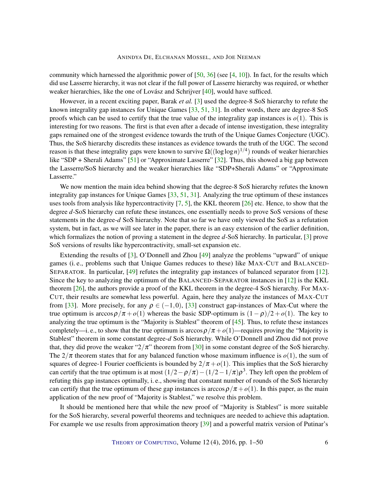<span id="page-5-0"></span>community which harnessed the algorithmic power of  $[50, 36]$  $[50, 36]$  $[50, 36]$  (see  $[4, 10]$  $[4, 10]$  $[4, 10]$ ). In fact, for the results which did use Lasserre hierarchy, it was not clear if the full power of Lasserre hierarchy was required, or whether weaker hierarchies, like the one of Lovász and Schrijver [\[40\]](#page-47-8), would have sufficed.

However, in a recent exciting paper, Barak *et al.* [\[3\]](#page-45-2) used the degree-8 SoS hierarchy to refute the known integrality gap instances for Unique Games [\[33,](#page-47-1) [51,](#page-48-12) [31\]](#page-47-9). In other words, there are degree-8 SoS proofs which can be used to certify that the true value of the integrality gap instances is  $o(1)$ . This is interesting for two reasons. The first is that even after a decade of intense investigation, these integrality gaps remained one of the strongest evidence towards the truth of the Unique Games Conjecture (UGC). Thus, the SoS hierarchy discredits these instances as evidence towards the truth of the UGC. The second reason is that these integrality gaps were known to survive  $\Omega((\log \log n)^{1/4})$  rounds of weaker hierarchies like "SDP + Sherali Adams" [\[51\]](#page-48-12) or "Approximate Lasserre" [\[32\]](#page-47-10). Thus, this showed a big gap between the Lasserre/SoS hierarchy and the weaker hierarchies like "SDP+Sherali Adams" or "Approximate Lasserre."

We now mention the main idea behind showing that the degree-8 SoS hierarchy refutes the known integrality gap instances for Unique Games [\[33,](#page-47-1) [51,](#page-48-12) [31\]](#page-47-9). Analyzing the true optimum of these instances uses tools from analysis like hypercontractivity  $[7, 5]$  $[7, 5]$  $[7, 5]$ , the KKL theorem  $[26]$  etc. Hence, to show that the degree *d*-SoS hierarchy can refute these instances, one essentially needs to prove SoS versions of these statements in the degree-*d* SoS hierarchy. Note that so far we have only viewed the SoS as a refutation system, but in fact, as we will see later in the paper, there is an easy extension of the earlier definition, which formalizes the notion of proving a statement in the degree *d*-SoS hierarchy. In particular, [\[3\]](#page-45-2) prove SoS versions of results like hypercontractivity, small-set expansion etc.

Extending the results of [\[3\]](#page-45-2), O'Donnell and Zhou [\[49\]](#page-48-6) analyze the problems "upward" of unique games (i. e., problems such that Unique Games reduces to these) like MAX-CUT and BALANCED-SEPARATOR. In particular, [\[49\]](#page-48-6) refutes the integrality gap instances of balanced separator from [\[12\]](#page-45-11). Since the key to analyzing the optimum of the BALANCED-SEPARATOR instances in [\[12\]](#page-45-11) is the KKL theorem [\[26\]](#page-46-1), the authors provide a proof of the KKL theorem in the degree-4 SoS hierarchy. For MAX-CUT, their results are somewhat less powerful. Again, here they analyze the instances of MAX-CUT from [\[33\]](#page-47-1). More precisely, for any  $\rho \in (-1,0)$ , [33] construct gap-instances of Max-Cut where the true optimum is arccos $\rho/\pi + o(1)$  whereas the basic SDP-optimum is  $(1 - \rho)/2 + o(1)$ . The key to analyzing the true optimum is the "Majority is Stablest" theorem of [\[45\]](#page-48-0). Thus, to refute these instances completely—i. e., to show that the true optimum is arccos  $\rho/\pi + o(1)$ —requires proving the "Majority is Stablest" theorem in some constant degree-*d* SoS hierarchy. While O'Donnell and Zhou did not prove that, they did prove the weaker " $2/\pi$ " theorem from [\[30\]](#page-47-0) in some constant degree of the SoS hierarchy. The  $2/\pi$  theorem states that for any balanced function whose maximum influence is  $o(1)$ , the sum of squares of degree-1 Fourier coefficients is bounded by  $2/\pi + o(1)$ . This implies that the SoS hierarchy can certify that the true optimum is at most  $(1/2 - \rho/\pi) - (1/2 - 1/\pi)\rho^3$ . They left open the problem of refuting this gap instances optimally, i. e., showing that constant number of rounds of the SoS hierarchy can certify that the true optimum of these gap instances is  $\arccos \rho/\pi + o(1)$ . In this paper, as the main application of the new proof of "Majority is Stablest," we resolve this problem.

It should be mentioned here that while the new proof of "Majority is Stablest" is more suitable for the SoS hierarchy, several powerful theorems and techniques are needed to achieve this adaptation. For example we use results from approximation theory [\[39\]](#page-47-11) and a powerful matrix version of Putinar's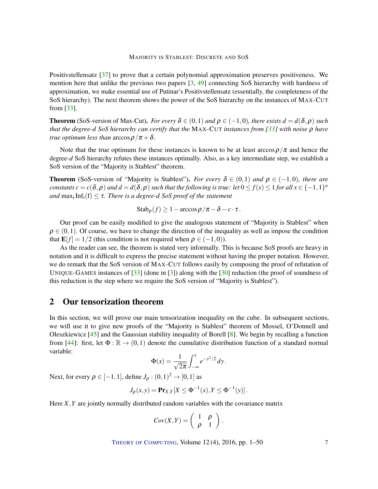<span id="page-6-0"></span>Positivstellensatz [\[37\]](#page-47-12) to prove that a certain polynomial approximation preserves positiveness. We mention here that unlike the previous two papers [\[3,](#page-45-2) [49\]](#page-48-6) connecting SoS hierarchy with hardness of approximation, we make essential use of Putinar's Positivstellensatz (essentially, the completeness of the SoS hierarchy). The next theorem shows the power of the SoS hierarchy on the instances of MAX-CUT from [\[33\]](#page-47-1).

**Theorem** (SoS-version of Max-Cut). *For every*  $\delta \in (0,1)$  *and*  $\rho \in (-1,0)$ *, there exists*  $d = d(\delta, \rho)$  *such that the degree-d SoS hierarchy can certify that the* MAX-CUT *instances from [\[33\]](#page-47-1) with noise* ρ *have true optimum less than*  $\arccos \rho / \pi + \delta$ .

Note that the true optimum for these instances is known to be at least  $\arccos \rho/\pi$  and hence the degree-*d* SoS hierarchy refutes these instances optimally. Also, as a key intermediate step, we establish a SoS version of the "Majority is Stablest" theorem.

**Theorem** (SoS-version of "Majority is Stablest"). *For every*  $\delta \in (0,1)$  *and*  $\rho \in (-1,0)$ *, there are constants*  $c = c(\delta, \rho)$  and  $d = d(\delta, \rho)$  such that the following is true: let  $0 \le f(x) \le 1$  for all  $x \in \{-1,1\}^n$ *and*  $\max_i \text{Inf}_i(f) \leq \tau$ . *There is a degree-d SoS proof of the statement* 

$$
Stab_{\rho}(f) \ge 1 - \arccos \rho/\pi - \delta - c \cdot \tau.
$$

Our proof can be easily modified to give the analogous statement of "Majority is Stablest" when  $\rho \in (0,1)$ . Of course, we have to change the direction of the inequality as well as impose the condition that  $\mathbf{E}[f] = 1/2$  (this condition is not required when  $\rho \in (-1,0)$ ).

As the reader can see, the theorem is stated very informally. This is because SoS proofs are heavy in notation and it is difficult to express the precise statement without having the proper notation. However, we do remark that the SoS version of MAX-CUT follows easily by composing the proof of refutation of UNIQUE-GAMES instances of [\[33\]](#page-47-1) (done in [\[3\]](#page-45-2)) along with the [\[30\]](#page-47-0) reduction (the proof of soundness of this reduction is the step where we require the SoS version of "Majority is Stablest").

### 2 Our tensorization theorem

In this section, we will prove our main tensorization inequality on the cube. In subsequent sections, we will use it to give new proofs of the "Majority is Stablest" theorem of Mossel, O'Donnell and Oleszkiewicz [\[45\]](#page-48-0) and the Gaussian stability inequality of Borell [\[8\]](#page-45-0). We begin by recalling a function from [\[44\]](#page-48-4): first, let  $\Phi : \mathbb{R} \to (0,1)$  denote the cumulative distribution function of a standard normal variable:

$$
\Phi(x) = \frac{1}{\sqrt{2\pi}} \int_{-\infty}^{x} e^{-y^2/2} dy.
$$

Next, for every  $\rho \in [-1,1]$ , define  $J_{\rho} : (0,1)^2 \to [0,1]$  as

$$
J_{\rho}(x,y) = \mathbf{Pr}_{X,Y}[X \leq \Phi^{-1}(x), Y \leq \Phi^{-1}(y)].
$$

Here *X*,*Y* are jointly normally distributed random variables with the covariance matrix

$$
Cov(X,Y) = \left(\begin{array}{cc} 1 & \rho \\ \rho & 1 \end{array}\right).
$$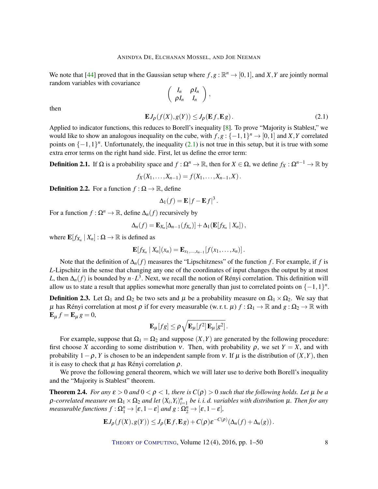<span id="page-7-3"></span>We note that [\[44\]](#page-48-4) proved that in the Gaussian setup where  $f, g : \mathbb{R}^n \to [0, 1]$ , and *X*, *Y* are jointly normal random variables with covariance

$$
\left(\begin{array}{cc}I_n&\rho I_n\\ \rho I_n&I_n\end{array}\right),
$$

then

<span id="page-7-0"></span>
$$
\mathbf{E}J_{\rho}(f(X), g(Y)) \le J_{\rho}(\mathbf{E}f, \mathbf{E}g). \tag{2.1}
$$

Applied to indicator functions, this reduces to Borell's inequality [\[8\]](#page-45-0). To prove "Majority is Stablest," we would like to show an analogous inequality on the cube, with  $f, g: \{-1, 1\}^n \to [0, 1]$  and *X*, *Y* correlated points on  $\{-1,1\}^n$ . Unfortunately, the inequality [\(2.1\)](#page-7-0) is not true in this setup, but it is true with some extra error terms on the right hand side. First, let us define the error term:

<span id="page-7-2"></span>**Definition 2.1.** If  $\Omega$  is a probability space and  $f : \Omega^n \to \mathbb{R}$ , then for  $X \in \Omega$ , we define  $f_X : \Omega^{n-1} \to \mathbb{R}$  by

$$
f_X(X_1,\ldots,X_{n-1})=f(X_1,\ldots,X_{n-1},X).
$$

**Definition 2.2.** For a function  $f : \Omega \to \mathbb{R}$ , define

$$
\Delta_1(f) = \mathbf{E} |f - \mathbf{E} f|^3.
$$

For a function  $f : \Omega^n \to \mathbb{R}$ , define  $\Delta_n(f)$  recursively by

$$
\Delta_n(f) = \mathbf{E}_{X_n}[\Delta_{n-1}(f_{X_n})] + \Delta_1(\mathbf{E}[f_{X_n} | X_n]),
$$

where  $\mathbf{E}[f_{X_n} | X_n] : \Omega \to \mathbb{R}$  is defined as

$$
\mathbf{E}[f_{X_n} | X_n](x_n) = \mathbf{E}_{x_1,...,x_{n-1}}[f(x_1,...,x_n)].
$$

Note that the definition of ∆*n*(*f*) measures the "Lipschitzness" of the function *f* . For example, if *f* is *L*-Lipschitz in the sense that changing any one of the coordinates of input changes the output by at most *L*, then  $\Delta_n(f)$  is bounded by  $n \cdot L^3$ . Next, we recall the notion of Rényi correlation. This definition will allow us to state a result that applies somewhat more generally than just to correlated points on  $\{-1,1\}^n$ .

**Definition 2.3.** Let  $\Omega_1$  and  $\Omega_2$  be two sets and  $\mu$  be a probability measure on  $\Omega_1 \times \Omega_2$ . We say that  $\mu$  has Rényi correlation at most  $\rho$  if for every measurable (w. r. t.  $\mu$ )  $f : \Omega_1 \to \mathbb{R}$  and  $g : \Omega_2 \to \mathbb{R}$  with  $E_{\mu} f = E_{\mu} g = 0,$ 

$$
\mathbf{E}_{\mu}[fg] \leq \rho \sqrt{\mathbf{E}_{\mu}[f^2]\,\mathbf{E}_{\mu}[g^2]}.
$$

For example, suppose that  $\Omega_1 = \Omega_2$  and suppose  $(X, Y)$  are generated by the following procedure: first choose *X* according to some distribution *v*. Then, with probability  $\rho$ , we set  $Y = X$ , and with probability  $1-\rho$ , *Y* is chosen to be an independent sample from v. If  $\mu$  is the distribution of  $(X, Y)$ , then it is easy to check that  $\mu$  has Rényi correlation  $\rho$ .

We prove the following general theorem, which we will later use to derive both Borell's inequality and the "Majority is Stablest" theorem.

<span id="page-7-1"></span>**Theorem 2.4.** *For any*  $\varepsilon > 0$  *and*  $0 < \rho < 1$ *, there is*  $C(\rho) > 0$  *such that the following holds. Let*  $\mu$  *be a*  $\rho$ -correlated measure on  $\Omega_1\times\Omega_2$  and let  $(X_i,Y_i)_{i=1}^n$  be i. i. d. variables with distribution  $\mu$ . Then for any *measurable functions*  $f : \Omega_1^n \to [\varepsilon, 1-\varepsilon]$  *and*  $g : \Omega_2^n \to [\varepsilon, 1-\varepsilon]$ *,* 

$$
\mathbf{E}J_{\rho}(f(X),g(Y)) \leq J_{\rho}(\mathbf{E}f,\mathbf{E}g) + C(\rho)\varepsilon^{-C(\rho)}(\Delta_n(f) + \Delta_n(g)).
$$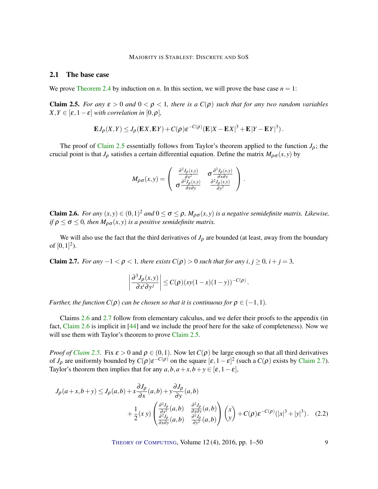#### <span id="page-8-4"></span>2.1 The base case

We prove [Theorem](#page-7-1) [2.4](#page-7-1) by induction on *n*. In this section, we will prove the base case  $n = 1$ :

<span id="page-8-0"></span>**Claim 2.5.** *For any*  $\varepsilon > 0$  *and*  $0 < \rho < 1$ *, there is a*  $C(\rho)$  *such that for any two random variables*  $X, Y \in [\varepsilon, 1-\varepsilon]$  *with correlation in* [0, $\rho$ ]*,* 

$$
\mathbf{E}J_{\rho}(X,Y) \leq J_{\rho}(\mathbf{E}X,\mathbf{E}Y) + C(\rho)\varepsilon^{-C(\rho)}(\mathbf{E}|X-\mathbf{E}X|^3 + \mathbf{E}|Y-\mathbf{E}Y|^3).
$$

The proof of [Claim](#page-8-0) [2.5](#page-8-0) essentially follows from Taylor's theorem applied to the function  $J_\rho$ ; the crucial point is that  $J_\rho$  satisfies a certain differential equation. Define the matrix  $M_{\rho\sigma}(x, y)$  by

$$
M_{\rho\sigma}(x,y) = \begin{pmatrix} \frac{\partial^2 J_{\rho}(x,y)}{\partial x^2} & \sigma \frac{\partial^2 J_{\rho}(x,y)}{\partial x \partial y} \\ \sigma \frac{\partial^2 J_{\rho}(x,y)}{\partial x \partial y} & \frac{\partial^2 J_{\rho}(x,y)}{\partial y^2} \end{pmatrix}.
$$

<span id="page-8-1"></span>**Claim 2.6.** For any  $(x, y) \in (0, 1)^2$  and  $0 \le \sigma \le \rho$ ,  $M_{\rho\sigma}(x, y)$  is a negative semidefinite matrix. Likewise, *if*  $\rho \le \sigma \le 0$ *, then*  $M_{\rho\sigma}(x, y)$  *is a positive semidefinite matrix.* 

We will also use the fact that the third derivatives of  $J_\rho$  are bounded (at least, away from the boundary of  $[0,1]^2$ ).

<span id="page-8-2"></span>**Claim 2.7.** *For any*  $-1 < \rho < 1$ *, there exists*  $C(\rho) > 0$  *such that for any*  $i, j \ge 0$ *,*  $i + j = 3$ *,* 

<span id="page-8-3"></span>
$$
\left|\frac{\partial^3 J_{\rho}(x,y)}{\partial x^i \partial y^j}\right| \leq C(\rho) (xy(1-x)(1-y))^{-C(\rho)}.
$$

*Further, the function*  $C(\rho)$  *can be chosen so that it is continuous for*  $\rho \in (-1,1)$ *.* 

Claims [2.6](#page-8-1) and [2.7](#page-8-2) follow from elementary calculus, and we defer their proofs to the appendix (in fact, [Claim](#page-8-1) [2.6](#page-8-1) is implicit in [\[44\]](#page-48-4) and we include the proof here for the sake of completeness). Now we will use them with Taylor's theorem to prove [Claim](#page-8-0) [2.5.](#page-8-0)

*Proof of [Claim](#page-8-0) [2.5.](#page-8-0)* Fix  $\varepsilon > 0$  and  $\rho \in (0,1)$ . Now let  $C(\rho)$  be large enough so that all third derivatives of  $J_\rho$  are uniformly bounded by  $C(\rho) \varepsilon^{-C(\rho)}$  on the square  $[\varepsilon, 1-\varepsilon]^2$  (such a  $C(\rho)$  exists by [Claim](#page-8-2) [2.7\)](#page-8-2). Taylor's theorem then implies that for any  $a, b, a + x, b + y \in [\varepsilon, 1 - \varepsilon]$ ,

$$
J_{\rho}(a+x,b+y) \le J_{\rho}(a,b) + x \frac{\partial J_{\rho}}{\partial x}(a,b) + y \frac{\partial J_{\rho}}{\partial y}(a,b)
$$
  
+ 
$$
\frac{1}{2}(x \ y) \begin{pmatrix} \frac{\partial^2 J_{\rho}}{\partial x^2}(a,b) & \frac{\partial^2 J_{\rho}}{\partial x \partial y}(a,b) \\ \frac{\partial^2 J_{\rho}}{\partial x \partial y}(a,b) & \frac{\partial^2 J_{\rho}}{\partial y^2}(a,b) \end{pmatrix} \begin{pmatrix} x \\ y \end{pmatrix} + C(\rho) \varepsilon^{-C(\rho)} (|x|^3 + |y|^3). \quad (2.2)
$$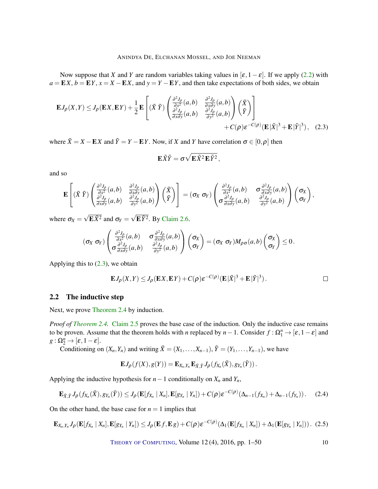Now suppose that *X* and *Y* are random variables taking values in  $[\varepsilon, 1-\varepsilon]$ . If we apply [\(2.2\)](#page-8-3) with  $a = EX$ ,  $b = EY$ ,  $x = X - EX$ , and  $y = Y - EY$ , and then take expectations of both sides, we obtain

$$
\mathbf{E}J_{\rho}(X,Y) \le J_{\rho}(\mathbf{E}X,\mathbf{E}Y) + \frac{1}{2}\mathbf{E}\left[ (\tilde{X}\,\tilde{Y}) \begin{pmatrix} \frac{\partial^2 J_{\rho}}{\partial x^2}(a,b) & \frac{\partial^2 J_{\rho}}{\partial x \partial y}(a,b) \\ \frac{\partial^2 J_{\rho}}{\partial x \partial y}(a,b) & \frac{\partial^2 J_{\rho}}{\partial y^2}(a,b) \end{pmatrix} \begin{pmatrix} \tilde{X} \\ \tilde{Y} \end{pmatrix} \right] + C(\rho)\varepsilon^{-C(\rho)}(\mathbf{E}|\tilde{X}|^3 + \mathbf{E}|\tilde{Y}|^3), \quad (2.3)
$$

where  $\tilde{X} = X - \mathbf{E}X$  and  $\tilde{Y} = Y - \mathbf{E}Y$ . Now, if *X* and *Y* have correlation  $\sigma \in [0, \rho]$  then

<span id="page-9-0"></span>
$$
\mathbf{E}\tilde{X}\tilde{Y}=\sigma\sqrt{\mathbf{E}\tilde{X}^2\mathbf{E}\tilde{Y}^2},
$$

and so

$$
\mathbf{E}\left[ (\tilde{X}\,\tilde{Y}) \begin{pmatrix} \frac{\partial^2 J_{\rho}}{\partial x^2}(a,b) & \frac{\partial^2 J_{\rho}}{\partial x \partial y}(a,b) \\ \frac{\partial^2 J_{\rho}}{\partial x \partial y}(a,b) & \frac{\partial^2 J_{\rho}}{\partial y^2}(a,b) \end{pmatrix} (\tilde{X}) \right] = (\sigma_X \sigma_Y) \begin{pmatrix} \frac{\partial^2 J_{\rho}}{\partial x^2}(a,b) & \sigma \frac{\partial^2 J_{\rho}}{\partial x \partial y}(a,b) \\ \sigma \frac{\partial^2 J_{\rho}}{\partial x \partial y}(a,b) & \frac{\partial^2 J_{\rho}}{\partial y^2}(a,b) \end{pmatrix} (\sigma_X),
$$

where  $\sigma_X =$  $\overline{\mathbf{E}\tilde{X}^2}$  and  $\sigma_Y =$  $\overline{\mathbf{E}\tilde{Y}^2}$ . By [Claim](#page-8-1) [2.6.](#page-8-1)

$$
(\sigma_X \sigma_Y) \begin{pmatrix} \frac{\partial^2 J_{\rho}}{\partial x^2}(a,b) & \sigma \frac{\partial^2 J_{\rho}}{\partial x \partial y}(a,b) \\ \sigma \frac{\partial^2 J_{\rho}}{\partial x \partial y}(a,b) & \frac{\partial^2 J_{\rho}}{\partial y^2}(a,b) \end{pmatrix} \begin{pmatrix} \sigma_X \\ \sigma_Y \end{pmatrix} = (\sigma_X \sigma_Y) M_{\rho \sigma}(a,b) \begin{pmatrix} \sigma_X \\ \sigma_Y \end{pmatrix} \leq 0.
$$

Applying this to  $(2.3)$ , we obtain

$$
\mathbf{E}J_{\rho}(X,Y) \leq J_{\rho}(\mathbf{E}X,\mathbf{E}Y) + C(\rho)\varepsilon^{-C(\rho)}(\mathbf{E}|\tilde{X}|^{3} + \mathbf{E}|\tilde{Y}|^{3}).
$$

#### 2.2 The inductive step

Next, we prove [Theorem](#page-7-1) [2.4](#page-7-1) by induction.

*Proof of [Theorem](#page-7-1) [2.4.](#page-7-1)* [Claim](#page-8-0) [2.5](#page-8-0) proves the base case of the induction. Only the inductive case remains to be proven. Assume that the theorem holds with *n* replaced by  $n-1$ . Consider  $f : \Omega_1^n \to [\varepsilon, 1-\varepsilon]$  and  $g:\Omega_2^n\to[\varepsilon,1-\varepsilon].$ 

Conditioning on  $(X_n, Y_n)$  and writing  $\tilde{X} = (X_1, \ldots, X_{n-1}), \tilde{Y} = (Y_1, \ldots, Y_{n-1}),$  we have

$$
\mathbf{E} J_{\rho}(f(X),g(Y)) = \mathbf{E}_{X_n,Y_n} \mathbf{E}_{\tilde{X},\tilde{Y}} J_{\rho}(f_{X_n}(\tilde{X}),g_{Y_n}(\tilde{Y})).
$$

Applying the inductive hypothesis for  $n-1$  conditionally on  $X_n$  and  $Y_n$ ,

<span id="page-9-1"></span>
$$
\mathbf{E}_{\tilde{X},\tilde{Y}}J_{\rho}(f_{X_n}(\tilde{X}),g_{Y_n}(\tilde{Y}))\leq J_{\rho}(\mathbf{E}[f_{X_n}\mid X_n],\mathbf{E}[g_{Y_n}\mid Y_n])+C(\rho)\varepsilon^{-C(\rho)}(\Delta_{n-1}(f_{X_n})+\Delta_{n-1}(f_{Y_n})).\tag{2.4}
$$

On the other hand, the base case for  $n = 1$  implies that

<span id="page-9-2"></span>
$$
\mathbf{E}_{X_n,Y_n}J_{\rho}(\mathbf{E}[f_{X_n} | X_n],\mathbf{E}[g_{Y_n} | Y_n]) \leq J_{\rho}(\mathbf{E}f,\mathbf{E}g) + C(\rho)\varepsilon^{-C(\rho)}(\Delta_1(\mathbf{E}[f_{X_n} | X_n]) + \Delta_1(\mathbf{E}[g_{Y_n} | Y_n]))
$$
 (2.5)

THEORY OF C[OMPUTING](http://dx.doi.org/10.4086/toc), Volume 12(4), 2016, pp. 1–50 10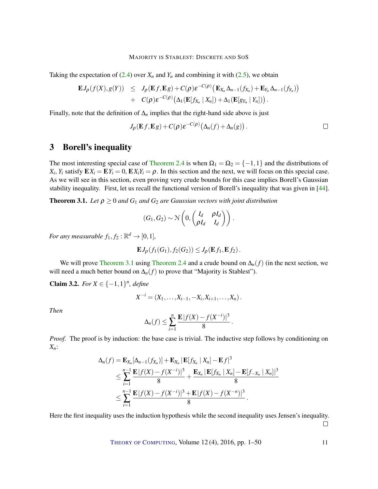<span id="page-10-2"></span>Taking the expectation of  $(2.4)$  over  $X_n$  and  $Y_n$  and combining it with  $(2.5)$ , we obtain

$$
\mathbf{E}J_{\rho}(f(X),g(Y)) \leq J_{\rho}(\mathbf{E}f,\mathbf{E}g) + C(\rho)\varepsilon^{-C(\rho)}\big(\mathbf{E}_{X_n}\Delta_{n-1}(f_{X_n}) + \mathbf{E}_{Y_n}\Delta_{n-1}(f_{Y_n})\big) \n+ C(\rho)\varepsilon^{-C(\rho)}\big(\Delta_1(\mathbf{E}[f_{X_n} | X_n]) + \Delta_1(\mathbf{E}[g_{Y_n} | Y_n])\big).
$$

Finally, note that the definition of  $\Delta_n$  implies that the right-hand side above is just

$$
J_{\rho}(\mathbf{E} f, \mathbf{E} g) + C(\rho) \varepsilon^{-C(\rho)} (\Delta_n(f) + \Delta_n(g)). \square
$$

### 3 Borell's inequality

The most interesting special case of [Theorem](#page-7-1) [2.4](#page-7-1) is when  $\Omega_1 = \Omega_2 = \{-1,1\}$  and the distributions of  $X_i$ ,  $Y_i$  satisfy  $\mathbf{E} X_i = \mathbf{E} Y_i = 0$ ,  $\mathbf{E} X_i Y_i = \rho$ . In this section and the next, we will focus on this special case. As we will see in this section, even proving very crude bounds for this case implies Borell's Gaussian stability inequality. First, let us recall the functional version of Borell's inequality that was given in [\[44\]](#page-48-4).

<span id="page-10-0"></span>**Theorem 3.1.** Let  $\rho \geq 0$  and  $G_1$  and  $G_2$  are Gaussian vectors with joint distribution

$$
(G_1, G_2) \sim \mathcal{N}\left(0, \begin{pmatrix} I_d & \rho I_d \\ \rho I_d & I_d \end{pmatrix}\right).
$$

*For any measurable*  $f_1, f_2 : \mathbb{R}^d \to [0,1]$ *,* 

$$
\mathbf{E}J_{\rho}(f_1(G_1), f_2(G_2)) \leq J_{\rho}(\mathbf{E}f_1, \mathbf{E}f_2).
$$

We will prove [Theorem](#page-7-1) [3.1](#page-10-0) using Theorem [2.4](#page-7-1) and a crude bound on  $\Delta_n(f)$  (in the next section, we will need a much better bound on  $\Delta_n(f)$  to prove that "Majority is Stablest").

<span id="page-10-1"></span>**Claim 3.2.** *For*  $X \in \{-1, 1\}^n$ *, define* 

$$
X^{-i} = (X_1, \ldots, X_{i-1}, -X_i, X_{i+1}, \ldots, X_n).
$$

*Then*

$$
\Delta_n(f) \leq \sum_{i=1}^n \frac{\mathbf{E} |f(X) - f(X^{-i})|^3}{8}.
$$

*Proof.* The proof is by induction: the base case is trivial. The inductive step follows by conditioning on *Xn*:

$$
\Delta_n(f) = \mathbf{E}_{X_n}[\Delta_{n-1}(f_{X_n})] + \mathbf{E}_{X_n} |\mathbf{E}[f_{X_n} | X_n] - \mathbf{E} f|^3
$$
  
\n
$$
\leq \sum_{i=1}^{n-1} \frac{\mathbf{E} |f(X) - f(X^{-i})|^3}{8} + \frac{\mathbf{E}_{X_n} |\mathbf{E}[f_{X_n} | X_n] - \mathbf{E}[f_{-X_n} | X_n]]^3}{8}
$$
  
\n
$$
\leq \sum_{i=1}^{n-1} \frac{\mathbf{E} |f(X) - f(X^{-i})|^3 + \mathbf{E} |f(X) - f(X^{-n})|^3}{8}.
$$

Here the first inequality uses the induction hypothesis while the second inequality uses Jensen's inequality.  $\Box$ 

THEORY OF C[OMPUTING](http://dx.doi.org/10.4086/toc), Volume 12(4), 2016, pp. 1–50 11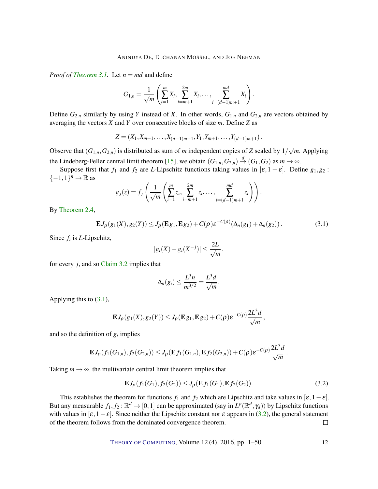<span id="page-11-2"></span>*Proof of [Theorem](#page-10-0) [3.1.](#page-10-0)* Let  $n = md$  and define

$$
G_{1,n} = \frac{1}{\sqrt{m}} \left( \sum_{i=1}^{m} X_i, \sum_{i=m+1}^{2m} X_i, \dots, \sum_{i=(d-1)m+1}^{md} X_i \right).
$$

Define  $G_{2,n}$  similarly by using *Y* instead of *X*. In other words,  $G_{1,n}$  and  $G_{2,n}$  are vectors obtained by averaging the vectors *X* and *Y* over consecutive blocks of size *m*. Define *Z* as

$$
Z=(X_1,X_{m+1},\ldots,X_{(d-1)m+1},Y_1,Y_{m+1},\ldots,Y_{(d-1)m+1}).
$$

Observe that  $(G_{1,n}, G_{2,n})$  is distributed as sum of *m* independent copies of *Z* scaled by  $1/\sqrt{2}$ *m*. Applying the Lindeberg-Feller central limit theorem [\[15\]](#page-46-14), we obtain  $(G_{1,n}, G_{2,n}) \stackrel{d}{\to} (G_1, G_2)$  as  $m \to \infty$ .

Suppose first that  $f_1$  and  $f_2$  are *L*-Lipschitz functions taking values in  $[\varepsilon, 1 - \varepsilon]$ . Define  $g_1, g_2$ :  $\{-1,1\}^n \to \mathbb{R}$  as

$$
g_j(z) = f_j\left(\frac{1}{\sqrt{m}}\left(\sum_{i=1}^m z_i, \sum_{i=m+1}^{2m} z_i, \dots, \sum_{i=(d-1)m+1}^{md} z_i\right)\right).
$$

By [Theorem](#page-7-1) [2.4,](#page-7-1)

<span id="page-11-0"></span>
$$
\mathbf{E}J_{\rho}(g_1(X), g_2(Y)) \le J_{\rho}(\mathbf{E}g_1, \mathbf{E}g_2) + C(\rho)\varepsilon^{-C(\rho)}(\Delta_n(g_1) + \Delta_n(g_2)). \tag{3.1}
$$

.

Since *f<sup>i</sup>* is *L*-Lipschitz,

$$
|g_i(X)-g_i(X^{-j})| \leq \frac{2L}{\sqrt{m}},
$$

for every *j*, and so [Claim](#page-10-1) [3.2](#page-10-1) implies that

$$
\Delta_n(g_i) \leq \frac{L^3 n}{m^{3/2}} = \frac{L^3 d}{\sqrt{m}}
$$

Applying this to [\(3.1\)](#page-11-0),

$$
\mathbf{E} J_{\boldsymbol{\rho}}(g_1(X),g_2(Y)) \leq J_{\boldsymbol{\rho}}(\mathbf{E} g_1,\mathbf{E} g_2) + C(\boldsymbol{\rho})\varepsilon^{-C(\boldsymbol{\rho})}\frac{2L^3d}{\sqrt{m}}\,,
$$

and so the definition of  $g_i$  implies

$$
\mathbf{E} J_{\rho}(f_1(G_{1,n}), f_2(G_{2,n})) \leq J_{\rho}(\mathbf{E} f_1(G_{1,n}), \mathbf{E} f_2(G_{2,n})) + C(\rho) \varepsilon^{-C(\rho)} \frac{2L^3 d}{\sqrt{m}}.
$$

Taking  $m \to \infty$ , the multivariate central limit theorem implies that

<span id="page-11-1"></span>
$$
\mathbf{E}J_{\rho}(f_1(G_1), f_2(G_2)) \le J_{\rho}(\mathbf{E}f_1(G_1), \mathbf{E}f_2(G_2)).
$$
\n(3.2)

This establishes the theorem for functions  $f_1$  and  $f_2$  which are Lipschitz and take values in  $[\varepsilon, 1-\varepsilon]$ . But any measurable  $f_1, f_2 : \mathbb{R}^d \to [0, 1]$  can be approximated (say in  $L^p(\mathbb{R}^d, \gamma_d)$ ) by Lipschitz functions with values in  $[\varepsilon, 1-\varepsilon]$ . Since neither the Lipschitz constant nor  $\varepsilon$  appears in [\(3.2\)](#page-11-1), the general statement of the theorem follows from the dominated convergence theorem.  $\Box$ 

THEORY OF C[OMPUTING](http://dx.doi.org/10.4086/toc), Volume 12 (4), 2016, pp. 1–50 12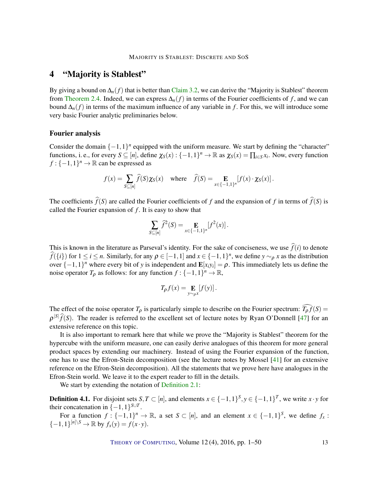## <span id="page-12-0"></span>4 "Majority is Stablest"

By giving a bound on  $\Delta_n(f)$  that is better than [Claim](#page-10-1) [3.2,](#page-10-1) we can derive the "Majority is Stablest" theorem from [Theorem](#page-7-1) [2.4.](#page-7-1) Indeed, we can express  $\Delta_n(f)$  in terms of the Fourier coefficients of f, and we can bound  $\Delta_n(f)$  in terms of the maximum influence of any variable in *f*. For this, we will introduce some very basic Fourier analytic preliminaries below.

#### Fourier analysis

Consider the domain  $\{-1,1\}$ <sup>*n*</sup> equipped with the uniform measure. We start by defining the "character" functions, i. e., for every  $S \subseteq [n]$ , define  $\chi_S(x) : \{-1,1\}^n \to \mathbb{R}$  as  $\chi_S(x) = \prod_{i \in S} x_i$ . Now, every function  $f: \{-1, 1\}^n \to \mathbb{R}$  can be expressed as

$$
f(x) = \sum_{S \subseteq [n]} \widehat{f}(S) \chi_S(x) \quad \text{where} \quad \widehat{f}(S) = \mathop{\mathbf{E}}_{x \in \{-1,1\}^n} [f(x) \cdot \chi_S(x)].
$$

The coefficients  $\hat{f}(S)$  are called the Fourier coefficients of *f* and the expansion of *f* in terms of  $\hat{f}(S)$  is called the Fourier expansion of  $f$ . It is easy to show that

$$
\sum_{S \subseteq [n]} \widehat{f}^2(S) = \mathop{\mathbf{E}}_{x \in \{-1,1\}^n} [f^2(x)].
$$

This is known in the literature as Parseval's identity. For the sake of conciseness, we use  $\hat{f}(i)$  to denote  $\hat{f}(\{i\})$  for  $1 \le i \le n$ . Similarly, for any  $\rho \in [-1,1]$  and  $x \in \{-1,1\}^n$ , we define  $y \sim_\rho x$  as the distribution over  $\{-1,1\}^n$  where every bit of *y* is independent and  $\mathbf{E}[x_i y_i] = \rho$ . This immediately lets us define the noise operator  $T_{\rho}$  as follows: for any function  $f: \{-1,1\}^n \to \mathbb{R}$ ,

$$
T_{\rho}f(x) = \mathop{\mathbf{E}}_{y \sim_{\rho} x} [f(y)].
$$

The effect of the noise operator  $T_\rho$  is particularly simple to describe on the Fourier spectrum:  $\widehat{T_\rho f}(S)$  =  $\rho^{|S|}\hat{f}(S)$ . The reader is referred to the excellent set of lecture notes by Ryan O'Donnell [\[47\]](#page-48-13) for an extensive reference on this topic.

It is also important to remark here that while we prove the "Majority is Stablest" theorem for the hypercube with the uniform measure, one can easily derive analogues of this theorem for more general product spaces by extending our machinery. Instead of using the Fourier expansion of the function, one has to use the Efron-Stein decomposition (see the lecture notes by Mossel [\[41\]](#page-47-13) for an extensive reference on the Efron-Stein decomposition). All the statements that we prove here have analogues in the Efron-Stein world. We leave it to the expert reader to fill in the details.

We start by extending the notation of [Definition](#page-7-2) [2.1:](#page-7-2)

**Definition 4.1.** For disjoint sets  $S, T \subset [n]$ , and elements  $x \in \{-1, 1\}^S$ ,  $y \in \{-1, 1\}^T$ , we write  $x \cdot y$  for their concatenation in  $\{-1,1\}^{S\cup T}$ .

For a function  $f: \{-1,1\}^n \to \mathbb{R}$ , a set  $S \subset [n]$ , and an element  $x \in \{-1,1\}^S$ , we define  $f_x$ :  $\{-1, 1\}^{[n] \setminus S} \to \mathbb{R}$  by  $f_x(y) = f(x \cdot y)$ .

THEORY OF C[OMPUTING](http://dx.doi.org/10.4086/toc), Volume  $12(4)$ ,  $2016$ , pp.  $1-50$  13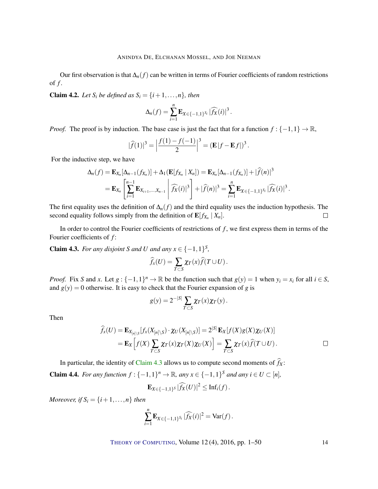Our first observation is that ∆*n*(*f*) can be written in terms of Fourier coefficients of random restrictions of *f* .

<span id="page-13-1"></span>**Claim 4.2.** Let  $S_i$  be defined as  $S_i = \{i+1,\ldots,n\}$ , then

$$
\Delta_n(f) = \sum_{i=1}^n \mathbf{E}_{X \in \{-1,1\}^{S_i}} |\widehat{f_X}(i)|^3.
$$

*Proof.* The proof is by induction. The base case is just the fact that for a function  $f : \{-1,1\} \to \mathbb{R}$ ,

$$
|\widehat{f}(1)|^3 = \left|\frac{f(1) - f(-1)}{2}\right|^3 = (\mathbf{E}|f - \mathbf{E}f|)^3.
$$

For the inductive step, we have

$$
\Delta_n(f) = \mathbf{E}_{X_n}[\Delta_{n-1}(f_{X_n})] + \Delta_1(\mathbf{E}[f_{X_n} | X_n]) = \mathbf{E}_{X_n}[\Delta_{n-1}(f_{X_n})] + |\widehat{f}(n)|^3
$$
  
=  $\mathbf{E}_{X_n} \left[ \sum_{i=1}^{n-1} \mathbf{E}_{X_{i+1},...,X_{n-1}} \middle| \widehat{f}_X(i)|^3 \right] + |\widehat{f}(n)|^3 = \sum_{i=1}^n \mathbf{E}_{X \in \{-1,1\}^{S_i}} |\widehat{f}_X(i)|^3.$ 

The first equality uses the definition of ∆*n*(*f*) and the third equality uses the induction hypothesis. The second equality follows simply from the definition of  $\mathbf{E}[f_{X_n} | X_n].$  $\Box$ 

In order to control the Fourier coefficients of restrictions of  $f$ , we first express them in terms of the Fourier coefficients of *f* :

<span id="page-13-0"></span>**Claim 4.3.** *For any disjoint S and U and any*  $x \in \{-1,1\}^S$ ,

$$
\widehat{f}_x(U) = \sum_{T \subset S} \chi_T(x) \widehat{f}(T \cup U).
$$

*Proof.* Fix *S* and *x*. Let  $g: \{-1,1\}^n \to \mathbb{R}$  be the function such that  $g(y) = 1$  when  $y_i = x_i$  for all  $i \in S$ , and  $g(y) = 0$  otherwise. It is easy to check that the Fourier expansion of *g* is

$$
g(y) = 2^{-|S|} \sum_{T \subset S} \chi_T(x) \chi_T(y).
$$

Then

$$
\widehat{f}_x(U) = \mathbf{E}_{X_{[n]\setminus S}}[f_x(X_{[n]\setminus S}) \cdot \chi_U(X_{[n]\setminus S})] = 2^{|S|} \mathbf{E}_X[f(X)g(X)\chi_U(X)]
$$
  
= 
$$
\mathbf{E}_X\Big[f(X)\sum_{T \subset S} \chi_T(x)\chi_T(X)\chi_U(X)\Big] = \sum_{T \subset S} \chi_T(x)\widehat{f}(T \cup U).
$$

In particular, the identity of [Claim](#page-13-0) [4.3](#page-13-0) allows us to compute second moments of  $\hat{f}_X$ :

<span id="page-13-2"></span>**Claim 4.4.** *For any function*  $f: \{-1, 1\}^n \to \mathbb{R}$ *, any*  $x \in \{-1, 1\}^S$  *and any*  $i \in U \subset [n]$ *,* 

$$
\mathbf{E}_{X\in\{-1,1\}^S}|\widehat{f_X}(U)|^2\leq \text{Inf}_i(f).
$$

*Moreover, if*  $S_i = \{i+1, \ldots, n\}$  *then* 

$$
\sum_{i=1}^n \mathbf{E}_{X \in \{-1,1\}^{S_i}} |\widehat{f_X}(i)|^2 = \text{Var}(f).
$$

THEORY OF C[OMPUTING](http://dx.doi.org/10.4086/toc), Volume 12(4), 2016, pp. 1–50 14

 $\Box$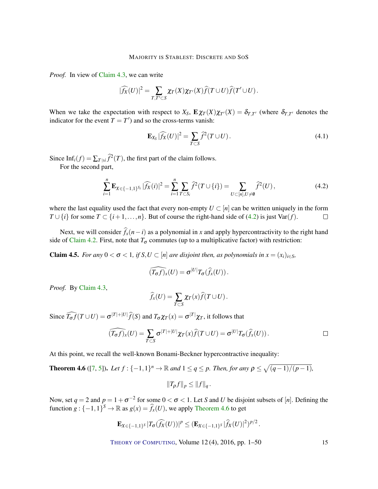<span id="page-14-3"></span>*Proof.* In view of [Claim](#page-13-0) [4.3,](#page-13-0) we can write

$$
|\widehat{f_X}(U)|^2 = \sum_{T,T'\subset S} \chi_T(X)\chi_{T'}(X)\widehat{f}(T\cup U)\widehat{f}(T'\cup U).
$$

When we take the expectation with respect to  $X_S$ ,  $\mathbf{E}\chi_T(X)\chi_{T'}(X) = \delta_{T,T'}$  (where  $\delta_{T,T'}$  denotes the indicator for the event  $T = T'$  and so the cross-terms vanish:

$$
\mathbf{E}_{X_S} |\widehat{f_X}(U)|^2 = \sum_{T \subset S} \widehat{f}^2(T \cup U).
$$
 (4.1)

Since Inf<sub>*i*</sub>(*f*) =  $\sum_{T \ni i} \hat{f}^2(T)$ , the first part of the claim follows.

For the second part,

<span id="page-14-0"></span>
$$
\sum_{i=1}^{n} \mathbf{E}_{X \in \{-1,1\}^{S_i}} |\widehat{f_X}(i)|^2 = \sum_{i=1}^{n} \sum_{T \subset S_i} \widehat{f}^2(T \cup \{i\}) = \sum_{U \subset [n], U \neq \emptyset} \widehat{f}^2(U), \tag{4.2}
$$

where the last equality used the fact that every non-empty  $U \subset [n]$  can be written uniquely in the form *T* ∪ {*i*} for some *T* ⊂ {*i* + 1, ...,*n*}. But of course the right-hand side of [\(4.2\)](#page-14-0) is just Var(*f*).  $\Box$ 

Next, we will consider  $\hat{f}_x(n-i)$  as a polynomial in *x* and apply hypercontractivity to the right hand side of [Claim](#page-13-1) [4.2.](#page-13-1) First, note that  $T_{\sigma}$  commutes (up to a multiplicative factor) with restriction:

<span id="page-14-2"></span>**Claim 4.5.** *For any*  $0 < \sigma < 1$ *, if*  $S, U \subset [n]$  *are disjoint then, as polynomials in*  $x = (x_i)_{i \in S}$ *,* 

$$
\widehat{(T_{\sigma}f)_x}(U)=\sigma^{|U|}T_{\sigma}(\widehat{f}_x(U)).
$$

*Proof.* By [Claim](#page-13-0) [4.3,](#page-13-0)

$$
\widehat{f}_x(U) = \sum_{T \subset S} \chi_T(x) \widehat{f}(T \cup U).
$$

Since  $\widehat{T_{\sigma}f}(T \cup U) = \sigma^{|T|+|U|} \widehat{f}(S)$  and  $T_{\sigma} \chi_T(x) = \sigma^{|T|} \chi_T$ , it follows that

$$
\widehat{(T_{\sigma}f)_x}(U) = \sum_{T \subset S} \sigma^{|T|+|U|} \chi_T(x) \widehat{f}(T \cup U) = \sigma^{|U|} T_{\sigma}(\widehat{f}_x(U)).
$$

At this point, we recall the well-known Bonami-Beckner hypercontractive inequality:

<span id="page-14-1"></span>**Theorem 4.6** ([\[7,](#page-45-5) [5\]](#page-45-6)). Let  $f: \{-1,1\}^n \to \mathbb{R}$  and  $1 \leq q \leq p$ . Then, for any  $\rho \leq \sqrt{(q-1)/(p-1)}$ ,

$$
||T_{\rho}f||_p\leq ||f||_q.
$$

Now, set  $q = 2$  and  $p = 1 + \sigma^{-2}$  for some  $0 < \sigma < 1$ . Let *S* and *U* be disjoint subsets of [*n*]. Defining the function  $g: \{-1,1\}^S \to \mathbb{R}$  as  $g(x) = \hat{f}_x(U)$ , we apply [Theorem](#page-14-1) [4.6](#page-14-1) to get

$$
\mathbf{E}_{X \in \{-1,1\}^S} |T_{\sigma}(\widehat{f_X}(U))|^p \leq (\mathbf{E}_{X \in \{-1,1\}^S} |\widehat{f_X}(U)|^2)^{p/2}.
$$

THEORY OF C[OMPUTING](http://dx.doi.org/10.4086/toc), Volume 12(4), 2016, pp. 1–50 15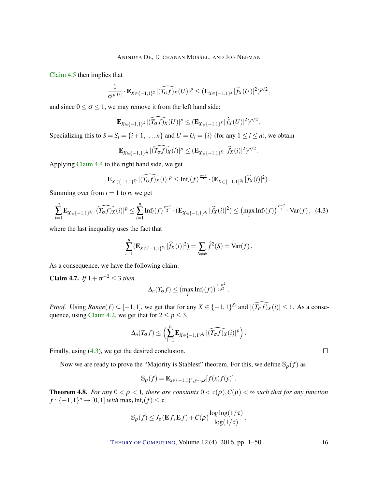[Claim](#page-14-2) [4.5](#page-14-2) then implies that

$$
\frac{1}{\sigma^{p|U|}}\cdot\mathbf{E}_{X\in\{-1,1\}^S}|\widehat{(T_{\sigma}f)_X}(U)|^p\leq (\mathbf{E}_{X\in\{-1,1\}^S}|\widehat{f}_X(U)|^2)^{p/2},
$$

and since  $0 \le \sigma \le 1$ , we may remove it from the left hand side:

$$
\mathbf{E}_{X \in \{-1,1\}^S} | \widehat{(T_{\sigma}f)_X}(U)|^p \leq (\mathbf{E}_{X \in \{-1,1\}^S} |\widehat{f}_X}(U)|^2)^{p/2}.
$$

Specializing this to  $S = S_i = \{i+1,\ldots,n\}$  and  $U = U_i = \{i\}$  (for any  $1 \le i \le n$ ), we obtain

$$
\mathbf{E}_{X \in \{-1,1\}^{S_i}} | \widehat{(T_{\sigma}f)_X}(i)|^p \leq (\mathbf{E}_{X \in \{-1,1\}^{S_i}} |\widehat{f}_X}(i)|^2)^{p/2}
$$

.

Applying [Claim](#page-13-2) [4.4](#page-13-2) to the right hand side, we get

$$
\mathbf{E}_{X \in \{-1,1\}^{S_i}} | \widehat{(T_{\sigma}f)_X}(i)|^p \leq \mathrm{Inf}_i(f)^{\frac{p-2}{2}} \cdot (\mathbf{E}_{X \in \{-1,1\}^{S_i}} |\widehat{f}_X(i)|^2).
$$

Summing over from  $i = 1$  to *n*, we get

<span id="page-15-0"></span>
$$
\sum_{i=1}^{n} \mathbf{E}_{X \in \{-1,1\}^{S_i}} |\widehat{(T_{\sigma}f)_X}(i)|^p \le \sum_{i=1}^{n} \mathrm{Inf}_i(f)^{\frac{p-2}{2}} \cdot (\mathbf{E}_{X \in \{-1,1\}^{S_i}} |\widehat{f}_X(i)|^2) \le (\max_i \mathrm{Inf}_i(f))^{\frac{p-2}{2}} \cdot \mathrm{Var}(f), \tag{4.3}
$$

where the last inequality uses the fact that

$$
\sum_{i=1}^n (\mathbf{E}_{X \in \{-1,1\}^{S_i}} | \widehat{f}_X(i) |^2) = \sum_{S \neq \emptyset} \widehat{f}^2(S) = \text{Var}(f).
$$

As a consequence, we have the following claim:

<span id="page-15-2"></span>**Claim 4.7.** *If*  $1 + \sigma^{-2} \leq 3$  *then* 

$$
\Delta_n(T_{\sigma}f) \leq (\max_i \text{Inf}_i(f))^{\frac{1-\sigma^2}{2\sigma^2}}.
$$

*Proof.* Using  $Range(f) \subseteq [-1, 1]$ , we get that for any  $X \in \{-1, 1\}^{S_i}$  and  $|(\widehat{T_{\sigma} f})_X(i)| \leq 1$ . As a conse-quence, using [Claim](#page-13-1) [4.2,](#page-13-1) we get that for  $2 \le p \le 3$ ,

$$
\Delta_n(T_{\sigma}f) \leq \left(\sum_{i=1}^n \mathbf{E}_{X \in \{-1,1\}^{S_i}}|\widehat{(T_{\sigma}f)_X}(i)|^p\right).
$$

Finally, using [\(4.3\)](#page-15-0), we get the desired conclusion.

Now we are ready to prove the "Majority is Stablest" theorem. For this, we define  $\mathcal{S}_{\rho}(f)$  as

$$
\mathbb{S}_{\rho}(f) = \mathbf{E}_{x \in \{-1,1\}^n, y \sim_{\rho} x} [f(x)f(y)].
$$

<span id="page-15-1"></span>**Theorem 4.8.** *For any*  $0 < \rho < 1$ *, there are constants*  $0 < c(\rho)$ *,*  $C(\rho) < \infty$  *such that for any function*  $f: \{-1, 1\}^n \to [0, 1]$  *with*  $\max_i \text{Inf}_i(f) \leq \tau$ ,

$$
\mathbb{S}_{\rho}(f) \leq J_{\rho}(\mathbf{E} f, \mathbf{E} f) + C(\rho) \frac{\log \log(1/\tau)}{\log(1/\tau)}.
$$

THEORY OF C[OMPUTING](http://dx.doi.org/10.4086/toc), Volume 12(4), 2016, pp. 1–50 16

 $\Box$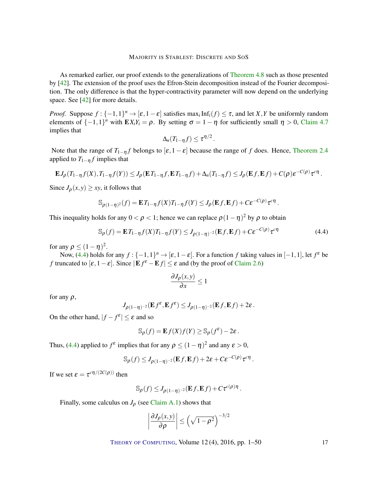<span id="page-16-1"></span>As remarked earlier, our proof extends to the generalizations of [Theorem](#page-15-1) [4.8](#page-15-1) such as those presented by [\[42\]](#page-47-4). The extension of the proof uses the Efron-Stein decomposition instead of the Fourier decomposition. The only difference is that the hyper-contractivity parameter will now depend on the underlying space. See [\[42\]](#page-47-4) for more details.

*Proof.* Suppose  $f: \{-1,1\}^n \to [\varepsilon, 1-\varepsilon]$  satisfies  $\max_i \text{Inf}_i(f) \leq \tau$ , and let *X*, *Y* be uniformly random elements of  $\{-1,1\}^n$  with  $\mathbf{E} X_i Y_i = \rho$ . By setting  $\sigma = 1 - \eta$  for sufficiently small  $\eta > 0$ , [Claim](#page-15-2) [4.7](#page-15-2) implies that

$$
\Delta_n(T_{1-\eta}f)\leq \tau^{\eta/2}.
$$

Note that the range of  $T_{1-\eta}f$  belongs to  $[\varepsilon, 1-\varepsilon]$  because the range of f does. Hence, [Theorem](#page-7-1) [2.4](#page-7-1) applied to  $T_{1-\eta} f$  implies that

$$
\mathbf{E} J_{\rho}(T_{1-\eta}f(X),T_{1-\eta}f(Y)) \leq J_{\rho}(\mathbf{E} T_{1-\eta}f,\mathbf{E} T_{1-\eta}f) + \Delta_n(T_{1-\eta}f) \leq J_{\rho}(\mathbf{E} f,\mathbf{E} f) + C(\rho)\varepsilon^{-C(\rho)}\tau^{c\eta}.
$$

Since  $J_{\rho}(x, y) \geq xy$ , it follows that

$$
\mathbb{S}_{\rho(1-\eta)^2}(f) = \mathbf{E}T_{1-\eta}f(X)T_{1-\eta}f(Y) \le J_\rho(\mathbf{E}f, \mathbf{E}f) + C\epsilon^{-C(\rho)}\tau^{c\eta}
$$

This inequality holds for any  $0 < \rho < 1$ ; hence we can replace  $\rho (1 - \eta)^2$  by  $\rho$  to obtain

<span id="page-16-0"></span>
$$
\mathbb{S}_{\rho}(f) = \mathbf{E}T_{1-\eta}f(X)T_{1-\eta}f(Y) \le J_{\rho(1-\eta)^{-2}}(\mathbf{E}f, \mathbf{E}f) + C\varepsilon^{-C(\rho)}\tau^{c\eta}
$$
(4.4)

.

for any  $\rho \leq (1 - \eta)^2$ .

Now, [\(4.4\)](#page-16-0) holds for any  $f: \{-1,1\}^n \to [\varepsilon, 1-\varepsilon]$ . For a function *f* taking values in  $[-1,1]$ , let  $f^{\varepsilon}$  be *f* truncated to  $[\varepsilon, 1 - \varepsilon]$ . Since  $|\mathbf{E} f^{\varepsilon} - \mathbf{E} f| \le \varepsilon$  and (by the proof of [Claim](#page-8-1) [2.6\)](#page-8-1)

$$
\frac{\partial J_{\rho}(x, y)}{\partial x} \le 1
$$

for any  $\rho$ ,

$$
J_{\rho(1-\eta)^{-2}}(\mathbf{E} f^{\varepsilon}, \mathbf{E} f^{\varepsilon}) \leq J_{\rho(1-\eta)^{-2}}(\mathbf{E} f, \mathbf{E} f) + 2\varepsilon.
$$

On the other hand,  $|f - f^{\varepsilon}| \leq \varepsilon$  and so

$$
\mathbb{S}_{\rho}(f) = \mathbf{E} f(X)f(Y) \geq \mathbb{S}_{\rho}(f^{\varepsilon}) - 2\varepsilon.
$$

Thus, [\(4.4\)](#page-16-0) applied to  $f^{\varepsilon}$  implies that for any  $\rho \leq (1 - \eta)^2$  and any  $\varepsilon > 0$ ,

$$
\mathbb{S}_{\rho}(f) \leq J_{\rho(1-\eta)^{-2}}(\mathbf{E} f, \mathbf{E} f) + 2\varepsilon + C\varepsilon^{-C(\rho)} \tau^{c\eta}.
$$

If we set  $\varepsilon = \tau^{c\eta/(2C(\rho))}$  then

$$
\mathbb{S}_{\rho}(f) \leq J_{\rho(1-\eta)^{-2}}(\mathbf{E} f, \mathbf{E} f) + C\tau^{c(\rho)\eta}.
$$

Finally, some calculus on  $J_\rho$  (see [Claim](#page-42-0) [A.1\)](#page-42-0) shows that

$$
\left|\frac{\partial J_{\rho}(x,y)}{\partial \rho}\right| \leq \left(\sqrt{1-\rho^2}\right)^{-3/2}
$$

THEORY OF C[OMPUTING](http://dx.doi.org/10.4086/toc), Volume 12(4), 2016, pp. 1–50 17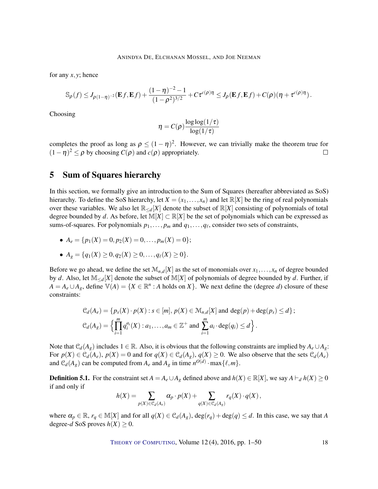for any *x*, *y*; hence

$$
\mathbb{S}_{\rho}(f) \leq J_{\rho(1-\eta)^{-2}}(\mathbf{E} f, \mathbf{E} f) + \frac{(1-\eta)^{-2}-1}{(1-\rho^2)^{3/2}} + C\tau^{c(\rho)\eta} \leq J_{\rho}(\mathbf{E} f, \mathbf{E} f) + C(\rho)(\eta + \tau^{c(\rho)\eta}).
$$

Choosing

$$
\eta = C(\rho) \frac{\log \log(1/\tau)}{\log(1/\tau)}
$$

completes the proof as long as  $\rho \le (1 - \eta)^2$ . However, we can trivially make the theorem true for  $(1 - \eta)^2 \le \rho$  by choosing  $C(\rho)$  and  $c(\rho)$  appropriately.  $\Box$ 

### 5 Sum of Squares hierarchy

In this section, we formally give an introduction to the Sum of Squares (hereafter abbreviated as SoS) hierarchy. To define the SoS hierarchy, let  $X = (x_1, \ldots, x_n)$  and let  $\mathbb{R}[X]$  be the ring of real polynomials over these variables. We also let  $\mathbb{R}_{< d}[X]$  denote the subset of  $\mathbb{R}[X]$  consisting of polynomials of total degree bounded by *d*. As before, let  $M[X] \subset \mathbb{R}[X]$  be the set of polynomials which can be expressed as sums-of-squares. For polynomials  $p_1, \ldots, p_m$  and  $q_1, \ldots, q_\ell$ , consider two sets of constraints,

•  $A_e = \{p_1(X) = 0, p_2(X) = 0, \ldots, p_m(X) = 0\};$ 

• 
$$
A_g = \{q_1(X) \ge 0, q_2(X) \ge 0, \ldots, q_\ell(X) \ge 0\}.
$$

Before we go ahead, we define the set  $\mathcal{M}_{n,d}[X]$  as the set of monomials over  $x_1,\ldots,x_n$  of degree bounded by *d*. Also, let M≤*d*[*X*] denote the subset of M[*X*] of polynomials of degree bounded by *d*. Further, if  $A = A_e \cup A_g$ , define  $\mathbb{V}(A) = \{ X \in \mathbb{R}^n : A \text{ holds on } X \}$ . We next define the (degree *d*) closure of these constraints:

$$
C_d(A_e) = \{p_s(X) \cdot p(X) : s \in [m], p(X) \in M_{n,d}[X] \text{ and } \deg(p) + \deg(p_s) \le d\};
$$
  

$$
C_d(A_g) = \left\{ \prod_{i=1}^m q_i^{a_i}(X) : a_1, \dots, a_m \in \mathbb{Z}^+ \text{ and } \sum_{i=1}^m a_i \cdot \deg(q_i) \le d \right\}.
$$

Note that  $\mathcal{C}_d(A_g)$  includes  $1 \in \mathbb{R}$ . Also, it is obvious that the following constraints are implied by  $A_e \cup A_g$ : For  $p(X) \in \mathcal{C}_d(A_e)$ ,  $p(X) = 0$  and for  $q(X) \in \mathcal{C}_d(A_g)$ ,  $q(X) \ge 0$ . We also observe that the sets  $\mathcal{C}_d(A_e)$ and  $\mathcal{C}_d(A_g)$  can be computed from  $A_e$  and  $A_g$  in time  $n^{O(d)} \cdot \max\{\ell,m\}.$ 

<span id="page-17-0"></span>**Definition 5.1.** For the constraint set  $A = A_e \cup A_g$  defined above and  $h(X) \in \mathbb{R}[X]$ , we say  $A \vdash_d h(X) \ge 0$ if and only if

$$
h(X) = \sum_{p(X) \in \mathcal{C}_d(A_e)} \alpha_p \cdot p(X) + \sum_{q(X) \in \mathcal{C}_d(A_g)} r_q(X) \cdot q(X),
$$

where  $\alpha_p \in \mathbb{R}$ ,  $r_q \in \mathbb{M}[X]$  and for all  $q(X) \in \mathcal{C}_d(A_g)$ ,  $\deg(r_q) + \deg(q) \leq d$ . In this case, we say that *A* degree-*d* SoS proves  $h(X) \geq 0$ .

THEORY OF C[OMPUTING](http://dx.doi.org/10.4086/toc), Volume  $12(4)$ ,  $2016$ , pp.  $1-50$  18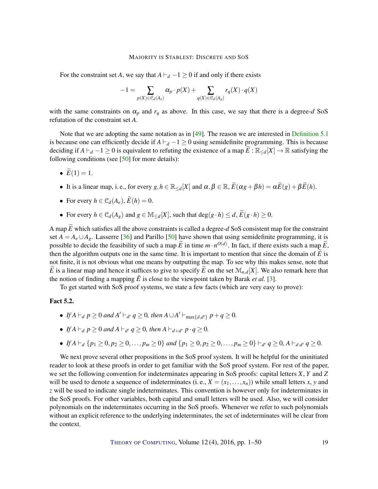<span id="page-18-1"></span>For the constraint set *A*, we say that  $A \vdash d -1 \geq 0$  if and only if there exists

$$
-1 = \sum_{p(X) \in \mathcal{C}_d(A_e)} \alpha_p \cdot p(X) + \sum_{q(X) \in \mathcal{C}_d(A_g)} r_q(X) \cdot q(X)
$$

with the same constraints on  $\alpha_p$  and  $r_q$  as above. In this case, we say that there is a degree-*d* SoS refutation of the constraint set *A*.

Note that we are adopting the same notation as in [\[49\]](#page-48-6). The reason we are interested in [Definition](#page-17-0) [5.1](#page-17-0) is because one can efficiently decide if  $A \vdash d -1 \geq 0$  using semidefinite programming. This is because deciding if  $A \vdash_d -1 \geq 0$  is equivalent to refuting the existence of a map  $E : \mathbb{R}_{\leq d}[X] \to \mathbb{R}$  satisfying the following conditions (see  $[50]$  for more details):

- $\widetilde{E}(1) = 1$ .
- It is a linear map, i. e., for every  $g, h \in \mathbb{R}_{\le d}[X]$  and  $\alpha, \beta \in \mathbb{R}$ ,  $\widetilde{E}(\alpha g + \beta h) = \alpha \widetilde{E}(g) + \beta \widetilde{E}(h)$ .
- For every  $h \in \mathcal{C}_d(A_e)$ ,  $\widetilde{E}(h) = 0$ .
- For every  $h \in \mathcal{C}_d(A_g)$  and  $g \in \mathbb{M}_{\leq d}[X]$ , such that deg( $g \cdot h$ )  $\leq d$ ,  $\widetilde{E}(g \cdot h) \geq 0$ .

A map  $\widetilde{E}$  which satisfies all the above constraints is called a degree- $d$  SoS consistent map for the constraint set  $A = A_e \cup A_g$ . Lasserre [\[36\]](#page-47-2) and Parillo [\[50\]](#page-48-10) have shown that using semidefinite programming, it is possible to decide the feasibility of such a map  $\widetilde{E}$  in time  $m \cdot n^{O(d)}$ . In fact, if there exists such a map  $\widetilde{E}$ , then the algorithm outputs one in the same time. It is important to mention that since the domain of  $\vec{E}$  is not finite, it is not obvious what one means by outputting the map. To see why this makes sense, note that *E* is a linear map and hence it suffices to give to specify *E* on the set  $\mathcal{M}_{n,d}[X]$ . We also remark here that the notion of finding a mapping  $\tilde{E}$  is close to the viewpoint taken by Barak *et al.* [\[3\]](#page-45-2).

To get started with SoS proof systems, we state a few facts (which are very easy to prove):

#### <span id="page-18-0"></span>Fact 5.2.

- *If*  $A \vdash_d p \geq 0$  *and*  $A' \vdash_{d'} q \geq 0$ *, then*  $A \cup A' \vdash_{\max\{d,d'\}} p + q \geq 0$ *.*
- If  $A \vdash_d p \geq 0$  and  $A \vdash_{d'} q \geq 0$ , then  $A \vdash_{d+d'} p \cdot q \geq 0$ .
- If  $A \vdash_d \{p_1 \geq 0, p_2 \geq 0, \ldots, p_m \geq 0\}$  and  $\{p_1 \geq 0, p_2 \geq 0, \ldots, p_m \geq 0\} \vdash_{d'} q \geq 0$ ,  $A \vdash_{d \cdot d'} q \geq 0$ .

We next prove several other propositions in the SoS proof system. It will be helpful for the uninitiated reader to look at these proofs in order to get familiar with the SoS proof system. For rest of the paper, we set the following convention for indeterminates appearing in SoS proofs: capital letters *X*, *Y* and *Z* will be used to denote a sequence of indeterminates (i. e.,  $X = (x_1, \ldots, x_n)$ ) while small letters *x*, *y* and *z* will be used to indicate single indeterminates. This convention is however only for indeterminates in the SoS proofs. For other variables, both capital and small letters will be used. Also, we will consider polynomials on the indeterminates occurring in the SoS proofs. Whenever we refer to such polynomials without an explicit reference to the underlying indeterminates, the set of indeterminates will be clear from the context.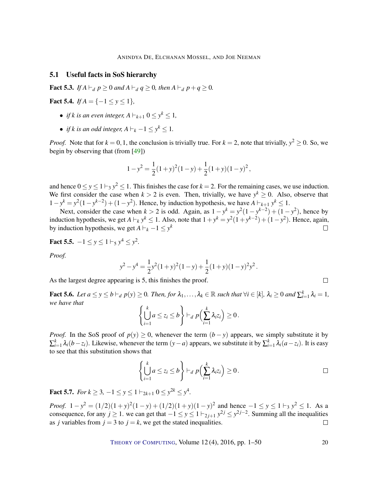#### <span id="page-19-3"></span>5.1 Useful facts in SoS hierarchy

**Fact 5.3.** *If*  $A \vdash_d p \ge 0$  *and*  $A \vdash_d q \ge 0$ *, then*  $A \vdash_d p + q \ge 0$ *.* 

<span id="page-19-1"></span>Fact 5.4. *If*  $A = \{-1 \le y \le 1\}$ *,* 

- *if k is an even integer,*  $A \vdash_{k+1} 0 \leq y^k \leq 1$ ,
- *if k is an odd integer,*  $A \vdash_k -1 \leq y^k \leq 1$ *.*

*Proof.* Note that for  $k = 0, 1$ , the conclusion is trivially true. For  $k = 2$ , note that trivially,  $y^2 \ge 0$ . So, we begin by observing that (from [\[49\]](#page-48-6))

$$
1 - y^2 = \frac{1}{2}(1 + y)^2(1 - y) + \frac{1}{2}(1 + y)(1 - y)^2,
$$

and hence  $0 \le y \le 1 \vdash_3 y^2 \le 1$ . This finishes the case for  $k = 2$ . For the remaining cases, we use induction. We first consider the case when  $k > 2$  is even. Then, trivially, we have  $y^k \geq 0$ . Also, observe that 1 − *y*<sup>k</sup> = *y*<sup>2</sup>(1 − *y*<sup>k-2</sup>) + (1 − *y*<sup>2</sup>). Hence, by induction hypothesis, we have  $A \vdash_{k+1} y^k \le 1$ .

Next, consider the case when  $k > 2$  is odd. Again, as  $1 - y^k = y^2(1 - y^{k-2}) + (1 - y^2)$ , hence by induction hypothesis, we get  $A \vdash_k y^k \leq 1$ . Also, note that  $1 + y^k = y^2(1 + y^{k-2}) + (1 - y^2)$ . Hence, again, by induction hypothesis, we get  $A \vdash_k -1 \leq y^k$  $\Box$ 

<span id="page-19-2"></span>Fact 5.5.  $-1 \le y \le 1 \vdash_5 y^4 \le y^2$ .

*Proof.*

$$
y^{2} - y^{4} = \frac{1}{2}y^{2}(1+y)^{2}(1-y) + \frac{1}{2}(1+y)(1-y)^{2}y^{2}.
$$

As the largest degree appearing is 5, this finishes the proof.

**Fact 5.6.** Let  $a \le y \le b \vdash_d p(y) \ge 0$ . Then, for  $\lambda_1, \ldots, \lambda_k \in \mathbb{R}$  such that  $\forall i \in [k]$ ,  $\lambda_i \ge 0$  and  $\sum_{i=1}^k \lambda_i = 1$ , *we have that*

$$
\left\{\bigcup_{i=1}^k a \leq z_i \leq b\right\} \vdash_d p\Big(\sum_{i=1}^k \lambda_i z_i\Big) \geq 0.
$$

*Proof.* In the SoS proof of  $p(y) \ge 0$ , whenever the term  $(b - y)$  appears, we simply substitute it by  $\sum_{i=1}^{k} \lambda_i (b - z_i)$ . Likewise, whenever the term  $(y - a)$  appears, we substitute it by  $\sum_{i=1}^{k} \lambda_i (a - z_i)$ . It is easy to see that this substitution shows that

$$
\left\{\bigcup_{i=1}^k a \leq z_i \leq b\right\} \vdash_d p\Big(\sum_{i=1}^k \lambda_i z_i\Big) \geq 0.
$$

 $\Box$ 

<span id="page-19-0"></span>**Fact 5.7.** *For*  $k \geq 3$ ,  $-1 \leq y \leq 1 \vdash_{2k+1} 0 \leq y^{2k} \leq y^4$ .

*Proof.*  $1 - y^2 = (1/2)(1 + y)^2(1 - y) + (1/2)(1 + y)(1 - y)^2$  and hence  $-1 \le y \le 1$  +  $y^2 \le 1$ . As a consequence, for any  $j \ge 1$ . we can get that  $-1 \le y \le 1 \vdash_{2j+1} y^{2j} \le y^{2j-2}$ . Summing all the inequalities as *j* variables from  $j = 3$  to  $j = k$ , we get the stated inequalities.  $\Box$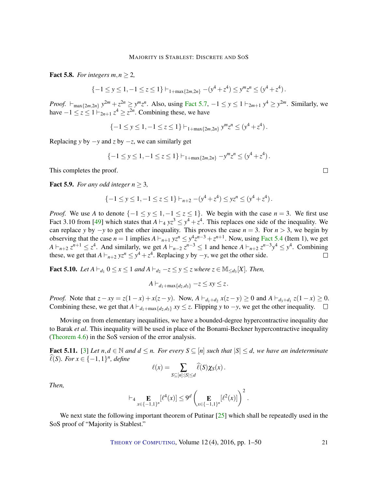<span id="page-20-4"></span><span id="page-20-0"></span>**Fact 5.8.** *For integers m, n*  $\geq$  2*,* 

$$
\{-1 \le y \le 1, -1 \le z \le 1\} \vdash_{1+\max\{2m,2n\}} -(y^4 + z^4) \le y^m z^n \le (y^4 + z^4).
$$

*Proof.*  $\vdash_{\text{max}\{2m, 2n\}} y^{2m} + z^{2n} \geq y^m z^n$ . Also, using [Fact](#page-19-0) [5.7,](#page-19-0)  $-1 \leq y \leq 1 \vdash_{2m+1} y^4 \geq y^{2m}$ . Similarly, we have  $-1 \le z \le 1 \vdash_{2n+1} z^4 \ge z^{2n}$ . Combining these, we have

 $\{-1 \leq y \leq 1, -1 \leq z \leq 1\} \vdash_{1+\max\{2m,2n\}} y^m z^n \leq (y^4 + z^4).$ 

Replacing *y* by  $-y$  and *z* by  $-z$ , we can similarly get

$$
\{-1 \le y \le 1, -1 \le z \le 1\} \vdash_{1+\max\{2m,2n\}} -y^m z^n \le (y^4 + z^4).
$$

This completes the proof.

<span id="page-20-1"></span>**Fact 5.9.** *For any odd integer*  $n > 3$ *,* 

$$
\{-1 \le y \le 1, -1 \le z \le 1\} \vdash_{n+2} -(y^4 + z^4) \le yz^n \le (y^4 + z^4).
$$

*Proof.* We use *A* to denote  $\{-1 \le y \le 1, -1 \le z \le 1\}$ . We begin with the case *n* = 3. We first use Fact 3.10 from [\[49\]](#page-48-6) which states that  $A \vdash_4 yz^3 \leq y^4 + z^4$ . This replaces one side of the inequality. We can replace *y* by  $-y$  to get the other inequality. This proves the case  $n = 3$ . For  $n > 3$ , we begin by observing that the case  $n = 1$  implies  $A \vdash_{n+1} yz^n \leq y^4z^{n-3} + z^{n+1}$ . Now, using [Fact](#page-19-1) [5.4](#page-19-1) (Item 1), we get  $A \vdash_{n+2} z^{n+1} \leq z^4$ . And similarly, we get  $A \vdash_{n-2} z^{n-3} \leq 1$  and hence  $A \vdash_{n+2} z^{n-3} y^4 \leq y^4$ . Combining these, we get that  $A \vdash_{n+2} yz^n \leq y^4 + z^4$ . Replacing *y* by  $-y$ , we get the other side.  $\Box$ 

<span id="page-20-2"></span>**Fact 5.10.** Let  $A \vdash_{d_1} 0 \le x \le 1$  and  $A \vdash_{d_2} -z \le y \le z$  where  $z \in M_{\le d_3}[X]$ . Then,

$$
A\vdash_{d_1+\max\{d_2,d_3\}} -z\leq xy\leq z.
$$

*Proof.* Note that  $z - xy = z(1 - x) + x(z - y)$ . Now,  $A \vdash_{d_1 + d_2} x(z - y) \ge 0$  and  $A \vdash_{d_3 + d_1} z(1 - x) \ge 0$ . Combining these, we get that  $A \vdash_{d_1+\max\{d_2,d_3\}} xy \leq z$ . Flipping *y* to −*y*, we get the other inequality.  $\square$ 

Moving on from elementary inequalities, we have a bounded-degree hypercontractive inequality due to Barak *et al*. This inequality will be used in place of the Bonami-Beckner hypercontractive inequality [\(Theorem](#page-14-1) [4.6\)](#page-14-1) in the SoS version of the error analysis.

<span id="page-20-3"></span>**Fact 5.11.** [\[3\]](#page-45-2) Let  $n, d \in \mathbb{N}$  and  $d \leq n$ . For every  $S \subseteq [n]$  such that  $|S| \leq d$ , we have an indeterminate  $\widehat{\ell}(S)$ *. For*  $x \in \{-1,1\}^n$ *, define* 

$$
\ell(x) = \sum_{S \subseteq [n]:|S| \leq d} \widehat{\ell}(S) \chi_S(x).
$$

*Then,*

$$
\vdash_4 \mathop{\mathbf{E}}_{x \in \{-1,1\}^n} [\ell^4(x)] \leq 9^d \left( \mathop{\mathbf{E}}_{x \in \{-1,1\}^n} [\ell^2(x)] \right)^2.
$$

We next state the following important theorem of Putinar [\[25\]](#page-46-10) which shall be repeatedly used in the SoS proof of "Majority is Stablest."

THEORY OF C[OMPUTING](http://dx.doi.org/10.4086/toc), Volume 12 (4), 2016, pp. 1–50 21

 $\Box$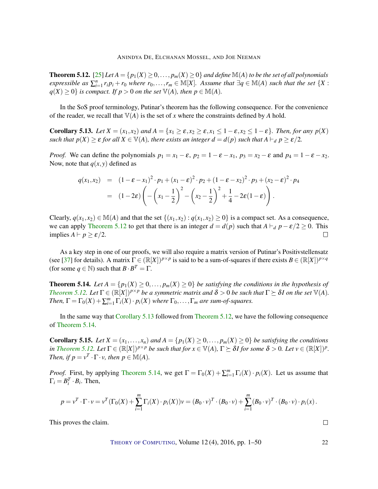<span id="page-21-4"></span><span id="page-21-0"></span>**Theorem 5.12.** [\[25\]](#page-46-10) Let  $A = \{p_1(X) \ge 0, \ldots, p_m(X) \ge 0\}$  *and define*  $\mathbb{M}(A)$  *to be the set of all polynomials* expressible as  $\sum_{i=1}^n r_i p_i + r_0$  where  $r_0, \ldots, r_m \in M[X]$ . Assume that  $\exists q \in M(A)$  such that the set  $\{X :$  $q(X) \ge 0$  *is compact. If*  $p > 0$  *on the set*  $\mathbb{V}(A)$ *, then*  $p \in \mathbb{M}(A)$ *.* 

In the SoS proof terminology, Putinar's theorem has the following consequence. For the convenience of the reader, we recall that  $\mathbb{V}(A)$  is the set of *x* where the constraints defined by *A* hold.

<span id="page-21-1"></span>Corollary 5.13. Let  $X = (x_1, x_2)$  and  $A = \{x_1 \ge \varepsilon, x_2 \ge \varepsilon, x_1 \le 1-\varepsilon, x_2 \le 1-\varepsilon\}$ . Then, for any  $p(X)$ *such that*  $p(X) \geq \varepsilon$  *for all*  $X \in V(A)$ *, there exists an integer*  $d = d(p)$  *such that*  $A \vdash_d p \geq \varepsilon/2$ *.* 

*Proof.* We can define the polynomials  $p_1 = x_1 - \varepsilon$ ,  $p_2 = 1 - \varepsilon - x_1$ ,  $p_3 = x_2 - \varepsilon$  and  $p_4 = 1 - \varepsilon - x_2$ . Now, note that  $q(x, y)$  defined as

$$
q(x_1,x_2) = (1 - \varepsilon - x_1)^2 \cdot p_1 + (x_1 - \varepsilon)^2 \cdot p_2 + (1 - \varepsilon - x_2)^2 \cdot p_3 + (x_2 - \varepsilon)^2 \cdot p_4
$$
  
= 
$$
(1 - 2\varepsilon) \left( -\left(x_1 - \frac{1}{2}\right)^2 - \left(x_2 - \frac{1}{2}\right)^2 + \frac{1}{4} - 2\varepsilon(1 - \varepsilon) \right).
$$

Clearly,  $q(x_1, x_2) \in M(A)$  and that the set  $\{(x_1, x_2) : q(x_1, x_2) \ge 0\}$  is a compact set. As a consequence, we can apply [Theorem](#page-21-0) [5.12](#page-21-0) to get that there is an integer  $d = d(p)$  such that  $A \vdash_d p - \varepsilon/2 \ge 0$ . This implies  $A \vdash p \geq \varepsilon/2$ .  $\Box$ 

As a key step in one of our proofs, we will also require a matrix version of Putinar's Positivstellensatz (see [\[37\]](#page-47-12) for details). A matrix  $\Gamma \in (\mathbb{R}[X])^{p \times p}$  is said to be a sum-of-squares if there exists  $B \in (\mathbb{R}[X])^{p \times q}$ (for some  $q \in \mathbb{N}$ ) such that  $B \cdot B^T = \Gamma$ .

<span id="page-21-2"></span>**Theorem 5.14.** Let  $A = \{p_1(X) \geq 0, \ldots, p_m(X) \geq 0\}$  be satisfying the conditions in the hypothesis of *[Theorem](#page-21-0) [5.12.](#page-21-0) Let*  $\Gamma \in (\mathbb{R}[X])^{p \times p}$  *be a symmetric matrix and*  $\delta > 0$  *be such that*  $\Gamma \succeq \delta I$  *on the set*  $\mathbb{V}(A)$ *. Then,*  $\Gamma = \Gamma_0(X) + \sum_{i=1}^m \Gamma_i(X) \cdot p_i(X)$  where  $\Gamma_0, \ldots, \Gamma_m$  are sum-of-squares.

In the same way that [Corollary](#page-21-1) [5.13](#page-21-1) followed from [Theorem](#page-21-0) [5.12,](#page-21-0) we have the following consequence of [Theorem](#page-21-2) [5.14.](#page-21-2)

<span id="page-21-3"></span>**Corollary 5.15.** Let  $X = (x_1, \ldots, x_n)$  and  $A = \{p_1(X) \geq 0, \ldots, p_m(X) \geq 0\}$  be satisfying the conditions in [Theorem](#page-21-0) [5.12.](#page-21-0) Let  $\Gamma \in (\mathbb{R}[X])^{p \times p}$  be such that for  $x \in \mathbb{V}(A)$ ,  $\Gamma \succeq \delta I$  for some  $\delta > 0$ . Let  $v \in (\mathbb{R}[X])^p$ . *Then, if*  $p = v^T \cdot \Gamma \cdot v$ *, then*  $p \in M(A)$ *.* 

*Proof.* First, by applying [Theorem](#page-21-2) [5.14,](#page-21-2) we get  $\Gamma = \Gamma_0(X) + \sum_{i=1}^m \Gamma_i(X) \cdot p_i(X)$ . Let us assume that  $\Gamma_i = B_i^T \cdot B_i$ . Then,

$$
p = v^T \cdot \Gamma \cdot v = v^T (\Gamma_0(X) + \sum_{i=1}^m \Gamma_i(X) \cdot p_i(X)) v = (B_0 \cdot v)^T \cdot (B_0 \cdot v) + \sum_{i=1}^m (B_0 \cdot v)^T \cdot (B_0 \cdot v) \cdot p_i(x).
$$

This proves the claim.

THEORY OF C[OMPUTING](http://dx.doi.org/10.4086/toc), Volume 12 (4), 2016, pp. 1–50 22

 $\Box$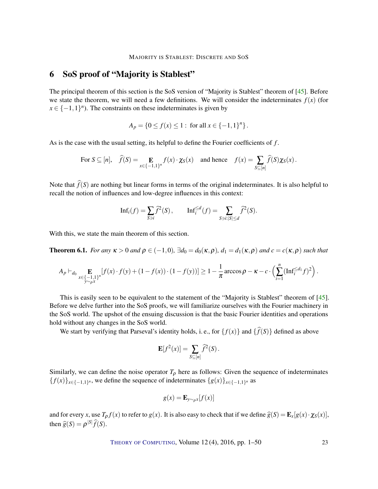### <span id="page-22-1"></span>6 SoS proof of "Majority is Stablest"

The principal theorem of this section is the SoS version of "Majority is Stablest" theorem of [\[45\]](#page-48-0). Before we state the theorem, we will need a few definitions. We will consider the indeterminates  $f(x)$  (for  $x \in \{-1, 1\}^n$ ). The constraints on these indeterminates is given by

$$
A_p = \{0 \le f(x) \le 1 : \text{ for all } x \in \{-1, 1\}^n\}.
$$

As is the case with the usual setting, its helpful to define the Fourier coefficients of *f* .

For 
$$
S \subseteq [n]
$$
,  $\widehat{f}(S) = \mathop{\mathbb{E}}_{x \in \{-1,1\}^n} f(x) \cdot \chi_S(x)$  and hence  $f(x) = \sum_{S \subseteq [n]} \widehat{f}(S) \chi_S(x)$ .

Note that  $\hat{f}(S)$  are nothing but linear forms in terms of the original indeterminates. It is also helpful to recall the notion of influences and low-degree influences in this context:

$$
\mathrm{Inf}_i(f) = \sum_{S \ni i} \widehat{f}^2(S), \qquad \mathrm{Inf}_i^{\le d}(f) = \sum_{S \ni i: |S| \le d} \widehat{f}^2(S).
$$

With this, we state the main theorem of this section.

<span id="page-22-0"></span>**Theorem 6.1.** *For any*  $\kappa > 0$  *and*  $\rho \in (-1,0)$ ,  $\exists d_0 = d_0(\kappa,\rho)$ ,  $d_1 = d_1(\kappa,\rho)$  *and*  $c = c(\kappa,\rho)$  *such that* 

$$
A_p \vdash_{d_0} \mathop{\mathbf{E}}_{\substack{x \in \{-1,1\}^n \\ y \sim \rho x}} [f(x) \cdot f(y) + (1 - f(x)) \cdot (1 - f(y))] \ge 1 - \frac{1}{\pi} \arccos \rho - \kappa - c \cdot \left( \sum_{i=1}^n (\mathrm{Inf}_i^{\le d_1} f)^2 \right).
$$

This is easily seen to be equivalent to the statement of the "Majority is Stablest" theorem of [\[45\]](#page-48-0). Before we delve further into the SoS proofs, we will familiarize ourselves with the Fourier machinery in the SoS world. The upshot of the ensuing discussion is that the basic Fourier identities and operations hold without any changes in the SoS world.

We start by verifying that Parseval's identity holds, i. e., for  $\{f(x)\}\$  and  $\{\widehat{f}(S)\}\$  defined as above

$$
\mathbf{E}[f^{2}(x)] = \sum_{S \subseteq [n]} \widehat{f}^{2}(S).
$$

Similarly, we can define the noise operator  $T_{\rho}$  here as follows: Given the sequence of indeterminates  ${f(x)}_{x \in \{-1,1\}^n}$ , we define the sequence of indeterminates  ${g(x)}_{x \in \{-1,1\}^n}$  as

$$
g(x) = \mathbf{E}_{y \sim \rho x} [f(x)]
$$

and for every *x*, use  $T_{\rho} f(x)$  to refer to  $g(x)$ . It is also easy to check that if we define  $\hat{g}(S) = \mathbf{E}_x[g(x) \cdot \chi_S(x)]$ , then  $\widehat{g}(S) = \rho^{|S|} \widehat{f}(S)$ .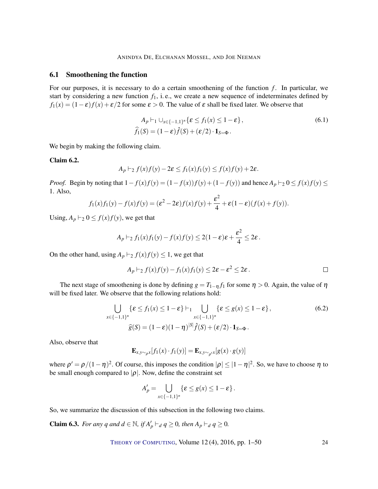#### 6.1 Smoothening the function

For our purposes, it is necessary to do a certain smoothening of the function  $f$ . In particular, we start by considering a new function *f*1, i. e., we create a new sequence of indeterminates defined by  $f_1(x) = (1 - \varepsilon)f(x) + \varepsilon/2$  for some  $\varepsilon > 0$ . The value of  $\varepsilon$  shall be fixed later. We observe that

<span id="page-23-0"></span>
$$
A_p \vdash_1 \cup_{x \in \{-1,1\}^n} {\{\varepsilon \le f_1(x) \le 1 - \varepsilon\}},
$$
  
\n
$$
\widehat{f_1}(S) = (1 - \varepsilon)\widehat{f}(S) + (\varepsilon/2) \cdot \mathbf{1}_{S = \Phi}.
$$
\n(6.1)

We begin by making the following claim.

#### <span id="page-23-2"></span>Claim 6.2.

$$
A_p \vdash_2 f(x)f(y) - 2\varepsilon \le f_1(x)f_1(y) \le f(x)f(y) + 2\varepsilon.
$$

*Proof.* Begin by noting that  $1 - f(x)f(y) = (1 - f(x))f(y) + (1 - f(y))$  and hence  $A_p \vdash_2 0 \le f(x)f(y) \le$ 1. Also,

$$
f_1(x)f_1(y) - f(x)f(y) = (\varepsilon^2 - 2\varepsilon)f(x)f(y) + \frac{\varepsilon^2}{4} + \varepsilon(1-\varepsilon)(f(x) + f(y)).
$$

Using,  $A_p \vdash_2 0 \le f(x)f(y)$ , we get that

$$
A_p \vdash_2 f_1(x) f_1(y) - f(x) f(y) \leq 2(1-\varepsilon)\varepsilon + \frac{\varepsilon^2}{4} \leq 2\varepsilon.
$$

On the other hand, using  $A_p \vdash_2 f(x)f(y) \leq 1$ , we get that

$$
A_p \vdash_2 f(x)f(y) - f_1(x)f_1(y) \leq 2\varepsilon - \varepsilon^2 \leq 2\varepsilon.
$$

The next stage of smoothening is done by defining  $g = T_{1-\eta} f_1$  for some  $\eta > 0$ . Again, the value of  $\eta$ will be fixed later. We observe that the following relations hold:

$$
\bigcup_{x \in \{-1,1\}^n} \{\varepsilon \le f_1(x) \le 1 - \varepsilon\} \vdash_1 \bigcup_{x \in \{-1,1\}^n} \{\varepsilon \le g(x) \le 1 - \varepsilon\},\tag{6.2}
$$
\n
$$
\widehat{g}(S) = (1 - \varepsilon)(1 - \eta)^{|S|} \widehat{f}(S) + (\varepsilon/2) \cdot \mathbf{1}_{S = \Phi}.
$$

Also, observe that

<span id="page-23-1"></span>
$$
\mathbf{E}_{x,y \sim \rho x} [f_1(x) \cdot f_1(y)] = \mathbf{E}_{x,y \sim \rho x} [g(x) \cdot g(y)]
$$

where  $\rho' = \rho/(1-\eta)^2$ . Of course, this imposes the condition  $|\rho| \le |1-\eta|^2$ . So, we have to choose  $\eta$  to be small enough compared to  $|\rho|$ . Now, define the constraint set

$$
A'_{p} = \bigcup_{x \in \{-1,1\}^{n}} \{ \varepsilon \le g(x) \le 1 - \varepsilon \}.
$$

So, we summarize the discussion of this subsection in the following two claims.

<span id="page-23-3"></span>**Claim 6.3.** *For any q and*  $d \in \mathbb{N}$ *, if*  $A'_p \vdash_d q \geq 0$ *, then*  $A_p \vdash_d q \geq 0$ *.*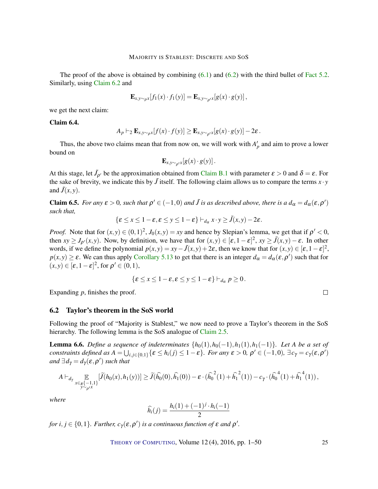The proof of the above is obtained by combining  $(6.1)$  and  $(6.2)$  with the third bullet of [Fact](#page-18-0) [5.2.](#page-18-0) Similarly, using [Claim](#page-23-2) [6.2](#page-23-2) and

$$
\mathbf{E}_{x,y\sim_{\rho}x}[f_1(x)\cdot f_1(y)] = \mathbf{E}_{x,y\sim_{\rho'}x}[g(x)\cdot g(y)],
$$

we get the next claim:

<span id="page-24-2"></span>Claim 6.4.

$$
A_p \vdash_2 \mathbf{E}_{x,y \sim_{\rho} x} [f(x) \cdot f(y)] \geq \mathbf{E}_{x,y \sim_{\rho'} x} [g(x) \cdot g(y)] - 2\varepsilon.
$$

Thus, the above two claims mean that from now on, we will work with  $A'_p$  and aim to prove a lower bound on

$$
\mathbf{E}_{x,y\sim_{\rho'}x}[g(x)\cdot g(y)].
$$

At this stage, let  $\tilde{J}_{\rho'}$  be the approximation obtained from [Claim](#page-43-0) [B.1](#page-43-0) with parameter  $\varepsilon > 0$  and  $\delta = \varepsilon$ . For the sake of brevity, we indicate this by  $\tilde{J}$  itself. The following claim allows us to compare the terms  $x \cdot y$ and  $\tilde{J}(x, y)$ .

<span id="page-24-1"></span>**Claim 6.5.** *For any*  $\varepsilon > 0$ , *such that*  $\rho' \in (-1,0)$  *and*  $\tilde{J}$  *is as described above, there is a*  $d_{\alpha} = d_{\alpha}(\varepsilon, \rho')$ *such that,*

$$
\{\varepsilon \leq x \leq 1-\varepsilon, \varepsilon \leq y \leq 1-\varepsilon\} \vdash_{d_{\alpha}} x \cdot y \geq \tilde{J}(x, y) - 2\varepsilon.
$$

*Proof.* Note that for  $(x, y) \in (0, 1)^2$ ,  $J_0(x, y) = xy$  and hence by Slepian's lemma, we get that if  $\rho' < 0$ , then  $xy \geq J_{\rho'}(x, y)$ . Now, by definition, we have that for  $(x, y) \in [\varepsilon, 1 - \varepsilon]^2$ ,  $xy \geq \tilde{J}(x, y) - \varepsilon$ . In other words, if we define the polynomial  $p(x, y) = xy - \tilde{J}(x, y) + 2\varepsilon$ , then we know that for  $(x, y) \in [\varepsilon, 1 - \varepsilon]^2$ ,  $p(x, y) \ge \varepsilon$ . We can thus apply [Corollary](#page-21-1) [5.13](#page-21-1) to get that there is an integer  $d_{\alpha} = d_{\alpha}(\varepsilon, \rho')$  such that for  $(x,y) \in [\varepsilon, 1-\varepsilon]^2$ , for  $\rho' \in (0,1)$ ,

$$
\{\varepsilon \leq x \leq 1-\varepsilon, \varepsilon \leq y \leq 1-\varepsilon\} \vdash_{d_{\alpha}} p \geq 0.
$$

Expanding *p*, finishes the proof.

#### 6.2 Taylor's theorem in the SoS world

Following the proof of "Majority is Stablest," we now need to prove a Taylor's theorem in the SoS hierarchy. The following lemma is the SoS analogue of [Claim](#page-8-0) [2.5.](#page-8-0)

<span id="page-24-0"></span>**Lemma 6.6.** *Define a sequence of indeterminates*  $\{h_0(1), h_0(-1), h_1(1), h_1(-1)\}$ *. Let A be a set of constraints defined as*  $A = \bigcup_{i,j \in \{0,1\}} {\{\epsilon \leq h_i(j) \leq 1 - \epsilon\}}$ *. For any*  $\epsilon > 0$ ,  $\rho' \in (-1,0)$ ,  $\exists c_\gamma = c_\gamma(\epsilon, \rho')$  $and \, \exists d_{\gamma} = d_{\gamma}(\varepsilon, \rho')$  such that

$$
A \vdash_{d_{\gamma}} \mathop{\mathbb{E}}_{\substack{x \in_R \{-1,1\} \\ y \sim_{\rho'} x}} [\widetilde{J}(h_0(x), h_1(y))] \ge \widetilde{J}(\widehat{h_0}(0), \widehat{h_1}(0)) - \varepsilon \cdot (\widehat{h_0}^2(1) + \widehat{h_1}^2(1)) - c_{\gamma} \cdot (\widehat{h_0}^4(1) + \widehat{h_1}^4(1)),
$$

*where*

$$
\widehat{h_i}(j) = \frac{h_i(1) + (-1)^j \cdot h_i(-1)}{2}
$$

*for i*,  $j \in \{0,1\}$ *. Further, c*<sub> $\gamma$ </sub>( $\varepsilon$ , $\rho'$ ) *is a continuous function of*  $\varepsilon$  *and*  $\rho'$ *.* 

THEORY OF C[OMPUTING](http://dx.doi.org/10.4086/toc), Volume 12 (4), 2016, pp. 1–50 25

 $\Box$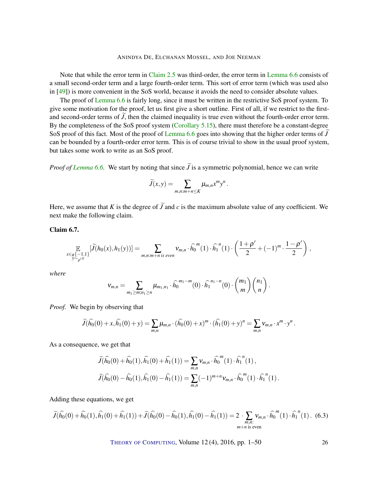<span id="page-25-1"></span>Note that while the error term in [Claim](#page-8-0) [2.5](#page-8-0) was third-order, the error term in [Lemma](#page-24-0) [6.6](#page-24-0) consists of a small second-order term and a large fourth-order term. This sort of error term (which was used also in [\[49\]](#page-48-6)) is more convenient in the SoS world, because it avoids the need to consider absolute values.

The proof of [Lemma](#page-24-0) [6.6](#page-24-0) is fairly long, since it must be written in the restrictive SoS proof system. To give some motivation for the proof, let us first give a short outline. First of all, if we restrict to the firstand second-order terms of  $\tilde{J}$ , then the claimed inequality is true even without the fourth-order error term. By the completeness of the SoS proof system [\(Corollary](#page-21-3) [5.15\)](#page-21-3), there must therefore be a constant-degree SoS proof of this fact. Most of the proof of [Lemma](#page-24-0) [6.6](#page-24-0) goes into showing that the higher order terms of  $\bar{J}$ can be bounded by a fourth-order error term. This is of course trivial to show in the usual proof system, but takes some work to write as an SoS proof.

*Proof of [Lemma](#page-24-0)* [6.6.](#page-24-0) We start by noting that since  $\tilde{J}$  is a symmetric polynomial, hence we can write

$$
\widetilde{J}(x,y) = \sum_{m,n:m+n \leq K} \mu_{m,n} x^m y^n.
$$

Here, we assume that *K* is the degree of  $\tilde{J}$  and *c* is the maximum absolute value of any coefficient. We next make the following claim.

Claim 6.7.

$$
\mathop{\mathbb{E}}_{\substack{x \in_R \{-1,1\} \\ y \sim \rho^{tX}}} [\widetilde{J}(h_0(x), h_1(y))] = \sum_{m,n:m+n \text{ is even}} \nu_{m,n} \cdot \widehat{h_0}^m(1) \cdot \widehat{h_1}^n(1) \cdot \left(\frac{1+\rho'}{2} + (-1)^m \cdot \frac{1-\rho'}{2}\right),
$$

 $\mathcal{L} = \mathcal{L} \mathcal{L} = \mathcal{L} \mathcal{L}$ 

 $\sim$ 

*where*

$$
v_{m,n} = \sum_{m_1 \ge m; n_1 \ge n} \mu_{m_1, n_1} \cdot \widehat{h_0}^{m_1 - m}(0) \cdot \widehat{h_1}^{n_1 - n}(0) \cdot {m_1 \choose m} {n_1 \choose n}.
$$

*Proof.* We begin by observing that

$$
\widetilde{J}(\widehat{h_0}(0) + x, \widehat{h_1}(0) + y) = \sum_{m,n} \mu_{m,n} \cdot (\widehat{h_0}(0) + x)^m \cdot (\widehat{h_1}(0) + y)^n = \sum_{m,n} v_{m,n} \cdot x^m \cdot y^n.
$$

As a consequence, we get that

$$
\widetilde{J}(\widehat{h_0}(0) + \widehat{h_0}(1), \widehat{h_1}(0) + \widehat{h_1}(1)) = \sum_{m,n} v_{m,n} \cdot \widehat{h_0}^m(1) \cdot \widehat{h_1}^n(1),
$$
  

$$
\widetilde{J}(\widehat{h_0}(0) - \widehat{h_0}(1), \widehat{h_1}(0) - \widehat{h_1}(1)) = \sum_{m,n} (-1)^{m+n} v_{m,n} \cdot \widehat{h_0}^m(1) \cdot \widehat{h_1}^n(1).
$$

Adding these equations, we get

<span id="page-25-0"></span>
$$
\widetilde{J}(\widehat{h_0}(0) + \widehat{h_0}(1), \widehat{h_1}(0) + \widehat{h_1}(1)) + \widetilde{J}(\widehat{h_0}(0) - \widehat{h_0}(1), \widehat{h_1}(0) - \widehat{h_1}(1)) = 2 \cdot \sum_{\substack{m,n:\\m+n \text{ is even}}} v_{m,n} \cdot \widehat{h_0}^m(1) \cdot \widehat{h_1}^n(1). \tag{6.3}
$$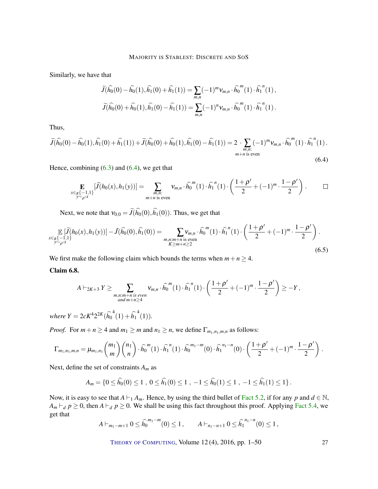Similarly, we have that

$$
\widetilde{J}(\widehat{h_0}(0) - \widehat{h_0}(1), \widehat{h_1}(0) + \widehat{h_1}(1)) = \sum_{m,n} (-1)^m v_{m,n} \cdot \widehat{h_0}^m(1) \cdot \widehat{h_1}^n(1),
$$
  

$$
\widetilde{J}(\widehat{h_0}(0) + \widehat{h_0}(1), \widehat{h_1}(0) - \widehat{h_1}(1)) = \sum_{m,n} (-1)^n v_{m,n} \cdot \widehat{h_0}^m(1) \cdot \widehat{h_1}^n(1).
$$

Thus,

<span id="page-26-0"></span>
$$
\widetilde{J}(\widehat{h_0}(0) - \widehat{h_0}(1), \widehat{h_1}(0) + \widehat{h_1}(1)) + \widetilde{J}(\widehat{h_0}(0) + \widehat{h_0}(1), \widehat{h_1}(0) - \widehat{h_1}(1)) = 2 \cdot \sum_{\substack{m,n:\\m+n \text{ is even}}} (-1)^m v_{m,n} \cdot \widehat{h_0}^m(1) \cdot \widehat{h_1}^n(1).
$$
\n(6.4)

Hence, combining  $(6.3)$  and  $(6.4)$ , we get that

$$
\mathop{\mathbf{E}}_{\substack{x \in_R \{-1,1\} \\ y \sim_{\rho'} x}} [\widetilde{J}(h_0(x), h_1(y))] = \sum_{\substack{m,n:\\m+n \text{ is even}}} v_{m,n} \cdot \widehat{h_0}^m(1) \cdot \widehat{h_1}^n(1) \cdot \left(\frac{1+\rho'}{2} + (-1)^m \cdot \frac{1-\rho'}{2}\right).
$$

Next, we note that  $v_{0,0} = \tilde{J}(\hat{h}_0(0), \hat{h}_1(0))$ . Thus, we get that

<span id="page-26-2"></span>
$$
\mathbb{E}\left[\widetilde{J}(h_0(x), h_1(y))\right] - \widetilde{J}(\widehat{h_0}(0), \widehat{h_1}(0)) = \sum_{\substack{m, n: m+n \text{ is even} \\ K \ge m+n \ge 2}} \nu_{m,n} \cdot \widehat{h_0}^m(1) \cdot \widehat{h_1}^n(1) \cdot \left(\frac{1+\rho'}{2} + (-1)^m \cdot \frac{1-\rho'}{2}\right). \tag{6.5}
$$

We first make the following claim which bounds the terms when  $m + n \geq 4$ .

#### <span id="page-26-1"></span>Claim 6.8.

$$
A\vdash_{2K+3} Y\geq \sum_{\substack{m,n=m+n \text{ is even} \\ and \, m+n\geq 4}} \mathsf{V}_{m,n}\cdot \widehat{h_0}^m(1)\cdot \widehat{h_1}^n(1)\cdot \left(\frac{1+\rho'}{2}+(-1)^m\cdot \frac{1-\rho'}{2}\right)\geq -Y,
$$

*where*  $Y = 2cK^4 2^{2K} (\hat{h_0}^4(1) + \hat{h_1}^4(1)).$ 

*Proof.* For  $m + n \geq 4$  and  $m_1 \geq m$  and  $n_1 \geq n$ , we define  $\Gamma_{m_1,n_1,m,n}$  as follows:

$$
\Gamma_{m_1,n_1,m,n} = \mu_{m_1,n_1} {m_1 \choose m} {n_1 \choose n} \cdot \widehat{h_0}^m(1) \cdot \widehat{h_1}^n(1) \cdot \widehat{h_0}^{m_1-m}(0) \cdot \widehat{h_1}^{n_1-n}(0) \cdot \left(\frac{1+\rho'}{2} + (-1)^m \cdot \frac{1-\rho'}{2}\right).
$$

Next, define the set of constraints *A<sup>m</sup>* as

$$
A_m = \{0 \le \widehat{h_0}(0) \le 1 \ , \ 0 \le \widehat{h_1}(0) \le 1 \ , \ -1 \le \widehat{h_0}(1) \le 1 \ , \ -1 \le \widehat{h_1}(1) \le 1 \}.
$$

Now, it is easy to see that  $A \vdash_1 A_m$ . Hence, by using the third bullet of [Fact](#page-18-0) [5.2,](#page-18-0) if for any *p* and  $d \in \mathbb{N}$ ,  $A_m \vdash_d p \geq 0$ , then  $A \vdash_d p \geq 0$ . We shall be using this fact throughout this proof. Applying [Fact](#page-19-1) [5.4,](#page-19-1) we get that

$$
A \vdash_{m_1 - m + 1} 0 \leq \widehat{h}_0^{m_1 - m}(0) \leq 1, \qquad A \vdash_{n_1 - n + 1} 0 \leq \widehat{h}_1^{n_1 - n}(0) \leq 1,
$$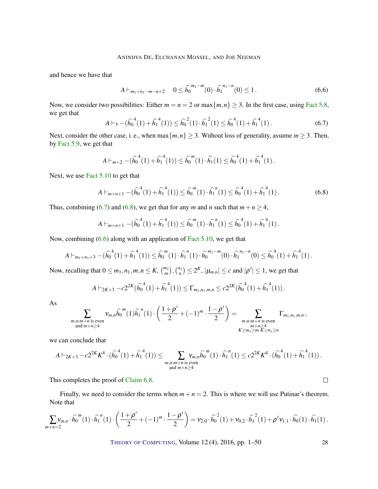and hence we have that

<span id="page-27-2"></span>
$$
A \vdash_{m_1+n_1-m-n+2} 0 \leq \hat{h}_0^{m_1-m}(0) \cdot \hat{h}_1^{n_1-n}(0) \leq 1.
$$
 (6.6)

Now, we consider two possibilities: Either  $m = n = 2$  or  $\max\{m, n\} \ge 3$ . In the first case, using [Fact](#page-20-0) [5.8,](#page-20-0) we get that

<span id="page-27-0"></span>
$$
A \vdash_5 -(\widehat{h_0}^4(1) + \widehat{h_1}^4(1)) \le \widehat{h_0}^2(1) \cdot \widehat{h_1}^2(1) \le \widehat{h_0}^4(1) + \widehat{h_1}^4(1). \tag{6.7}
$$

Next, consider the other case, i. e., when  $\max\{m, n\} \geq 3$ . Without loss of generality, assume  $m \geq 3$ . Then, by [Fact](#page-20-1) [5.9,](#page-20-1) we get that

$$
A \vdash_{m+2} -(\widehat{h_0}^4(1) + \widehat{h_1}^4(1)) \leq \widehat{h_0}^m(1) \cdot \widehat{h_1}(1) \leq \widehat{h_0}^4(1) + \widehat{h_1}^4(1).
$$

Next, we use Fact [5.10](#page-20-2) to get that

<span id="page-27-1"></span>
$$
A \vdash_{m+n+1} -(\widehat{h_0}^4(1) + \widehat{h_1}^4(1)) \le \widehat{h_0}^m(1) \cdot \widehat{h_1}^n(1) \le \widehat{h_0}^4(1) + \widehat{h_1}^4(1).
$$
 (6.8)

Thus, combining [\(6.7\)](#page-27-0) and [\(6.8\)](#page-27-1), we get that for any *m* and *n* such that  $m + n \ge 4$ ,

$$
A \vdash_{m+n+1} -(\widehat{h_0}^4(1) + \widehat{h_1}^4(1)) \leq \widehat{h_0}^m(1) \cdot \widehat{h_1}^n(1) \leq \widehat{h_0}^4(1) + \widehat{h_1}^4(1).
$$

Now, combining [\(6.6\)](#page-27-2) along with an application of Fact [5.10,](#page-20-2) we get that

$$
A \vdash_{m_1+n_1+3} -(\widehat{h_0}^4(1) + \widehat{h_1}^4(1)) \leq \widehat{h_0}^m(1) \cdot \widehat{h_1}^n(1) \cdot \widehat{h_0}^{m_1-m}(0) \cdot \widehat{h_1}^{n_1-n}(0) \leq \widehat{h_0}^4(1) + \widehat{h_1}^4(1).
$$

Now, recalling that  $0 \le m_1, n_1, m, n \le K$ ,  $\binom{m_1}{m}$ ,  $\binom{n_1}{n} \le 2^K$ ,  $|\mu_{m,n}| \le c$  and  $|\rho'| \le 1$ , we get that

$$
A \vdash_{2K+3} -c2^{2K}(\widehat{h_0}^4(1) + \widehat{h_1}^4(1)) \leq \Gamma_{m_1,n_1,m,n} \leq c2^{2K}(\widehat{h_0}^4(1) + \widehat{h_1}^4(1)).
$$

As

$$
\sum_{\substack{m,n:m+n \text{ is even} \\ \text{and } m+n \ge 4}} v_{m,n} \widehat{h_0}^m(1) \widehat{h_1}^n(1) \cdot \left( \frac{1+\rho'}{2} + (-1)^m \cdot \frac{1-\rho'}{2} \right) = \sum_{\substack{m,n:m+n \text{ is even} \\ m+n \ge 4 \\ K \ge m_1 \ge m}} \Gamma_{m_1,n_1,m,n},
$$

we can conclude that

$$
A \vdash_{2K+3} -c2^{2K} K^4 \cdot (\widehat{h_0}^4(1) + \widehat{h_1}^4(1)) \leq \sum_{\substack{m,n=m+n \text{ is even} \\ \text{and } m+n \geq 4}} v_{m,n} \widehat{h_0}^m(1) \cdot \widehat{h_1}^n(1) \leq c2^{2K} K^4 \cdot (\widehat{h_0}^4(1) + \widehat{h_1}^4(1)) \, .
$$

This completes the proof of [Claim](#page-26-1) [6.8.](#page-26-1)

Finally, we need to consider the terms when  $m + n = 2$ . This is where we will use Putinar's theorem. Note that

$$
\sum_{m+n=2} v_{m,n} \cdot \widehat{h_0}^m(1) \cdot \widehat{h_1}^n(1) \cdot \left(\frac{1+\rho'}{2} + (-1)^m \cdot \frac{1-\rho'}{2}\right) = v_{2,0} \cdot \widehat{h_0}^2(1) + v_{0,2} \cdot \widehat{h_1}^2(1) + \rho' v_{1,1} \cdot \widehat{h_0}(1) \cdot \widehat{h_1}(1).
$$

THEORY OF C[OMPUTING](http://dx.doi.org/10.4086/toc), Volume 12 (4), 2016, pp. 1–50 28

 $\Box$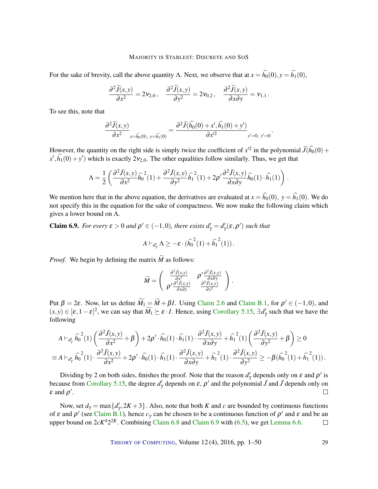For the sake of brevity, call the above quantity Λ. Next, we observe that at  $x = \hat{h}_0(0), y = \hat{h}_1(0)$ ,

$$
\frac{\partial^2 \widetilde{J}(x,y)}{\partial x^2} = 2v_{2,0}, \quad \frac{\partial^2 \widetilde{J}(x,y)}{\partial y^2} = 2v_{0,2}, \quad \frac{\partial^2 \widetilde{J}(x,y)}{\partial x \partial y} = v_{1,1}.
$$

To see this, note that

$$
\frac{\partial^2 \widetilde{J}(x,y)}{\partial x^2}_{x=\hat{h_0}(0), y=\hat{h_1}(0)} = \frac{\partial^2 \widetilde{J}(\hat{h_0}(0) + x', \hat{h_1}(0) + y')}{\partial x'^2}_{x'=0, y'=0}
$$

.

However, the quantity on the right side is simply twice the coefficient of  $x'^2$  in the polynomial  $\widetilde{J}(\widehat{h_0}(0) + \overline{h_0(\widehat{h_0}(0)})$  $x', \hat{h}_1(0) + y'$  which is exactly  $2v_{2,0}$ . The other equalities follow similarly. Thus, we get that

$$
\Lambda = \frac{1}{2} \left( \frac{\partial^2 \tilde{J}(x, y)}{\partial x^2} \widehat{h_0}^2(1) + \frac{\partial^2 \tilde{J}(x, y)}{\partial y^2} \widehat{h_1}^2(1) + 2\rho' \frac{\partial^2 \tilde{J}(x, y)}{\partial x \partial y} \widehat{h_0}(1) \cdot \widehat{h_1}(1) \right).
$$

We mention here that in the above equation, the derivatives are evaluated at  $x = \hat{h}_0(0)$ ,  $y = \hat{h}_1(0)$ . We do not specify this in the equation for the sake of compactness. We now make the following claim which gives a lower bound on  $\Lambda$ .

<span id="page-28-0"></span>**Claim 6.9.** *For every*  $\varepsilon > 0$  *and*  $\rho' \in (-1,0)$ *, there exists*  $d'_{\gamma} = d'_{\gamma}(\varepsilon, \rho')$  *such that* 

$$
A \vdash_{d'_\gamma} \Lambda \geq -\varepsilon \cdot (\widehat{h_0}^2(1) + \widehat{h_1}^2(1)).
$$

*Proof.* We begin by defining the matrix  $\widetilde{M}$  as follows:

$$
\widetilde{M} = \begin{pmatrix} \frac{\partial^2 \widetilde{J}(x,y)}{\partial x^2} & \rho' \frac{\partial^2 \widetilde{J}(x,y)}{\partial x \partial y} \\ \rho' \frac{\partial^2 \widetilde{J}(x,y)}{\partial x \partial y} & \frac{\partial^2 \widetilde{J}(x,y)}{\partial y^2} \end{pmatrix}.
$$

Put  $\beta = 2\varepsilon$ . Now, let us define  $\widetilde{M}_1 = \widetilde{M} + \beta I$ . Using [Claim](#page-43-0) [2.6](#page-8-1) and Claim [B.1,](#page-43-0) for  $\rho' \in (-1,0)$ , and  $(x, y) \in [\varepsilon, 1 - \varepsilon]^2$ , we can say that  $\widetilde{M}_1 \succeq \varepsilon \cdot I$ . Hence, using [Corollary](#page-21-3) [5.15,](#page-21-3)  $\exists d'_{\gamma}$  such that we have the following

$$
A \vdash_{d'_\gamma} \widehat{h_0}^2(1) \left( \frac{\partial^2 \tilde{J}(x, y)}{\partial x^2} + \beta \right) + 2\rho' \cdot \widehat{h_0}(1) \cdot \widehat{h_1}(1) \cdot \frac{\partial^2 \tilde{J}(x, y)}{\partial x \partial y} + \widehat{h_1}^2(1) \left( \frac{\partial^2 \tilde{J}(x, y)}{\partial y^2} + \beta \right) \ge 0
$$
  
\n
$$
\equiv A \vdash_{d'_\gamma} \widehat{h_0}^2(1) \cdot \frac{\partial^2 \tilde{J}(x, y)}{\partial x^2} + 2\rho' \cdot \widehat{h_0}(1) \cdot \widehat{h_1}(1) \cdot \frac{\partial^2 \tilde{J}(x, y)}{\partial x \partial y} + \widehat{h_1}^2(1) \cdot \frac{\partial^2 \tilde{J}(x, y)}{\partial y^2} \ge -\beta (\widehat{h_0}^2(1) + \widehat{h_1}^2(1)).
$$

Dividing by 2 on both sides, finishes the proof. Note that the reason  $d'_{\gamma}$  depends only on  $\varepsilon$  and  $\rho'$  is because from [Corollary](#page-21-3) [5.15,](#page-21-3) the degree  $d'_\gamma$  depends on  $\varepsilon$ ,  $\rho'$  and the polynomial  $\tilde{J}$  and  $\tilde{J}$  depends only on  $\varepsilon$  and  $\rho'$ .  $\Box$ 

Now, set  $d_{\gamma} = \max\{d'_{\gamma}, 2K + 3\}$ . Also, note that both *K* and *c* are bounded by continuous functions of  $\varepsilon$  and  $\rho'$  (see [Claim](#page-43-0) [B.1\)](#page-43-0), hence  $c_\gamma$  can be chosen to be a continuous function of  $\rho'$  and  $\varepsilon$  and be an upper bound on  $2cK^42^{2K}$ . Combining [Claim](#page-28-0)  $6.8$  and Claim  $6.9$  with  $(6.5)$ , we get [Lemma](#page-24-0) [6.6.](#page-24-0)  $\Box$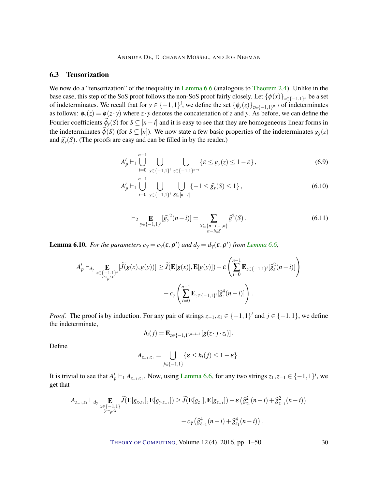#### 6.3 Tensorization

We now do a "tensorization" of the inequality in [Lemma](#page-24-0) [6.6](#page-24-0) (analogous to [Theorem](#page-7-1) [2.4\)](#page-7-1). Unlike in the base case, this step of the SoS proof follows the non-SoS proof fairly closely. Let  $\{\phi(x)\}_{x\in\{-1,1\}^n}$  be a set of indeterminates. We recall that for  $y \in \{-1,1\}^i$ , we define the set  $\{\phi_y(z)\}_{z \in \{-1,1\}^{n-i}}$  of indeterminates as follows:  $\phi_y(z) = \phi(z \cdot y)$  where  $z \cdot y$  denotes the concatenation of *z* and *y*. As before, we can define the Fourier coefficients  $\widehat{\phi}_y(S)$  for  $S \subseteq [n-i]$  and it is easy to see that they are homogeneous linear forms in the indeterminates  $\hat{\phi}(S)$  (for  $S \subseteq [n]$ ). We now state a few basic properties of the indeterminates  $g_y(z)$ and  $\hat{g}_{\nu}(S)$ . (The proofs are easy and can be filled in by the reader.)

$$
A'_{p} \vdash_1 \bigcup_{i=0}^{n-1} \bigcup_{y \in \{-1,1\}^{i}} \bigcup_{z \in \{-1,1\}^{n-i}} \{\varepsilon \le g_y(z) \le 1 - \varepsilon\},\tag{6.9}
$$

$$
A'_{p} \vdash_1 \bigcup_{i=0}^{n-1} \bigcup_{y \in \{-1,1\}^i} \bigcup_{S \subseteq [n-i]} \{-1 \le \widehat{g}_y(S) \le 1\},\tag{6.10}
$$

<span id="page-29-1"></span><span id="page-29-0"></span>
$$
\vdash_2 \mathop{\mathbf{E}}_{y \in \{-1,1\}^i} [\widehat{g_y}^2(n-i)] = \sum_{\substack{S \subseteq \{n-i,\dots,n\} \\ n-i \in S}} \widehat{g}^2(S).
$$
\n(6.11)

**[Lemma](#page-24-0) 6.10.** For the parameters  $c_{\gamma} = c_{\gamma}(\varepsilon, \rho')$  and  $d_{\gamma} = d_{\gamma}(\varepsilon, \rho')$  from Lemma [6.6,](#page-24-0)

$$
A'_{p} \vdash_{d_{\gamma}} \mathop{\mathbf{E}}_{x \in \{-1,1\}^{n}} [\widetilde{J}(g(x), g(y))] \ge \widetilde{J}(\mathbf{E}[g(x)], \mathbf{E}[g(y)]) - \varepsilon \left( \sum_{i=0}^{n-1} \mathop{\mathbf{E}}_{z \in \{-1,1\}^{i}} [\widehat{g}_{z}^{2}(n-i)] \right) - c_{\gamma} \left( \sum_{i=0}^{n-1} \mathop{\mathbf{E}}_{z \in \{-1,1\}^{i}} [\widehat{g}_{z}^{4}(n-i)] \right).
$$

*Proof.* The proof is by induction. For any pair of strings  $z_{-1}, z_1 \in \{-1, 1\}^i$  and  $j \in \{-1, 1\}$ , we define the indeterminate,

$$
h_i(j) = \mathbf{E}_{z \in \{-1,1\}^{n-i-1}}[g(z \cdot j \cdot z_i)].
$$

Define

$$
A_{z_{-1},z_1}=\bigcup_{j\in\{-1,1\}}\{\varepsilon\leq h_i(j)\leq 1-\varepsilon\}\.
$$

It is trivial to see that  $A'_p \vdash_1 A_{z_{-1},z_1}$ . Now, using [Lemma](#page-24-0) [6.6,](#page-24-0) for any two strings  $z_1, z_{-1} \in \{-1,1\}^i$ , we get that

$$
A_{z_{-1},z_{1}} \vdash_{d_{\gamma}} \mathop{\mathbf{E}}_{x \in \{-1,1\}} \widetilde{J}(\mathbf{E}[g_{x \cdot z_{1}}], \mathbf{E}[g_{y \cdot z_{-1}}]) \ge \widetilde{J}(\mathbf{E}[g_{z_{1}}], \mathbf{E}[g_{z_{-1}}]) - \varepsilon \left(\widehat{g}_{z_{1}}^{2}(n-i) + \widehat{g}_{z_{-1}}^{2}(n-i)\right) - c_{\gamma} \left(\widehat{g}_{z_{-1}}^{4}(n-i) + \widehat{g}_{z_{1}}^{4}(n-i)\right).
$$

THEORY OF C[OMPUTING](http://dx.doi.org/10.4086/toc), Volume 12(4), 2016, pp. 1–50 30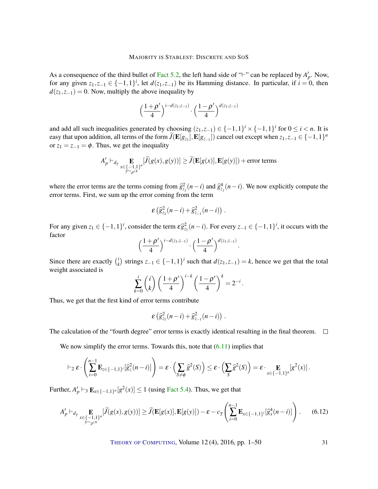As a consequence of the third bullet of [Fact](#page-18-0) [5.2,](#page-18-0) the left hand side of " $\vdash$ " can be replaced by  $A'_p$ . Now, for any given  $z_1, z_{-1} \in \{-1, 1\}^i$ , let  $d(z_1, z_{-1})$  be its Hamming distance. In particular, if  $i = 0$ , then  $d(z_1, z_{-1}) = 0$ . Now, multiply the above inequality by

$$
\left(\frac{1+\rho'}{4}\right)^{i-d(z_1,z_{-1})}\cdot\left(\frac{1-\rho'}{4}\right)^{d(z_1,z_{-1})}
$$

and add all such inequalities generated by choosing  $(z_1, z_{-1}) \in \{-1, 1\}^i \times \{-1, 1\}^i$  for  $0 \le i < n$ . It is easy that upon addition, all terms of the form  $\tilde{J}(\mathbf{E}[g_{z_1}], \mathbf{E}[g_{z_1}])$  cancel out except when  $z_1, z_{-1} \in \{-1, 1\}^n$ or  $z_1 = z_{-1} = \phi$ . Thus, we get the inequality

$$
A'_p \vdash_{d_\gamma} \mathop{\mathbf{E}}_{\substack{x \in \{-1,1\}^n \\ y \sim_{\rho'} x}} [\widetilde{J}(g(x), g(y))] \ge \widetilde{J}(\mathbf{E}[g(x)], \mathbf{E}[g(y)]) + \text{error terms}
$$

where the error terms are the terms coming from  $\hat{g}_{z_j}^2(n-i)$  and  $\hat{g}_{z_j}^4(n-i)$ . We now explicitly compute the error terms. First, we sum up the error coming from the term

$$
\varepsilon\left(\widehat{g}_{z_1}^2(n-i)+\widehat{g}_{z_{-1}}^2(n-i)\right).
$$

For any given  $z_1 \in \{-1,1\}^i$ , consider the term  $\mathcal{E}_{z_1}^2(n-i)$ . For every  $z_{-1} \in \{-1,1\}^i$ , it occurs with the factor

$$
\left(\frac{1+\rho'}{4}\right)^{i-d(z_1,z_{-1})}\cdot\left(\frac{1-\rho'}{4}\right)^{d(z_1,z_{-1})}.
$$

Since there are exactly  $\binom{i}{k}$ *k*) strings  $z_{-1}$  ∈ {−1,1}<sup>*i*</sup> such that  $d(z_1, z_{-1}) = k$ , hence we get that the total weight associated is

$$
\sum_{k=0}^i \binom{i}{k} \left(\frac{1+\rho'}{4}\right)^{i-k} \left(\frac{1-\rho'}{4}\right)^k = 2^{-i}.
$$

Thus, we get that the first kind of error terms contribute

$$
\varepsilon\left(\widehat{g}_{z_1}^2(n-i)+\widehat{g}_{z_{-1}}^2(n-i)\right).
$$

The calculation of the "fourth degree" error terms is exactly identical resulting in the final theorem.  $\Box$ 

We now simplify the error terms. Towards this, note that  $(6.11)$  implies that

$$
\vdash_2 \varepsilon \cdot \left( \sum_{i=0}^{n-1} \mathbf{E}_{z \in \{-1,1\}^i} [\widehat{g}_z^2(n-i)] \right) = \varepsilon \cdot \left( \sum_{S \neq \phi} \widehat{g}^2(S) \right) \leq \varepsilon \cdot \left( \sum_S \widehat{g}^2(S) \right) = \varepsilon \cdot \prod_{x \in \{-1,1\}^n} [g^2(x)].
$$

Further,  $A'_p \vdash_3 \mathbf{E}_{x \in \{-1,1\}^n}[g^2(x)] \le 1$  (using [Fact](#page-19-1) [5.4\)](#page-19-1). Thus, we get that

<span id="page-30-0"></span>
$$
A'_{p} \vdash_{d_{\gamma}} \mathop{\mathbf{E}}_{\substack{x \in \{-1,1\}^{n} \\ y \sim_{\rho'} x}} [\widetilde{J}(g(x), g(y))] \ge \widetilde{J}(\mathbf{E}[g(x)], \mathbf{E}[g(y)]) - \varepsilon - c_{\gamma} \left( \sum_{i=0}^{n-1} \mathbf{E}_{x \in \{-1,1\}^{i}} [\widehat{g}_{x}^{4}(n-i)] \right). \tag{6.12}
$$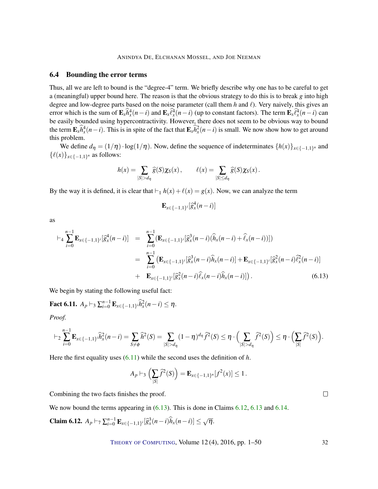#### 6.4 Bounding the error terms

Thus, all we are left to bound is the "degree-4" term. We briefly describe why one has to be careful to get a (meaningful) upper bound here. The reason is that the obvious strategy to do this is to break *g* into high degree and low-degree parts based on the noise parameter (call them  $h$  and  $\ell$ ). Very naively, this gives an error which is the sum of  $\mathbf{E}_x \hat{h}_x^4(n-i)$  and  $\mathbf{E}_x \hat{\ell}_x^4(n-i)$  (up to constant factors). The term  $\mathbf{E}_x \hat{\ell}_x^4(n-i)$  can be easily bounded using hypercontractivity. However, there does not seem to be obvious way to bound the term  $\mathbf{E}_x \hat{h}_x^4(n-i)$ . This is in spite of the fact that  $\mathbf{E}_x \hat{h}_x^2(n-i)$  is small. We now show how to get around this problem.

We define  $d_{\eta} = (1/\eta) \cdot \log(1/\eta)$ . Now, define the sequence of indeterminates  $\{h(x)\}_{x \in \{-1,1\}^n}$  and  $\{\ell(x)\}_{x \in \{-1,1\}^n}$  as follows:

$$
h(x) = \sum_{|S| > d_{\eta}} \widehat{g}(S) \chi_{S}(x), \qquad \ell(x) = \sum_{|S| \leq d_{\eta}} \widehat{g}(S) \chi_{S}(x).
$$

By the way it is defined, it is clear that  $\vdash_1 h(x) + \ell(x) = g(x)$ . Now, we can analyze the term

$$
\mathbf{E}_{x \in \{-1,1\}^i}[\widehat{g}_x^4(n-i)]
$$

as

<span id="page-31-0"></span>
$$
\vdash_{4} \sum_{i=0}^{n-1} \mathbf{E}_{x \in \{-1,1\}^{i}} [\hat{g}_{x}^{4}(n-i)] = \sum_{i=0}^{n-1} (\mathbf{E}_{x \in \{-1,1\}^{i}} [\hat{g}_{x}^{3}(n-i)(\hat{h}_{x}(n-i) + \hat{\ell}_{x}(n-i))])
$$
\n
$$
= \sum_{i=0}^{n-1} (\mathbf{E}_{x \in \{-1,1\}^{i}} [\hat{g}_{x}^{3}(n-i)\hat{h}_{x}(n-i)] + \mathbf{E}_{x \in \{-1,1\}^{i}} [\hat{g}_{x}^{2}(n-i)\hat{\ell}_{x}^{2}(n-i)]
$$
\n
$$
+ \mathbf{E}_{x \in \{-1,1\}^{i}} [\hat{g}_{x}^{2}(n-i)\hat{\ell}_{x}(n-i)] . \tag{6.13}
$$

We begin by stating the following useful fact:

<span id="page-31-2"></span>**Fact 6.11.**  $A_p \vdash_3 \sum_{i=0}^{n-1} \mathbf{E}_{x \in \{-1,1\}^i} \hat{h}_x^2(n-i) \leq \eta.$ 

*Proof.*

$$
\vdash_2 \sum_{i=0}^{n-1} \mathbf{E}_{x \in \{-1,1\}^i} \widehat{h}_x^2(n-i) = \sum_{S \neq \phi} \widehat{h}^2(S) = \sum_{|S| > d_\eta} (1-\eta)^{d_\eta} \widehat{f}^2(S) \leq \eta \cdot \Big(\sum_{|S| > d_\eta} \widehat{f}^2(S)\Big) \leq \eta \cdot \Big(\sum_{|S|} \widehat{f}^2(S)\Big).
$$

Here the first equality uses [\(6.11\)](#page-29-0) while the second uses the definition of *h*.

$$
A_p \vdash_3 \left( \sum_{|S|} \widehat{f}^2(S) \right) = \mathbf{E}_{x \in \{-1,1\}^n} [f^2(x)] \le 1.
$$

Combining the two facts finishes the proof.

We now bound the terms appearing in  $(6.13)$ . This is done in Claims [6.12,](#page-31-1) [6.13](#page-32-0) and [6.14.](#page-33-0)

<span id="page-31-1"></span>**Claim 6.12.** 
$$
A_p \vdash_7 \sum_{i=0}^{n-1} \mathbf{E}_{x \in \{-1,1\}^i} [\widehat{g}_x^3(n-i) \widehat{h}_x(n-i)] \le \sqrt{\eta}
$$
.

THEORY OF C[OMPUTING](http://dx.doi.org/10.4086/toc), Volume 12 (4), 2016, pp. 1–50 32

 $\Box$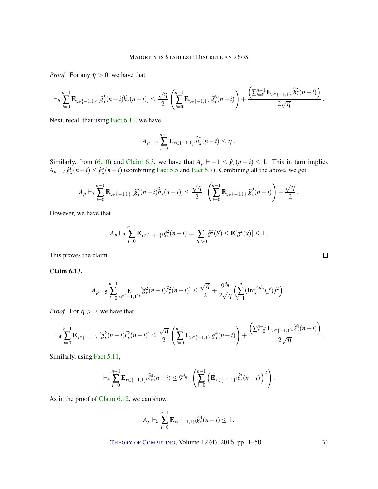*Proof.* For any  $\eta > 0$ , we have that

$$
\vdash_6 \sum_{i=0}^{n-1} \mathbf{E}_{x \in \{-1,1\}^i} [\widehat{g}_x^3(n-i) \widehat{h}_x(n-i)] \leq \frac{\sqrt{\eta}}{2} \left( \sum_{i=0}^{n-1} \mathbf{E}_{x \in \{-1,1\}^i} \widehat{g}_x^6(n-i) \right) + \frac{\left( \sum_{i=0}^{n-1} \mathbf{E}_{x \in \{-1,1\}^i} \widehat{h}_x^2(n-i) \right)}{2\sqrt{\eta}}.
$$

Next, recall that using Fact [6.11,](#page-31-2) we have

$$
A_p \vdash_3 \sum_{i=0}^{n-1} \mathbf{E}_{x \in \{-1,1\}^i} \widehat{h}_x^2(n-i) \leq \eta.
$$

Similarly, from [\(6.10\)](#page-29-1) and [Claim](#page-23-3) [6.3,](#page-23-3) we have that  $A_p \vdash -1 \leq \hat{g}_x(n-i) \leq 1$ . This in turn implies  $A_p \vdash_7 \hat{g}_x^6(n-i) \leq \hat{g}_x^2(n-i)$  (combining [Fact](#page-19-0) [5.5](#page-19-2) and Fact [5.7\)](#page-19-0). Combining all the above, we get

$$
A_p \vdash_7 \sum_{i=0}^{n-1} \mathbf{E}_{x \in \{-1,1\}^i}[\widehat{g}_x^3(n-i)\widehat{h}_x(n-i)] \leq \frac{\sqrt{\eta}}{2} \cdot \left(\sum_{i=0}^{n-1} \mathbf{E}_{x \in \{-1,1\}^i} \widehat{g}_x^2(n-i)\right) + \frac{\sqrt{\eta}}{2}.
$$

However, we have that

$$
A_p \vdash_3 \sum_{i=0}^{n-1} \mathbf{E}_{x \in \{-1,1\}^i} \hat{g}_x^2(n-i) = \sum_{|S|>0} \hat{g}^2(S) \leq \mathbf{E}[g^2(x)] \leq 1.
$$

This proves the claim.

<span id="page-32-0"></span>Claim 6.13.

$$
A_p \vdash_5 \sum_{i=0}^{n-1} \mathop{\mathbf{E}}_{x \in \{-1,1\}^i} [\widehat{g}_x^2(n-i) \widehat{\ell}_x^2(n-i)] \le \frac{\sqrt{\eta}}{2} + \frac{9^{d_\eta}}{2\sqrt{\eta}} \Big( \sum_{i=1}^n (\mathrm{Inf}_i^{\le d_\eta}(f))^2 \Big).
$$

*Proof.* For  $\eta > 0$ , we have that

$$
\vdash_4 \sum_{i=0}^{n-1} \mathbf{E}_{x \in \{-1,1\}^i} [\widehat{g}_x^2(n-i) \widehat{\ell}_x^2(n-i)] \leq \frac{\sqrt{\eta}}{2} \left( \sum_{i=0}^{n-1} \mathbf{E}_{x \in \{-1,1\}^i} \widehat{g}_x^4(n-i) \right) + \frac{\left( \sum_{i=0}^{n-1} \mathbf{E}_{x \in \{-1,1\}^i} \widehat{\ell}_x^4(n-i) \right)}{2\sqrt{\eta}}
$$

Similarly, using Fact [5.11,](#page-20-3)

$$
\vdash_4 \sum_{i=0}^{n-1} \mathbf{E}_{x \in \{-1,1\}^i} \widehat{\ell}_x^4(n-i) \leq 9^{d_{\eta}} \cdot \left( \sum_{i=0}^{n-1} \left( \mathbf{E}_{x \in \{-1,1\}^i} \widehat{\ell}_x^2(n-i) \right)^2 \right).
$$

As in the proof of [Claim](#page-31-1) [6.12,](#page-31-1) we can show

$$
A_p \vdash_5 \sum_{i=0}^{n-1} \mathbf{E}_{x \in \{-1,1\}^i} \widehat{g}_x^4(n-i) \leq 1.
$$

THEORY OF C[OMPUTING](http://dx.doi.org/10.4086/toc), Volume 12 (4), 2016, pp. 1–50 33

 $\Box$ 

.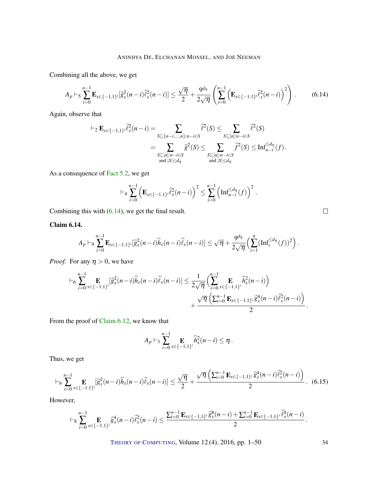Combining all the above, we get

<span id="page-33-1"></span>
$$
A_p \vdash_5 \sum_{i=0}^{n-1} \mathbf{E}_{x \in \{-1,1\}^i} [\widehat{g}_x^2(n-i)\widehat{\ell}_x^2(n-i)] \le \frac{\sqrt{\eta}}{2} + \frac{9^{d_\eta}}{2\sqrt{\eta}} \left( \sum_{i=0}^{n-1} \left( \mathbf{E}_{x \in \{-1,1\}^i} \widehat{\ell}_x^2(n-i) \right)^2 \right). \tag{6.14}
$$

Again, observe that

$$
\vdash_2 \mathbf{E}_{x \in \{-1,1\}^i} \widehat{\ell}_x^2(n-i) = \sum_{\substack{S \subseteq \{n-i,\ldots,n\}: n-i \in S}} \widehat{\ell}^2(S) \leq \sum_{\substack{S \subseteq [n]: n-i \in S}} \widehat{\ell}^2(S)
$$

$$
= \sum_{\substack{S \subseteq [n]: n-i \in S \\ \text{and } |S| \leq d_\eta}} \widehat{g}^2(S) \leq \sum_{\substack{S \subseteq [n]: n-i \in S \\ \text{and } |S| \leq d_\eta}} \widehat{f}^2(S) \leq \text{Inf}_{n-i}^{\leq d_\eta}(f).
$$

As a consequence of [Fact](#page-18-0) [5.2,](#page-18-0) we get

$$
\vdash_4 \sum_{i=0}^{n-1} \left( \mathbf{E}_{x \in \{-1,1\}^i} \widehat{\ell}_x^2(n-i) \right)^2 \leq \sum_{i=0}^{n-1} \left( \mathrm{Inf}_{n-i}^{\leq d_{\eta}}(f) \right)^2.
$$

Combining this with [\(6.14\)](#page-33-1), we get the final result.

<span id="page-33-0"></span>Claim 6.14.

$$
A_p \vdash_9 \sum_{i=0}^{n-1} \mathbf{E}_{x \in \{-1,1\}^i} [\widehat{g}_x^2(n-i) \widehat{h}_x(n-i) \widehat{\ell}_x(n-i)] \leq \sqrt{\eta} + \frac{9^{d_\eta}}{2\sqrt{\eta}} \Big( \sum_{i=1}^n (\mathrm{Inf}_i^{\leq d_\eta}(f))^2 \Big).
$$

*Proof.* For any  $\eta > 0$ , we have

$$
\vdash_6 \sum_{i=0}^{n-1} \mathop{\mathbf{E}}_{x \in \{-1,1\}^i} [\widehat{g}_x^2(n-i) \widehat{h}_x(n-i) \widehat{\ell}_x(n-i)] \leq \frac{1}{2\sqrt{\eta}} \Biggl( \sum_{i=0}^{n-1} \mathop{\mathbf{E}}_{x \in \{-1,1\}^i} \widehat{h}_x^2(n-i) \Biggr) + \frac{\sqrt{\eta} \left( \sum_{i=0}^{n-1} \mathop{\mathbf{E}}_{x \in \{-1,1\}^i} \widehat{g}_x^4(n-i) \widehat{\ell}_x^2(n-i) \right)}{2}.
$$

From the proof of [Claim](#page-31-1) [6.12,](#page-31-1) we know that

$$
A_p \vdash_3 \sum_{i=0}^{n-1} \mathop{\mathbf{E}}_{x \in \{-1,1\}^i} \widehat{h}_x^2(n-i) \leq \eta.
$$

Thus, we get

<span id="page-33-2"></span>
$$
\vdash_6 \sum_{i=0}^{n-1} \mathop{\mathbf{E}}_{x \in \{-1,1\}^i} [\widehat{g}_x^2(n-i) \widehat{h}_x(n-i) \widehat{\ell}_x(n-i)] \leq \frac{\sqrt{\eta}}{2} + \frac{\sqrt{\eta} \left( \sum_{i=0}^{n-1} \mathop{\mathbf{E}}_{x \in \{-1,1\}^i} \widehat{g}_x^4(n-i) \widehat{\ell}_x^2(n-i) \right)}{2} .
$$
 (6.15)

However,

$$
\vdash_8 \sum_{i=0}^{n-1} \mathop{\mathbf{E}}_{x \in \{-1,1\}^i} \widehat{g}_x^4(n-i) \widehat{\ell}_x^2(n-i) \leq \frac{\sum_{i=0}^{n-1} \mathop{\mathbf{E}}_{x \in \{-1,1\}^i} \widehat{g}_x^8(n-i) + \sum_{i=0}^{n-1} \mathop{\mathbf{E}}_{x \in \{-1,1\}^i} \widehat{\ell}_x^4(n-i)}{2}.
$$

$$
\qquad \qquad \Box
$$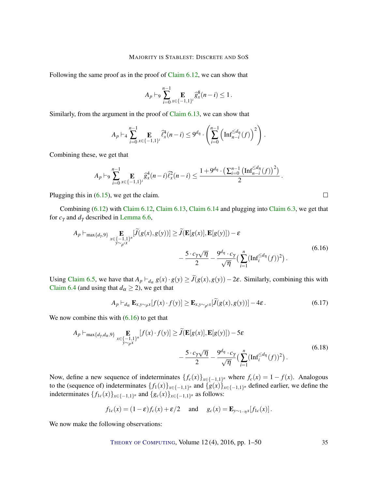Following the same proof as in the proof of [Claim](#page-31-1) [6.12,](#page-31-1) we can show that

$$
A_p \vdash_9 \sum_{i=0}^{n-1} \mathop{\mathbf{E}}_{x \in \{-1,1\}^i} \widehat{g}_x^8(n-i) \le 1.
$$

Similarly, from the argument in the proof of [Claim](#page-32-0) [6.13,](#page-32-0) we can show that

$$
A_p \vdash_4 \sum_{i=0}^{n-1} \mathop{\mathbf{E}}_{x \in \{-1,1\}^i} \widehat{\ell}_x^4(n-i) \leq 9^{d_{\eta}} \cdot \left( \sum_{i=0}^{n-1} \left( \mathrm{Inf}_{n-i}^{\leq d_{\eta}}(f) \right)^2 \right).
$$

Combining these, we get that

$$
A_p \vdash_9 \sum_{i=0}^{n-1} \mathop{\mathbf{E}}_{x \in \{-1,1\}^i} \widehat{g}_x^4(n-i) \widehat{\ell}_x^2(n-i) \le \frac{1+9^{d_\eta} \cdot \left(\sum_{i=0}^{n-1} \left(\mathrm{Inf}_{n-i}^{\le d_\eta}(f)\right)^2\right)}{2}.
$$

Plugging this in  $(6.15)$ , we get the claim.

Combining [\(6.12\)](#page-30-0) with [Claim](#page-31-1) [6.12,](#page-31-1) [Claim](#page-32-0) [6.13,](#page-32-0) [Claim](#page-33-0) [6.14](#page-33-0) and plugging into [Claim](#page-23-3) [6.3,](#page-23-3) we get that for  $c_\gamma$  and  $d_\gamma$  described in [Lemma](#page-24-0) [6.6,](#page-24-0)

<span id="page-34-0"></span>
$$
A_p \vdash_{\max\{d_\gamma,9\}} \mathop{\mathbf{E}}_{\substack{x \in \{-1,1\}^n \\ y \sim \rho^{iX}}} [\widetilde{J}(g(x), g(y))] \ge \widetilde{J}(\mathbf{E}[g(x)], \mathbf{E}[g(y)]) - \varepsilon
$$
\n
$$
- \frac{5 \cdot c_\gamma \sqrt{\eta}}{2} - \frac{9^{d_\eta} \cdot c_\gamma}{\sqrt{\eta}} \Big( \sum_{i=1}^n (\text{Inf}_i^{\le d_\eta}(f))^2 \Big) \,. \tag{6.16}
$$

Using [Claim](#page-24-1) [6.5,](#page-24-1) we have that  $A_p \vdash_{d_\alpha} g(x) \cdot g(y) \geq J(g(x), g(y)) - 2\varepsilon$ . Similarly, combining this with [Claim](#page-24-2) [6.4](#page-24-2) (and using that  $d_{\alpha} \ge 2$ ), we get that

$$
A_p \vdash_{d_{\alpha}} \mathbf{E}_{x, y \sim_{\rho} x} [f(x) \cdot f(y)] \geq \mathbf{E}_{x, y \sim_{\rho'} x} [\widetilde{J}(g(x), g(y))] - 4\varepsilon. \tag{6.17}
$$

<span id="page-34-1"></span>We now combine this with  $(6.16)$  to get that

$$
A_p \vdash_{\max\{d_\gamma, d_\alpha, 9\}} \mathop{\mathbf{E}}_{x \in \{-1, 1\}^n} [f(x) \cdot f(y)] \ge \widetilde{J}(\mathop{\mathbf{E}}[g(x)], \mathop{\mathbf{E}}[g(y)]) - 5\varepsilon
$$
  

$$
- \frac{5 \cdot c_\gamma \sqrt{\eta}}{2} - \frac{9^{d_\eta} \cdot c_\gamma}{\sqrt{\eta}} \left( \sum_{i=1}^n (\text{Inf}_i^{\le d_\eta}(f))^2 \right). \tag{6.18}
$$

Now, define a new sequence of indeterminates  ${f_c(x)}_{x \in \{-1,1\}^n}$  where  $f_c(x) = 1 - f(x)$ . Analogous to the (sequence of) indeterminates  $\{f_1(x)\}_{x \in \{-1,1\}^n}$  and  $\{g(x)\}_{x \in \{-1,1\}^n}$  defined earlier, we define the indeterminates { *f*1*c*(*x*)}*x*∈{−1,1} *<sup>n</sup>* and {*gc*(*x*)}*x*∈{−1,1} *<sup>n</sup>* as follows:

$$
f_{1c}(x) = (1 - \varepsilon)f_c(x) + \varepsilon/2
$$
 and  $g_c(x) = \mathbf{E}_{y \sim_{1-\eta} x}[f_{1c}(x)].$ 

We now make the following observations:

$$
\qquad \qquad \Box
$$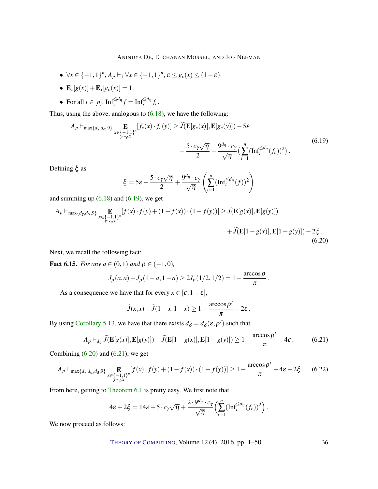- $\bullet \ \forall x \in \{-1,1\}^n, A_p \vdash_1 \forall x \in \{-1,1\}^n, \varepsilon \le g_c(x) \le (1-\varepsilon).$
- $\mathbf{E}_x[g(x)] + \mathbf{E}_x[g_c(x)] = 1.$
- For all  $i \in [n]$ ,  $\text{Inf}_{i}^{\le d_{\eta}} f = \text{Inf}_{i}^{\le d_{\eta}} f_{c}$ .

Thus, using the above, analogous to [\(6.18\)](#page-34-1), we have the following:

<span id="page-35-0"></span>
$$
A_p \vdash_{\max\{d_\gamma, d_\alpha, 9\}} \mathop{\mathbf{E}}_{x \in \{-1, 1\}^n} [f_c(x) \cdot f_c(y)] \ge \widetilde{J}(\mathbf{E}[g_c(x)], \mathbf{E}[g_c(y)]) - 5\varepsilon
$$
  

$$
- \frac{5 \cdot c_\gamma \sqrt{\eta}}{2} - \frac{9^{d_\eta} \cdot c_\gamma}{\sqrt{\eta}} \left(\sum_{i=1}^n (\text{Inf}_i^{\le d_\eta}(f_c))^2\right). \tag{6.19}
$$

Defining ξ as

$$
\xi = 5\varepsilon + \frac{5 \cdot c_\gamma \sqrt{\eta}}{2} + \frac{9^{d_\eta} \cdot c_\gamma}{\sqrt{\eta}} \left( \sum_{i=1}^n (\text{Inf}_i^{\leq d_\eta}(f))^2 \right)
$$

and summing up  $(6.18)$  and  $(6.19)$ , we get

<span id="page-35-1"></span>
$$
A_p \vdash_{\max\{d_\gamma, d_\alpha, 9\}} \mathop{\mathbf{E}}_{x \in \{-1, 1\}^n} [f(x) \cdot f(y) + (1 - f(x)) \cdot (1 - f(y))] \ge \widetilde{J}(\mathop{\mathbf{E}}[g(x)], \mathop{\mathbf{E}}[g(y)]) + \widetilde{J}(\mathop{\mathbf{E}}[1 - g(x)], \mathop{\mathbf{E}}[1 - g(y)]) - 2\xi.
$$
\n(6.20)

Next, we recall the following fact:

**Fact 6.15.** *For any*  $a \in (0,1)$  *and*  $\rho \in (-1,0)$ *,* 

$$
J_{\rho}(a,a) + J_{\rho}(1-a,1-a) \ge 2J_{\rho}(1/2,1/2) = 1 - \frac{\arccos\rho}{\pi}.
$$

As a consequence we have that for every  $x \in [\varepsilon, 1 - \varepsilon]$ ,

$$
\widetilde{J}(x,x)+\widetilde{J}(1-x,1-x)\geq 1-\frac{\arccos \rho'}{\pi}-2\varepsilon.
$$

By using [Corollary](#page-21-1) [5.13,](#page-21-1) we have that there exists  $d_{\delta} = d_{\delta}(\varepsilon, \rho')$  such that

<span id="page-35-2"></span>
$$
A_p \vdash_{d_\delta} \widetilde{J}(\mathbf{E}[g(x)], \mathbf{E}[g(y)]) + \widetilde{J}(\mathbf{E}[1 - g(x)], \mathbf{E}[1 - g(y)]) \ge 1 - \frac{\arccos \rho'}{\pi} - 4\varepsilon. \tag{6.21}
$$

 $\lambda$ 

.

Combining  $(6.20)$  and  $(6.21)$ , we get

$$
A_p \vdash_{\max\{d_\gamma, d_\alpha, d_\delta, 9\}} \mathop{\mathbf{E}}_{\substack{x \in \{-1, 1\}^n \\ y \sim_\rho x}} [f(x) \cdot f(y) + (1 - f(x)) \cdot (1 - f(y))] \ge 1 - \frac{\arccos \rho'}{\pi} - 4\varepsilon - 2\xi. \tag{6.22}
$$

From here, getting to [Theorem](#page-22-0) [6.1](#page-22-0) is pretty easy. We first note that

$$
4\varepsilon + 2\xi = 14\varepsilon + 5 \cdot c_{\gamma}\sqrt{\eta} + \frac{2 \cdot 9^{d_{\eta}} \cdot c_{\gamma}}{\sqrt{\eta}} \Big(\sum_{i=1}^{n} (\text{Inf}_{i}^{\leq d_{\eta}}(f_{c}))^{2}\Big)
$$

We now proceed as follows: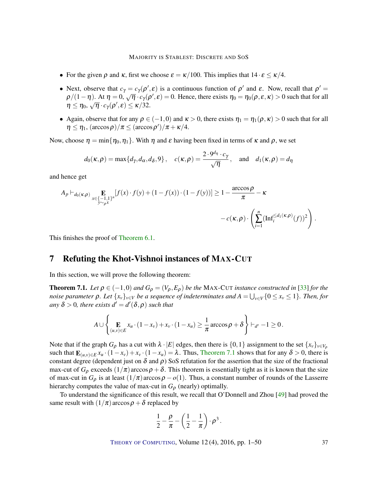- <span id="page-36-1"></span>• For the given  $\rho$  and  $\kappa$ , first we choose  $\varepsilon = \kappa/100$ . This implies that  $14 \cdot \varepsilon \le \kappa/4$ .
- Next, observe that  $c_\gamma = c_\gamma(\rho', \varepsilon)$  is a continuous function of  $\rho'$  and  $\varepsilon$ . Now, recall that  $\rho' = \frac{1}{2} \left( \frac{1}{2} \rho + \frac{1}{2} \rho + \frac{1}{2} \rho + \frac{1}{2} \rho + \frac{1}{2} \rho + \frac{1}{2} \rho + \frac{1}{2} \rho + \frac{1}{2} \rho + \frac{1}{2} \rho + \frac{1}{2} \rho + \frac{1}{$  $\rho/(1-\eta)$ . At  $\eta = 0$ ,  $\sqrt{\eta} \cdot c_{\gamma}(\rho', \varepsilon) = 0$ . Hence, there exists  $\eta_0 = \eta_0(\rho, \varepsilon, \kappa) > 0$  such that for all  $\eta \leq \eta_0$ ,  $\sqrt{\eta} \cdot c_{\gamma}(\rho', \varepsilon) \leq \kappa/32$ .
- Again, observe that for any  $\rho \in (-1,0)$  and  $\kappa > 0$ , there exists  $\eta_1 = \eta_1(\rho, \kappa) > 0$  such that for all  $\eta \leq \eta_1$ ,  $(\arccos \rho)/\pi \leq (\arccos \rho')/\pi + \kappa/4$ .

Now, choose  $\eta = \min\{\eta_0, \eta_1\}$ . With  $\eta$  and  $\varepsilon$  having been fixed in terms of  $\kappa$  and  $\rho$ , we set

$$
d_0(\kappa,\rho) = \max\{d_\gamma,d_\alpha,d_\delta,9\}, \quad c(\kappa,\rho) = \frac{2 \cdot 9^{d_\eta} \cdot c_\gamma}{\sqrt{\eta}}, \quad \text{and} \quad d_1(\kappa,\rho) = d_\eta
$$

and hence get

$$
A_p \vdash_{d_0(\kappa,\rho)} \mathop{\mathbf{E}}_{\substack{x \in \{-1,1\}^n \\ y \sim_{\rho} x}} [f(x) \cdot f(y) + (1 - f(x)) \cdot (1 - f(y))] \ge 1 - \frac{\arccos\rho}{\pi} - \kappa
$$
  
- c(\kappa,\rho) \cdot \left( \sum\_{i=1}^n (\mathrm{Inf}\_i^{\le d\_1(\kappa,\rho)}(f))^2 \right).

This finishes the proof of [Theorem](#page-22-0) [6.1.](#page-22-0)

### 7 Refuting the Khot-Vishnoi instances of MAX-CUT

In this section, we will prove the following theorem:

<span id="page-36-0"></span>**Theorem 7.1.** *Let*  $\rho \in (-1,0)$  *and*  $G_{\rho} = (V_{\rho}, E_{\rho})$  *be the* MAX-CUT *instance constructed in* [\[33\]](#page-47-1) *for the noise parameter*  $\rho$ *. Let*  $\{x_v\}_{v\in V}$  *be a sequence of indeterminates and*  $A = \bigcup_{v\in V}\{0\leq x_v\leq 1\}$ *. Then, for*  $any \delta > 0$ , there exists  $d' = d'(\delta, \rho)$  such that

$$
A \cup \left\{\mathop{\mathbf{E}}_{(u,v)\in E} x_u\cdot (1-x_v)+x_v\cdot (1-x_u)\geq \frac{1}{\pi}\arccos\rho+\delta\right\}\vdash_{d'}-1\geq 0.
$$

Note that if the graph  $G_\rho$  has a cut with  $\lambda \cdot |E|$  edges, then there is  $\{0,1\}$  assignment to the set  $\{x_v\}_{v \in V_\rho}$ such that  $\mathbf{E}_{(u,v)\in E}x_u \cdot (1-x_v)+x_v \cdot (1-x_u)=\lambda$ . Thus, [Theorem](#page-36-0) [7.1](#page-36-0) shows that for any  $\delta > 0$ , there is constant degree (dependent just on  $\delta$  and  $\rho$ ) SoS refutation for the assertion that the size of the fractional max-cut of  $G_\rho$  exceeds  $(1/\pi)$  arccos  $\rho + \delta$ . This theorem is essentially tight as it is known that the size of max-cut in  $G_{\rho}$  is at least  $(1/\pi)$  arccos $\rho - o(1)$ . Thus, a constant number of rounds of the Lasserre hierarchy computes the value of max-cut in  $G_{\rho}$  (nearly) optimally.

To understand the significance of this result, we recall that O'Donnell and Zhou [\[49\]](#page-48-6) had proved the same result with  $(1/\pi)$  arccos  $\rho + \delta$  replaced by

$$
\frac{1}{2} - \frac{\rho}{\pi} - \left(\frac{1}{2} - \frac{1}{\pi}\right) \cdot \rho^3.
$$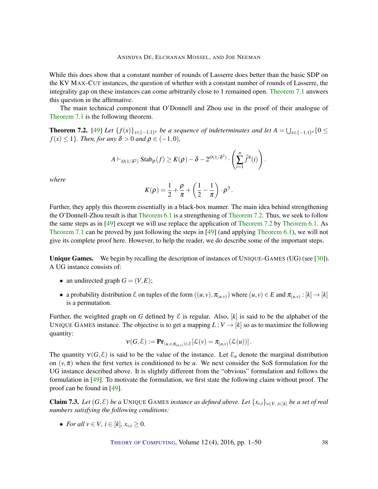<span id="page-37-2"></span>While this does show that a constant number of rounds of Lasserre does better than the basic SDP on the KV MAX-CUT instances, the question of whether with a constant number of rounds of Lasserre, the integrality gap on these instances can come arbitrarily close to 1 remained open. [Theorem](#page-36-0) [7.1](#page-36-0) answers this question in the affirmative.

The main technical component that O'Donnell and Zhou use in the proof of their analogue of [Theorem](#page-36-0) [7.1](#page-36-0) is the following theorem.

<span id="page-37-0"></span>**Theorem 7.2.** [\[49\]](#page-48-6) Let  $\{f(x)\}_{x\in\{-1,1\}^n}$  be a sequence of indeterminates and let  $A = \bigcup_{x\in\{-1,1\}^n} \{0 \leq x\}$  $f(x) \leq 1$ *}. Then, for any*  $\delta > 0$  *and*  $\rho \in (-1,0)$ *,* 

$$
A\vdash_{O(1/\delta^2)} \mathrm{Stab}_{\rho}(f) \geq K(\rho) - \delta - 2^{O(1/\delta^2)} \cdot \left(\sum_{i=1}^n \widehat{f}^4(i)\right).
$$

*where*

$$
K(\rho) = \frac{1}{2} + \frac{\rho}{\pi} + \left(\frac{1}{2} - \frac{1}{\pi}\right) \cdot \rho^3.
$$

Further, they apply this theorem essentially in a black-box manner. The main idea behind strengthening the O'Donnell-Zhou result is that [Theorem](#page-22-0) [6.1](#page-22-0) is a strengthening of [Theorem](#page-37-0) [7.2.](#page-37-0) Thus, we seek to follow the same steps as in [\[49\]](#page-48-6) except we will use replace the application of [Theorem](#page-37-0) [7.2](#page-37-0) by [Theorem](#page-22-0) [6.1.](#page-22-0) As [Theorem](#page-36-0) [7.1](#page-36-0) can be proved by just following the steps in [\[49\]](#page-48-6) (and applying [Theorem](#page-22-0) [6.1\)](#page-22-0), we will not give its complete proof here. However, to help the reader, we do describe some of the important steps.

**Unique Games.** We begin by recalling the description of instances of UNIQUE-GAMES (UG) (see [\[30\]](#page-47-0)). A UG instance consists of:

- an undirected graph  $G = (V, E)$ ;
- a probability distribution  $\mathcal E$  on tuples of the form  $((u, v), \pi_{(u,v)})$  where  $(u, v) \in E$  and  $\pi_{(u,v)} : [k] \to [k]$ is a permutation.

Further, the weighted graph on *G* defined by  $\mathcal E$  is regular. Also, [k] is said to be the alphabet of the UNIQUE GAMES instance. The objective is to get a mapping  $L: V \to [k]$  so as to maximize the following quantity:

$$
\mathbf{v}(G,\mathcal{E}) := \mathbf{Pr}_{(u,v,\pi_{(u,v)}) \in \mathcal{E}}[\mathcal{L}(v) = \pi_{(u,v)}(\mathcal{L}(u))].
$$

The quantity  $v(G, \mathcal{E})$  is said to be the value of the instance. Let  $\mathcal{E}_u$  denote the marginal distribution on  $(v, \pi)$  when the first vertex is conditioned to be *u*. We next consider the SoS formulation for the UG instance described above. It is slightly different from the "obvious" formulation and follows the formulation in [\[49\]](#page-48-6). To motivate the formulation, we first state the following claim without proof. The proof can be found in [\[49\]](#page-48-6).

<span id="page-37-1"></span>**Claim 7.3.** *Let*  $(G, \mathcal{E})$  *be a* UNIQUE GAMES *instance as defined above. Let*  $\{x_{v,i}\}_{v \in V, i \in [k]}$  *be a set of real numbers satisfying the following conditions:*

• *For all*  $v \in V$ *,*  $i \in [k]$ *,*  $x_v$ *,*  $> 0$ *.*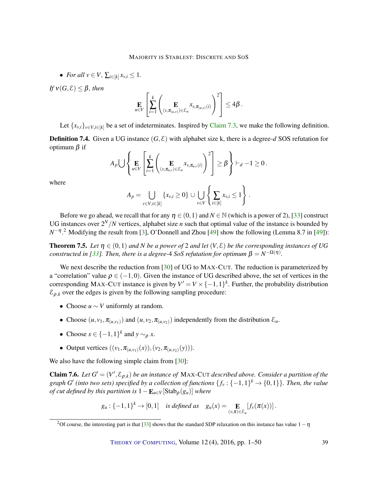<span id="page-38-2"></span>• For all 
$$
v \in V
$$
,  $\sum_{i \in [k]} x_{v,i} \leq 1$ .

*If*  $v(G, \mathcal{E}) \leq \beta$ *, then* 

$$
\mathop{\mathbf{E}}_{u \in V} \left[ \sum_{i=1}^k \left( \mathop{\mathbf{E}}_{(v, \pi_{(u,v)}) \in \mathcal{E}_u} x_{v, \pi_{(u,v)}(i)} \right)^2 \right] \leq 4\beta.
$$

Let  $\{x_{v,i}\}_{v \in V, i \in [k]}$  be a set of indeterminates. Inspired by [Claim](#page-37-1) [7.3,](#page-37-1) we make the following definition.

**Definition 7.4.** Given a UG instance  $(G, \mathcal{E})$  with alphabet size k, there is a degree- $d$  SOS refutation for optimum  $β$  if

$$
A_p \bigcup \left\{ \mathop{\mathbf{E}}_{u \in V} \left[ \sum_{i=1}^k \left( \mathop{\mathbf{E}}_{(v, \pi_{u,v}) \in \mathcal{E}_u} x_{v, \pi_{u,v}(i)} \right)^2 \right] \geq \beta \right\} \vdash_d -1 \geq 0.
$$

where

$$
A_{p} = \bigcup_{v \in V, i \in [k]} \{x_{v,i} \ge 0\} \cup \bigcup_{v \in V} \left\{ \sum_{i \in [k]} x_{v,i} \le 1 \right\}.
$$

Before we go ahead, we recall that for any  $\eta \in (0,1)$  and  $N \in \mathbb{N}$  (which is a power of 2), [\[33\]](#page-47-1) construct UG instances over  $2^N/N$  vertices, alphabet size *n* such that optimal value of the instance is bounded by *N*<sup>−η</sup>.<sup>2</sup> Modifying the result from [\[3\]](#page-45-2), O'Donnell and Zhou [\[49\]](#page-48-6) show the following (Lemma 8.7 in [49]):

<span id="page-38-1"></span>**Theorem 7.5.** Let  $\eta \in (0,1)$  and *N* be a power of 2 and let  $(V,\mathcal{E})$  be the corresponding instances of UG *constructed in [\[33\]](#page-47-1). Then, there is a degree-* $4$  *SoS refutation for optimum*  $\beta = N^{-\Omega(\eta)}$ *.* 

We next describe the reduction from [\[30\]](#page-47-0) of UG to MAX-CUT. The reduction is parameterized by a "correlation" value  $\rho \in (-1,0)$ . Given the instance of UG described above, the set of vertices in the corresponding MAX-CUT instance is given by  $V' = V \times \{-1,1\}^k$ . Further, the probability distribution  $\mathcal{E}_{\rho,k}$  over the edges is given by the following sampling procedure:

- Choose *u* ∼ *V* uniformly at random.
- Choose  $(u, v_1, \pi_{(u, v_1)})$  and  $(u, v_2, \pi_{(u, v_2)})$  independently from the distribution  $\mathcal{E}_u$ .
- Choose  $x \in \{-1, 1\}^k$  and  $y \sim_\rho x$ .
- Output vertices  $((v_1, \pi_{(u,v_1)}(x)), (v_2, \pi_{(u,v_2)}(y))).$

We also have the following simple claim from [\[30\]](#page-47-0):

<span id="page-38-0"></span>**Claim 7.6.** *Let*  $G' = (V', \mathcal{E}_{\rho,k})$  *be an instance of* MAX-CUT *described above. Consider a partition of the* graph *G'* (into two sets) specified by a collection of functions  $\{f_v: \{-1,1\}^k \to \{0,1\}\}$ . Then, the value *of cut defined by this partition is*  $1 - \mathbf{E}_{u \in V}[\text{Stab}_{\rho}(g_u)]$  *where* 

$$
g_u: \{-1,1\}^k \to [0,1] \quad \text{is defined as} \quad g_u(x) = \mathop{\mathbf{E}}_{(v,\pi)\in\mathcal{E}_u}[f_v(\pi(x))].
$$

<sup>&</sup>lt;sup>2</sup>Of course, the interesting part is that [\[33\]](#page-47-1) shows that the standard SDP relaxation on this instance has value  $1-\eta$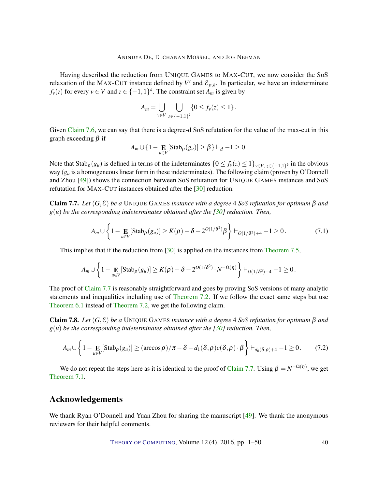<span id="page-39-1"></span>Having described the reduction from UNIQUE GAMES to MAX-CUT, we now consider the SoS relaxation of the MAX-CUT instance defined by  $V'$  and  $\mathcal{E}_{\rho,k}$ . In particular, we have an indeterminate  $f_v(z)$  for every  $v \in V$  and  $z \in \{-1,1\}^k$ . The constraint set  $A_m$  is given by

$$
A_m = \bigcup_{v \in V} \bigcup_{z \in \{-1,1\}^k} \{0 \leq f_v(z) \leq 1\}.
$$

Given [Claim](#page-38-0) [7.6,](#page-38-0) we can say that there is a degree-d SoS refutation for the value of the max-cut in this graph exceeding β if

$$
A_m \cup \{1 - \underset{u \in V}{\mathbf{E}} [\text{Stab}_{\rho}(g_u)] \geq \beta\} \vdash_d -1 \geq 0.
$$

Note that  $\text{Stab}_{\rho}(g_u)$  is defined in terms of the indeterminates  $\{0 \le f_v(z) \le 1\}_{v \in V, z \in \{-1,1\}^k}$  in the obvious way (*g<sup>u</sup>* is a homogeneous linear form in these indeterminates). The following claim (proven by O'Donnell and Zhou [\[49\]](#page-48-6)) shows the connection between SoS refutation for UNIQUE GAMES instances and SoS refutation for MAX-CUT instances obtained after the [\[30\]](#page-47-0) reduction.

<span id="page-39-0"></span>Claim 7.7. *Let* (*G*,E) *be a* UNIQUE GAMES *instance with a degree* 4 *SoS refutation for optimum* β *and g*(*u*) *be the corresponding indeterminates obtained after the [\[30\]](#page-47-0) reduction. Then,*

$$
A_m \cup \left\{1 - \underset{u \in V}{\mathbf{E}} \left[ \text{Stab}_{\rho}(g_u)\right] \ge K(\rho) - \delta - 2^{O(1/\delta^2)} \beta\right\} \vdash_{O(1/\delta^2) + 4} -1 \ge 0. \tag{7.1}
$$

This implies that if the reduction from [\[30\]](#page-47-0) is applied on the instances from [Theorem](#page-38-1) [7.5,](#page-38-1)

$$
A_m \cup \left\{1-\mathop{\mathbf{E}}_{u \in V} [\text{Stab}_{\rho}(g_u)] \geq K(\rho) - \delta - 2^{O(1/\delta^2)} \cdot N^{-\Omega(\eta)} \right\} \vdash_{O(1/\delta^2) + 4} -1 \geq 0.
$$

The proof of [Claim](#page-39-0) [7.7](#page-39-0) is reasonably straightforward and goes by proving SoS versions of many analytic statements and inequalities including use of [Theorem](#page-37-0) [7.2.](#page-37-0) If we follow the exact same steps but use [Theorem](#page-22-0) [6.1](#page-22-0) instead of [Theorem](#page-37-0) [7.2,](#page-37-0) we get the following claim.

Claim 7.8. *Let* (*G*,E) *be a* UNIQUE GAMES *instance with a degree* 4 *SoS refutation for optimum* β *and g*(*u*) *be the corresponding indeterminates obtained after the [\[30\]](#page-47-0) reduction. Then,*

$$
A_m \cup \left\{ 1 - \underset{u \in V}{\mathbf{E}} \left[ \text{Stab}_{\rho}(g_u) \right] \geq \left( \arccos \rho \right) / \pi - \delta - d_1(\delta, \rho) c(\delta, \rho) \cdot \beta \right\} \vdash_{d_0(\delta, \rho) + 4} -1 \geq 0. \tag{7.2}
$$

We do not repeat the steps here as it is identical to the proof of [Claim](#page-39-0) [7.7.](#page-39-0) Using  $\beta = N^{-\Omega(\eta)}$ , we get [Theorem](#page-36-0) [7.1.](#page-36-0)

### Acknowledgements

We thank Ryan O'Donnell and Yuan Zhou for sharing the manuscript [\[49\]](#page-48-6). We thank the anonymous reviewers for their helpful comments.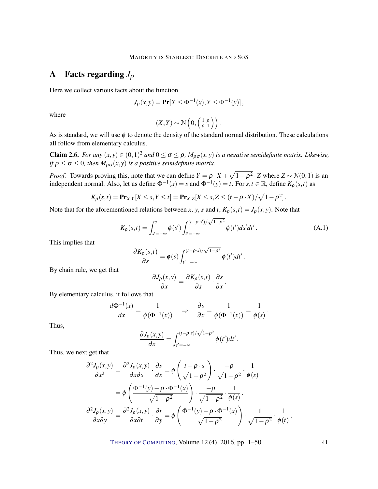## A Facts regarding *J*<sup>ρ</sup>

Here we collect various facts about the function

$$
J_{\rho}(x, y) = \Pr[X \le \Phi^{-1}(x), Y \le \Phi^{-1}(y)],
$$

where

$$
(X,Y) \sim \mathcal{N}\left(0, \begin{pmatrix} 1 & \rho \\ \rho & 1 \end{pmatrix}\right).
$$

As is standard, we will use  $\phi$  to denote the density of the standard normal distribution. These calculations all follow from elementary calculus.

**Claim 2.6.** *For any*  $(x, y) \in (0, 1)^2$  *and*  $0 \le \sigma \le \rho$ ,  $M_{\rho\sigma}(x, y)$  *is a negative semidefinite matrix. Likewise, if*  $\rho \le \sigma \le 0$ , then  $M_{\rho\sigma}(x, y)$  *is a positive semidefinite matrix.* 

*Proof.* Towards proving this, note that we can define  $Y = \rho \cdot X + \sqrt{1-\rho^2} \cdot Z$  where  $Z \sim \mathcal{N}(0,1)$  is an independent normal. Also, let us define  $\Phi^{-1}(x) = s$  and  $\Phi^{-1}(y) = t$ . For  $s, t \in \mathbb{R}$ , define  $K_{\rho}(s, t)$  as

$$
K_{\rho}(s,t) = \mathbf{Pr}_{X,Y}[X \leq s, Y \leq t] = \mathbf{Pr}_{X,Z}[X \leq s, Z \leq (t - \rho \cdot X) / \sqrt{1 - \rho^2}].
$$

Note that for the aforementioned relations between *x*, *y*, *s* and *t*,  $K_{\rho}(s,t) = J_{\rho}(x,y)$ . Note that

<span id="page-40-0"></span>
$$
K_{\rho}(s,t) = \int_{s'=-\infty}^{s} \phi(s') \int_{t'=-\infty}^{(t-\rho \cdot s')/\sqrt{1-\rho^2}} \phi(t')ds'dt'.
$$
 (A.1)

This implies that

$$
\frac{\partial K_{\rho}(s,t)}{\partial s} = \phi(s) \int_{t'=-\infty}^{(t-\rho\cdot s)/\sqrt{1-\rho^2}} \phi(t')dt'.
$$

By chain rule, we get that

$$
\frac{\partial J_{\rho}(x,y)}{\partial x} = \frac{\partial K_{\rho}(s,t)}{\partial s} \cdot \frac{\partial s}{\partial x}.
$$

By elementary calculus, it follows that

$$
\frac{d\Phi^{-1}(x)}{dx} = \frac{1}{\phi(\Phi^{-1}(x))} \quad \Rightarrow \quad \frac{\partial s}{\partial x} = \frac{1}{\phi(\Phi^{-1}(x))} = \frac{1}{\phi(s)}.
$$

Thus,

$$
\frac{\partial J_{\rho}(x,y)}{\partial x} = \int_{t'=-\infty}^{(t-\rho\cdot s)/\sqrt{1-\rho^2}} \phi(t')dt'.
$$

Thus, we next get that

$$
\frac{\partial^2 J_{\rho}(x, y)}{\partial x^2} = \frac{\partial^2 J_{\rho}(x, y)}{\partial x \partial s} \cdot \frac{\partial s}{\partial x} = \phi \left( \frac{t - \rho \cdot s}{\sqrt{1 - \rho^2}} \right) \cdot \frac{-\rho}{\sqrt{1 - \rho^2}} \cdot \frac{1}{\phi(s)}
$$

$$
= \phi \left( \frac{\Phi^{-1}(y) - \rho \cdot \Phi^{-1}(x)}{\sqrt{1 - \rho^2}} \right) \cdot \frac{-\rho}{\sqrt{1 - \rho^2}} \cdot \frac{1}{\phi(s)}.
$$

$$
\frac{\partial^2 J_{\rho}(x, y)}{\partial x \partial y} = \frac{\partial^2 J_{\rho}(x, y)}{\partial x \partial t} \cdot \frac{\partial t}{\partial y} = \phi \left( \frac{\Phi^{-1}(y) - \rho \cdot \Phi^{-1}(x)}{\sqrt{1 - \rho^2}} \right) \cdot \frac{1}{\sqrt{1 - \rho^2}} \cdot \frac{1}{\phi(t)}
$$

THEORY OF C[OMPUTING](http://dx.doi.org/10.4086/toc), Volume 12 (4), 2016, pp. 1–50 41

.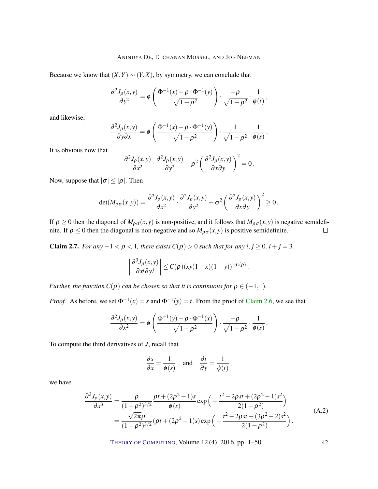Because we know that  $(X, Y) \sim (Y, X)$ , by symmetry, we can conclude that

$$
\frac{\partial^2 J_{\rho}(x,y)}{\partial y^2} = \phi \left( \frac{\Phi^{-1}(x) - \rho \cdot \Phi^{-1}(y)}{\sqrt{1 - \rho^2}} \right) \cdot \frac{-\rho}{\sqrt{1 - \rho^2}} \cdot \frac{1}{\phi(t)},
$$

and likewise,

$$
\frac{\partial^2 J_{\rho}(x,y)}{\partial y \partial x} = \phi \left( \frac{\Phi^{-1}(x) - \rho \cdot \Phi^{-1}(y)}{\sqrt{1 - \rho^2}} \right) \cdot \frac{1}{\sqrt{1 - \rho^2}} \cdot \frac{1}{\phi(s)}.
$$

It is obvious now that

$$
\frac{\partial^2 J_{\rho}(x,y)}{\partial x^2} \cdot \frac{\partial^2 J_{\rho}(x,y)}{\partial y^2} - \rho^2 \left( \frac{\partial^2 J_{\rho}(x,y)}{\partial x \partial y} \right)^2 = 0.
$$

Now, suppose that  $|\sigma| \leq |\rho|$ . Then

$$
\det(M_{\rho\sigma}(x,y)) = \frac{\partial^2 J_{\rho}(x,y)}{\partial x^2} \cdot \frac{\partial^2 J_{\rho}(x,y)}{\partial y^2} - \sigma^2 \left(\frac{\partial^2 J_{\rho}(x,y)}{\partial x \partial y}\right)^2 \ge 0.
$$

If  $\rho \ge 0$  then the diagonal of  $M_{\rho\sigma}(x, y)$  is non-positive, and it follows that  $M_{\rho\sigma}(x, y)$  is negative semidefinite. If  $\rho \le 0$  then the diagonal is non-negative and so  $M_{\rho\sigma}(x, y)$  is positive semidefinite.  $\Box$ 

**Claim 2.7.** *For any*  $-1 < \rho < 1$ *, there exists*  $C(\rho) > 0$  *such that for any*  $i, j \ge 0$ *,*  $i + j = 3$ *,* 

$$
\left|\frac{\partial^3 J_{\rho}(x,y)}{\partial x^i \partial y^j}\right| \leq C(\rho) \left(xy(1-x)(1-y)\right)^{-C(\rho)}.
$$

*Further, the function*  $C(\rho)$  *can be chosen so that it is continuous for*  $\rho \in (-1,1)$ *.* 

*Proof.* As before, we set  $\Phi^{-1}(x) = s$  and  $\Phi^{-1}(y) = t$ . From the proof of [Claim](#page-8-1) [2.6,](#page-8-1) we see that

$$
\frac{\partial^2 J_{\rho}(x, y)}{\partial x^2} = \phi \left( \frac{\Phi^{-1}(y) - \rho \cdot \Phi^{-1}(x)}{\sqrt{1 - \rho^2}} \right) \cdot \frac{-\rho}{\sqrt{1 - \rho^2}} \cdot \frac{1}{\phi(s)}.
$$

To compute the third derivatives of *J*, recall that

$$
\frac{\partial s}{\partial x} = \frac{1}{\phi(s)} \quad \text{and} \quad \frac{\partial t}{\partial y} = \frac{1}{\phi(t)},
$$

<span id="page-41-0"></span>we have

$$
\frac{\partial^3 J_{\rho}(x, y)}{\partial x^3} = \frac{\rho}{(1 - \rho^2)^{3/2}} \frac{\rho t + (2\rho^2 - 1)s}{\phi(s)} \exp\left(-\frac{t^2 - 2\rho st + (2\rho^2 - 1)s^2}{2(1 - \rho^2)}\right)
$$
  
= 
$$
\frac{\sqrt{2\pi}\rho}{(1 - \rho^2)^{3/2}} (\rho t + (2\rho^2 - 1)s) \exp\left(-\frac{t^2 - 2\rho st + (3\rho^2 - 2)s^2}{2(1 - \rho^2)}\right).
$$
 (A.2)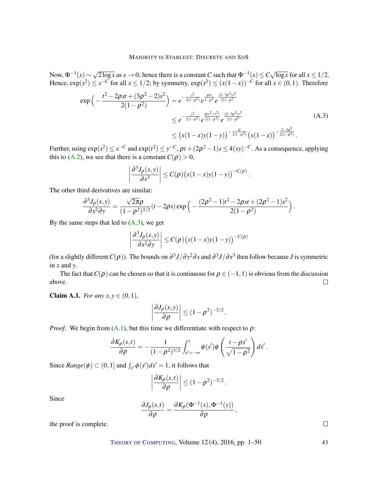Now,  $\Phi^{-1}(x) \sim$  $\sqrt{2 \log x}$  as  $x \to 0$ ; hence there is a constant *C* such that  $\Phi^{-1}(x) \leq C$ √  $\overline{\log x}$  for all  $x \leq 1/2$ . Hence,  $\exp(s^2) \leq x^{-C}$  for all  $x \leq 1/2$ ; by symmetry,  $\exp(s^2) \leq (x(1-x))^{-C}$  for all  $x \in (0,1)$ . Therefore

$$
\exp\left(-\frac{t^2 - 2\rho st + (3\rho^2 - 2)s^2}{2(1 - \rho^2)}\right) = e^{-\frac{t^2}{2(1 - \rho^2)}} e^{\frac{\rho st}{1 - \rho^2}} e^{\frac{(2 - 3\rho^2)s^2}{2(1 - \rho^2)}}
$$
  
 
$$
\leq e^{-\frac{t^2}{2(1 - \rho^2)}} e^{\frac{\rho(s^2 + t^2)}{2(1 - \rho^2)}} e^{\frac{(2 - 3\rho^2)s^2}{2(1 - \rho^2)}}
$$
  
 
$$
\leq \left(x(1 - x)y(1 - y)\right)^{-\frac{\rho}{2(1 - \rho^2)}} \left(x(1 - x)\right)^{-\frac{2 - 3\rho^2}{2(1 - \rho^2)}}.
$$
 (A.3)

<span id="page-42-1"></span>Further, using  $\exp(s^2) \le x^{-C}$  and  $\exp(t^2) \le y^{-C}$ ,  $\rho t + (2\rho^2 - 1)s \le 4(xy)^{-C}$ . As a consequence, applying this to [\(A.2\)](#page-41-0), we see that there is a constant  $C(\rho) > 0$ ,

$$
\left|\frac{\partial^3 J_{\rho}(x,y)}{\partial x^3}\right| \leq C(\rho) \big(x(1-x)y(1-y)\big)^{-C(\rho)}.
$$

The other third derivatives are similar:

$$
\frac{\partial^3 J_{\rho}(x,y)}{\partial x^2 \partial y} = \frac{\sqrt{2\pi}\rho}{(1-\rho^2)^{3/2}}(t-2\rho s) \exp\left(-\frac{(2\rho^2-1)t^2-2\rho s t+(2\rho^2-1)s^2}{2(1-\rho^2)}\right).
$$

By the same steps that led to  $(A.3)$ , we get

$$
\left|\frac{\partial^3 J_{\rho}(x,y)}{\partial x^2 \partial y}\right| \le C(\rho) \big(x(1-x)y(1-y)\big)^{-C(\rho)}
$$

(for a slightly different  $C(\rho)$ ). The bounds on  $\partial^3 J/\partial y^2 \partial x$  and  $\partial^3 J/\partial x^3$  then follow because *J* is symmetric in *x* and *y*.

The fact that  $C(\rho)$  can be chosen so that it is continuous for  $\rho \in (-1,1)$  is obvious from the discussion above.  $\Box$ 

<span id="page-42-0"></span>**Claim A.1.** *For any*  $x, y \in (0, 1)$ *,* 

$$
\left|\frac{\partial J_{\rho}(x,y)}{\partial \rho}\right| \le (1-\rho^2)^{-3/2}.
$$

*Proof.* We begin from  $(A.1)$ , but this time we differentiate with respect to  $\rho$ :

$$
\frac{\partial K_{\rho}(s,t)}{\partial \rho} = -\frac{1}{(1-\rho^2)^{3/2}} \int_{s'=-\infty}^{s} \phi(s') \phi\left(\frac{t-\rho s'}{\sqrt{1-\rho^2}}\right) ds'.
$$

Since  $Range(\phi) \subset (0,1]$  and  $\int_{s'} \phi(s')ds' = 1$ , it follows that

$$
\left|\frac{\partial K_{\rho}(s,t)}{\partial \rho}\right| \le (1-\rho^2)^{-3/2}
$$

.

Since

$$
\frac{\partial J_{\rho}(s,t)}{\partial \rho} = \frac{\partial K_{\rho}(\Phi^{-1}(x), \Phi^{-1}(y))}{\partial \rho},
$$

the proof is complete.

THEORY OF C[OMPUTING](http://dx.doi.org/10.4086/toc), Volume 12 (4), 2016, pp. 1–50 43

 $\Box$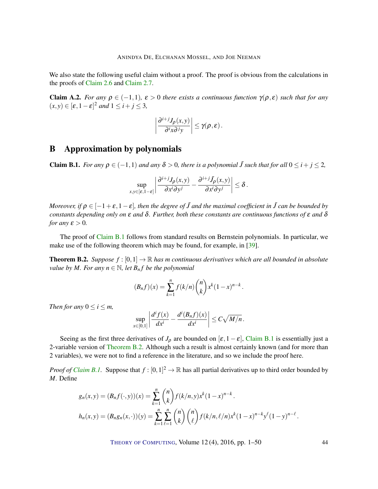<span id="page-43-3"></span>We also state the following useful claim without a proof. The proof is obvious from the calculations in the proofs of [Claim](#page-8-1) [2.6](#page-8-1) and [Claim](#page-8-2) [2.7.](#page-8-2)

<span id="page-43-2"></span>**Claim A.2.** *For any*  $\rho \in (-1,1)$ *,*  $\varepsilon > 0$  *there exists a continuous function*  $\gamma(\rho, \varepsilon)$  *such that for any*  $(x, y) \in [\varepsilon, 1-\varepsilon]^2$  *and*  $1 \le i + j \le 3$ ,

$$
\left|\frac{\partial^{i+j}J_{\rho}(x,y)}{\partial^i x \partial^j y}\right| \leq \gamma(\rho, \varepsilon).
$$

### B Approximation by polynomials

<span id="page-43-0"></span>**Claim B.1.** *For any*  $\rho \in (-1,1)$  *and any*  $\delta > 0$ *, there is a polynomial*  $\tilde{J}$  *such that for all*  $0 \leq i + j \leq 2$ *,* 

$$
\sup_{x,y\in [\varepsilon,1-\varepsilon]}\left|\frac{\partial^{i+j}J_{\rho}(x,y)}{\partial x^{i}\partial y^{j}}-\frac{\partial^{i+j}\tilde{J}_{\rho}(x,y)}{\partial x^{i}\partial y^{j}}\right|\leq \delta.
$$

*Moreover, if*  $\rho \in [-1+\varepsilon, 1-\varepsilon]$ , then the degree of  $\tilde{J}$  and the maximal coefficient in  $\tilde{J}$  can be bounded by *constants depending only on* ε *and* δ*. Further, both these constants are continuous functions of* ε *and* δ *for any*  $\varepsilon > 0$ *.* 

The proof of [Claim](#page-43-0) [B.1](#page-43-0) follows from standard results on Bernstein polynomials. In particular, we make use of the following theorem which may be found, for example, in [\[39\]](#page-47-11).

<span id="page-43-1"></span>**Theorem B.2.** *Suppose*  $f : [0,1] \to \mathbb{R}$  *has m continuous derivatives which are all bounded in absolute value by M. For any*  $n \in \mathbb{N}$ *, let*  $B_n f$  *be the polynomial* 

$$
(B_n f)(x) = \sum_{k=1}^n f(k/n) {n \choose k} x^k (1-x)^{n-k}.
$$

*Then for any*  $0 \le i \le m$ ,

$$
\sup_{x\in[0,1]}\left|\frac{d^if(x)}{dx^i}-\frac{d^i(B_nf)(x)}{dx^i}\right|\leq C\sqrt{M/n}.
$$

Seeing as the first three derivatives of  $J_\rho$  are bounded on  $[\varepsilon, 1-\varepsilon]$ , [Claim](#page-43-0) [B.1](#page-43-0) is essentially just a 2-variable version of [Theorem](#page-43-1) [B.2.](#page-43-1) Although such a result is almost certainly known (and for more than 2 variables), we were not to find a reference in the literature, and so we include the proof here.

*Proof of [Claim](#page-43-0) B.1*. Suppose that  $f : [0,1]^2 \to \mathbb{R}$  has all partial derivatives up to third order bounded by *M*. Define

$$
g_n(x, y) = (B_n f(\cdot, y))(x) = \sum_{k=1}^n {n \choose k} f(k/n, y) x^k (1-x)^{n-k}.
$$
  

$$
h_n(x, y) = (B_n g_n(x, \cdot))(y) = \sum_{k=1}^n \sum_{\ell=1}^n {n \choose k} {n \choose \ell} f(k/n, \ell/n) x^k (1-x)^{n-k} y^{\ell} (1-y)^{n-\ell}.
$$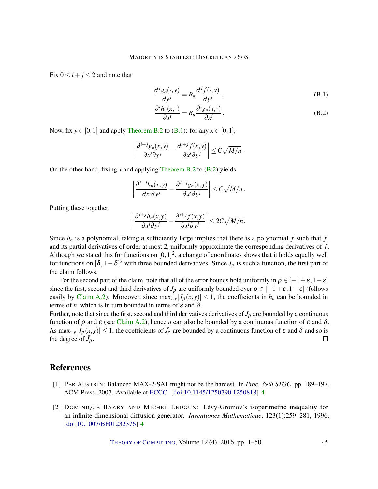Fix  $0 \le i + j \le 2$  and note that

<span id="page-44-2"></span>
$$
\frac{\partial^j g_n(\cdot, y)}{\partial y^j} = B_n \frac{\partial^j f(\cdot, y)}{\partial y^j},
$$
\n(B.1)

<span id="page-44-3"></span>
$$
\frac{\partial^i h_n(x, \cdot)}{\partial x^i} = B_n \frac{\partial^i g_n(x, \cdot)}{\partial x^i}.
$$
 (B.2)

Now, fix  $y \in [0,1]$  and apply [Theorem](#page-43-1) [B.2](#page-43-1) to [\(B.1\)](#page-44-2): for any  $x \in [0,1]$ ,

$$
\left|\frac{\partial^{i+j}g_n(x,y)}{\partial x^i\partial y^j}-\frac{\partial^{i+j}f(x,y)}{\partial x^i\partial y^j}\right|\leq C\sqrt{M/n}.
$$

On the other hand, fixing *x* and applying [Theorem](#page-43-1) [B.2](#page-43-1) to [\(B.2\)](#page-44-3) yields

$$
\left|\frac{\partial^{i+j}h_n(x,y)}{\partial x^i\partial y^j}-\frac{\partial^{i+j}g_n(x,y)}{\partial x^i\partial y^j}\right|\leq C\sqrt{M/n}.
$$

Putting these together,

$$
\left|\frac{\partial^{i+j}h_n(x,y)}{\partial x^i\partial y^j}-\frac{\partial^{i+j}f(x,y)}{\partial x^i\partial y^j}\right|\leq 2C\sqrt{M/n}.
$$

Since  $h_n$  is a polynomial, taking *n* sufficiently large implies that there is a polynomial  $\tilde{f}$  such that  $\tilde{f}$ , and its partial derivatives of order at most 2, uniformly approximate the corresponding derivatives of *f* . Although we stated this for functions on  $[0,1]^2$ , a change of coordinates shows that it holds equally well for functions on  $[\delta, 1-\delta]^2$  with three bounded derivatives. Since  $J_\rho$  is such a function, the first part of the claim follows.

For the second part of the claim, note that all of the error bounds hold uniformly in  $\rho \in [-1+\varepsilon, 1-\varepsilon]$ since the first, second and third derivatives of *J*<sub>ρ</sub> are uniformly bounded over  $\rho \in [-1+\varepsilon,1-\varepsilon]$  (follows easily by [Claim](#page-43-2) [A.2\)](#page-43-2). Moreover, since  $\max_{x,y} |J_\rho(x,y)| \leq 1$ , the coefficients in  $h_n$  can be bounded in terms of *n*, which is in turn bounded in terms of  $\varepsilon$  and  $\delta$ .

Further, note that since the first, second and third derivatives derivatives of  $J_\rho$  are bounded by a continuous function of  $ρ$  and  $ε$  (see [Claim](#page-43-2) [A.2\)](#page-43-2), hence *n* can also be bounded by a continuous function of  $ε$  and  $δ$ . As max<sub>*x*,*y*</sub>  $|J_\rho(x,y)| \le 1$ , the coefficients of  $\tilde{J}_\rho$  are bounded by a continuous function of  $\varepsilon$  and  $\delta$  and so is the degree of  $\tilde{J}_{\rho}$ .  $\Box$ 

### References

- <span id="page-44-1"></span>[1] PER AUSTRIN: Balanced MAX-2-SAT might not be the hardest. In *Proc. 39th STOC*, pp. 189–197. ACM Press, 2007. Available at [ECCC.](http://eccc.hpi-web.de/report/2006/088/) [\[doi:10.1145/1250790.1250818\]](http://dx.doi.org/10.1145/1250790.1250818) [4](#page-3-0)
- <span id="page-44-0"></span>[2] DOMINIQUE BAKRY AND MICHEL LEDOUX: Lévy-Gromov's isoperimetric inequality for an infinite-dimensional diffusion generator. *Inventiones Mathematicae*, 123(1):259–281, 1996. [\[doi:10.1007/BF01232376\]](http://dx.doi.org/10.1007/BF01232376) [4](#page-3-0)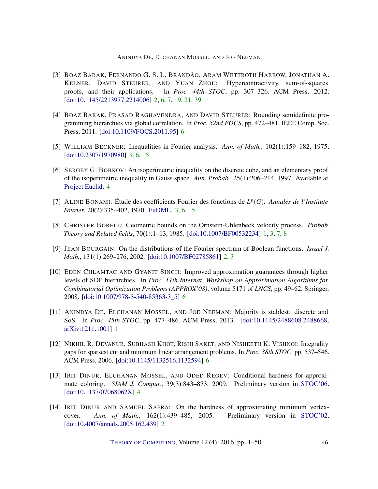- <span id="page-45-2"></span>[3] BOAZ BARAK, FERNANDO G. S. L. BRANDÃO, ARAM WETTROTH HARROW, JONATHAN A. KELNER, DAVID STEURER, AND YUAN ZHOU: Hypercontractivity, sum-of-squares proofs, and their applications. In *Proc. 44th STOC*, pp. 307–326. ACM Press, 2012. [\[doi:10.1145/2213977.2214006\]](http://dx.doi.org/10.1145/2213977.2214006) [2,](#page-1-0) [6,](#page-5-0) [7,](#page-6-0) [19,](#page-18-1) [21,](#page-20-4) [39](#page-38-2)
- <span id="page-45-9"></span>[4] BOAZ BARAK, PRASAD RAGHAVENDRA, AND DAVID STEURER: Rounding semidefinite programming hierarchies via global correlation. In *Proc. 52nd FOCS*, pp. 472–481. IEEE Comp. Soc. Press, 2011. [\[doi:10.1109/FOCS.2011.95\]](http://dx.doi.org/10.1109/FOCS.2011.95) [6](#page-5-0)
- <span id="page-45-6"></span>[5] WILLIAM BECKNER: Inequalities in Fourier analysis. *Ann. of Math.*, 102(1):159–182, 1975. [\[doi:10.2307/1970980\]](http://dx.doi.org/10.2307/1970980) [3,](#page-2-1) [6,](#page-5-0) [15](#page-14-3)
- <span id="page-45-7"></span>[6] SERGEY G. BOBKOV: An isoperimetric inequality on the discrete cube, and an elementary proof of the isoperimetric inequality in Gauss space. *Ann. Probab.*, 25(1):206–214, 1997. Available at [Project Euclid.](https://projecteuclid.org/euclid.aop/1024404285) [4](#page-3-0)
- <span id="page-45-5"></span>[7] ALINE BONAMI: Étude des coefficients Fourier des fonctions de  $L^p(G)$ . *Annales de l'Institute Fourier*, 20(2):335–402, 1970. [EuDML.](http://eudml.org/doc/74019) [3,](#page-2-1) [6,](#page-5-0) [15](#page-14-3)
- <span id="page-45-0"></span>[8] CHRISTER BORELL: Geometric bounds on the Ornstein-Uhlenbeck velocity process. *Probab. Theory and Related fields*, 70(1):1–13, 1985. [\[doi:10.1007/BF00532234\]](http://dx.doi.org/10.1007/BF00532234) [1,](#page-0-0) [3,](#page-2-1) [7,](#page-6-0) [8](#page-7-3)
- <span id="page-45-3"></span>[9] JEAN BOURGAIN: On the distributions of the Fourier spectrum of Boolean functions. *Israel J. Math.*, 131(1):269–276, 2002. [\[doi:10.1007/BF02785861\]](http://dx.doi.org/10.1007/BF02785861) [2,](#page-1-0) [3](#page-2-1)
- <span id="page-45-10"></span>[10] EDEN CHLAMTAC AND GYANIT SINGH: Improved approximation guarantees through higher levels of SDP hierarchies. In *Proc. 11th Internat. Workshop on Approximation Algorithms for Combinatorial Optimization Problems (APPROX'08)*, volume 5171 of *LNCS*, pp. 49–62. Springer, 2008. [\[doi:10.1007/978-3-540-85363-3\\_5\]](http://dx.doi.org/10.1007/978-3-540-85363-3_5) [6](#page-5-0)
- <span id="page-45-1"></span>[11] ANINDYA DE, ELCHANAN MOSSEL, AND JOE NEEMAN: Majority is stablest: discrete and SoS. In *Proc. 45th STOC*, pp. 477–486. ACM Press, 2013. [\[doi:10.1145/2488608.2488668,](http://dx.doi.org/10.1145/2488608.2488668) [arXiv:1211.1001\]](http://arxiv.org/abs/1211.1001) [1](#page-0-0)
- <span id="page-45-11"></span>[12] NIKHIL R. DEVANUR, SUBHASH KHOT, RISHI SAKET, AND NISHEETH K. VISHNOI: Integrality gaps for sparsest cut and minimum linear arrangement problems. In *Proc. 38th STOC*, pp. 537–546. ACM Press, 2006. [\[doi:10.1145/1132516.1132594\]](http://dx.doi.org/10.1145/1132516.1132594) [6](#page-5-0)
- <span id="page-45-8"></span>[13] IRIT DINUR, ELCHANAN MOSSEL, AND ODED REGEV: Conditional hardness for approximate coloring. *SIAM J. Comput.*, 39(3):843–873, 2009. Preliminary version in [STOC'06.](http://dx.doi.org/10.1145/1132516.1132567) [\[doi:10.1137/07068062X\]](http://dx.doi.org/10.1137/07068062X) [4](#page-3-0)
- <span id="page-45-4"></span>[14] IRIT DINUR AND SAMUEL SAFRA: On the hardness of approximating minimum vertexcover. *Ann. of Math.*, 162(1):439–485, 2005. Preliminary version in [STOC'02.](http://dx.doi.org/10.1145/509907.509915) [\[doi:10.4007/annals.2005.162.439\]](http://dx.doi.org/10.4007/annals.2005.162.439) [2](#page-1-0)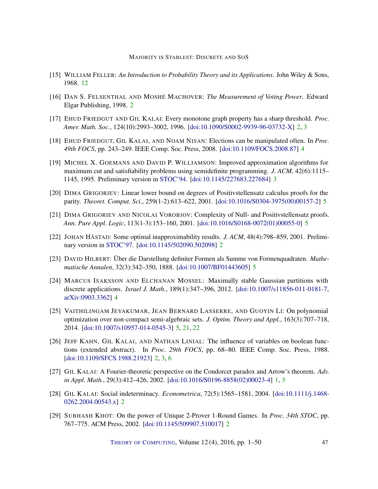- <span id="page-46-14"></span>[15] WILLIAM FELLER: *An Introduction to Probability Theory and its Applications*. John Wiley & Sons, 1968. [12](#page-11-2)
- <span id="page-46-4"></span>[16] DAN S. FELSENTHAL AND MOSHÉ MACHOVER: *The Measurement of Voting Power*. Edward Elgar Publishing, 1998. [2](#page-1-0)
- <span id="page-46-2"></span>[17] EHUD FRIEDGUT AND GIL KALAI: Every monotone graph property has a sharp threshold. *Proc. Amer. Math. Soc.*, 124(10):2993–3002, 1996. [\[doi:10.1090/S0002-9939-96-03732-X\]](http://dx.doi.org/10.1090/S0002-9939-96-03732-X) [2,](#page-1-0) [3](#page-2-1)
- <span id="page-46-9"></span>[18] EHUD FRIEDGUT, GIL KALAI, AND NOAM NISAN: Elections can be manipulated often. In *Proc. 49th FOCS*, pp. 243–249. IEEE Comp. Soc. Press, 2008. [\[doi:10.1109/FOCS.2008.87\]](http://dx.doi.org/10.1109/FOCS.2008.87) [4](#page-3-0)
- <span id="page-46-7"></span>[19] MICHEL X. GOEMANS AND DAVID P. WILLIAMSON: Improved approximation algorithms for maximum cut and satisfiability problems using semidefinite programming. *J. ACM*, 42(6):1115– 1145, 1995. Preliminary version in [STOC'94.](http://dx.doi.org/10.1145/195058.195216) [\[doi:10.1145/227683.227684\]](http://dx.doi.org/10.1145/227683.227684) [3](#page-2-1)
- <span id="page-46-13"></span>[20] DIMA GRIGORIEV: Linear lower bound on degrees of Positivstellensatz calculus proofs for the parity. *Theoret. Comput. Sci.*, 259(1-2):613–622, 2001. [\[doi:10.1016/S0304-3975\(00\)00157-2\]](http://dx.doi.org/10.1016/S0304-3975(00)00157-2) [5](#page-4-0)
- <span id="page-46-12"></span>[21] DIMA GRIGORIEV AND NICOLAI VOROBJOV: Complexity of Null- and Positivstellensatz proofs. *Ann. Pure Appl. Logic*, 113(1-3):153–160, 2001. [\[doi:10.1016/S0168-0072\(01\)00055-0\]](http://dx.doi.org/10.1016/S0168-0072(01)00055-0) [5](#page-4-0)
- <span id="page-46-6"></span>[22] JOHAN HÅSTAD: Some optimal inapproximability results. *J. ACM*, 48(4):798–859, 2001. Preliminary version in [STOC'97.](http://dx.doi.org/10.1145/258533.258536) [\[doi:10.1145/502090.502098\]](http://dx.doi.org/10.1145/502090.502098) [2](#page-1-0)
- <span id="page-46-11"></span>[23] DAVID HILBERT: Über die Darstellung definiter Formen als Summe von Formenquadraten. *Mathematische Annalen*, 32(3):342–350, 1888. [\[doi:10.1007/BF01443605\]](http://dx.doi.org/10.1007/BF01443605) [5](#page-4-0)
- <span id="page-46-8"></span>[24] MARCUS ISAKSSON AND ELCHANAN MOSSEL: Maximally stable Gaussian partitions with discrete applications. *Israel J. Math.*, 189(1):347–396, 2012. [\[doi:10.1007/s11856-011-0181-7,](http://dx.doi.org/10.1007/s11856-011-0181-7) [arXiv:0903.3362\]](http://arxiv.org/abs/0903.3362) [4](#page-3-0)
- <span id="page-46-10"></span>[25] VAITHILINGAM JEYAKUMAR, JEAN BERNARD LASSERRE, AND GUOYIN LI: On polynomial optimization over non-compact semi-algebraic sets. *J. Optim. Theory and Appl.*, 163(3):707–718, 2014. [\[doi:10.1007/s10957-014-0545-3\]](http://dx.doi.org/10.1007/s10957-014-0545-3) [5,](#page-4-0) [21,](#page-20-4) [22](#page-21-4)
- <span id="page-46-1"></span>[26] JEFF KAHN, GIL KALAI, AND NATHAN LINIAL: The influence of variables on boolean functions (extended abstract). In *Proc. 29th FOCS*, pp. 68–80. IEEE Comp. Soc. Press, 1988. [\[doi:10.1109/SFCS.1988.21923\]](http://dx.doi.org/10.1109/SFCS.1988.21923) [2,](#page-1-0) [3,](#page-2-1) [6](#page-5-0)
- <span id="page-46-0"></span>[27] GIL KALAI: A Fourier-theoretic perspective on the Condorcet paradox and Arrow's theorem. *Adv. in Appl. Math.*, 29(3):412–426, 2002. [\[doi:10.1016/S0196-8858\(02\)00023-4\]](http://dx.doi.org/10.1016/S0196-8858(02)00023-4) [1,](#page-0-0) [3](#page-2-1)
- <span id="page-46-5"></span>[28] GIL KALAI: Social indeterminacy. *Econometrica*, 72(5):1565–1581, 2004. [\[doi:10.1111/j.1468-](http://dx.doi.org/10.1111/j.1468-0262.2004.00543.x) [0262.2004.00543.x\]](http://dx.doi.org/10.1111/j.1468-0262.2004.00543.x) [2](#page-1-0)
- <span id="page-46-3"></span>[29] SUBHASH KHOT: On the power of Unique 2-Prover 1-Round Games. In *Proc. 34th STOC*, pp. 767–775. ACM Press, 2002. [\[doi:10.1145/509907.510017\]](http://dx.doi.org/10.1145/509907.510017) [2](#page-1-0)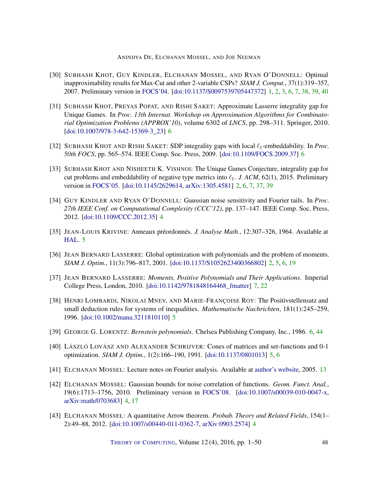- <span id="page-47-0"></span>[30] SUBHASH KHOT, GUY KINDLER, ELCHANAN MOSSEL, AND RYAN O'DONNELL: Optimal inapproximability results for Max-Cut and other 2-variable CSPs? *SIAM J. Comput.*, 37(1):319–357, 2007. Preliminary version in [FOCS'04.](http://dx.doi.org/10.1109/FOCS.2004.49) [\[doi:10.1137/S0097539705447372\]](http://dx.doi.org/10.1137/S0097539705447372) [1,](#page-0-0) [2,](#page-1-0) [3,](#page-2-1) [6,](#page-5-0) [7,](#page-6-0) [38,](#page-37-2) [39,](#page-38-2) [40](#page-39-1)
- <span id="page-47-9"></span>[31] SUBHASH KHOT, PREYAS POPAT, AND RISHI SAKET: Approximate Lasserre integrality gap for Unique Games. In *Proc. 13th Internat. Workshop on Approximation Algorithms for Combinatorial Optimization Problems (APPROX'10)*, volume 6302 of *LNCS*, pp. 298–311. Springer, 2010. [\[doi:10.1007/978-3-642-15369-3\\_23\]](http://dx.doi.org/10.1007/978-3-642-15369-3_23) [6](#page-5-0)
- <span id="page-47-10"></span>[32] SUBHASH KHOT AND RISHI SAKET: SDP integrality gaps with local  $\ell_1$ -embeddability. In *Proc. 50th FOCS*, pp. 565–574. IEEE Comp. Soc. Press, 2009. [\[doi:10.1109/FOCS.2009.37\]](http://dx.doi.org/10.1109/FOCS.2009.37) [6](#page-5-0)
- <span id="page-47-1"></span>[33] SUBHASH KHOT AND NISHEETH K. VISHNOI: The Unique Games Conjecture, integrality gap for cut problems and embeddability of negative type metrics into  $\ell_1$ . *J. ACM*, 62(1), 2015. Preliminary version in [FOCS'05.](http://dx.doi.org/10.1109/SFCS.2005.74) [\[doi:10.1145/2629614,](http://dx.doi.org/10.1145/2629614) [arXiv:1305.4581\]](http://arxiv.org/abs/1305.4581) [2,](#page-1-0) [6,](#page-5-0) [7,](#page-6-0) [37,](#page-36-1) [39](#page-38-2)
- <span id="page-47-3"></span>[34] GUY KINDLER AND RYAN O'DONNELL: Gaussian noise sensitivity and Fourier tails. In *Proc. 27th IEEE Conf. on Computational Complexity (CCC'12)*, pp. 137–147. IEEE Comp. Soc. Press, 2012. [\[doi:10.1109/CCC.2012.35\]](http://dx.doi.org/10.1109/CCC.2012.35) [4](#page-3-0)
- <span id="page-47-6"></span>[35] JEAN-LOUIS KRIVINE: Anneaux préordonnés. *J. Analyse Math.*, 12:307–326, 1964. Available at [HAL.](https://hal.archives-ouvertes.fr/hal-00165658) [5](#page-4-0)
- <span id="page-47-2"></span>[36] JEAN BERNARD LASSERRE: Global optimization with polynomials and the problem of moments. *SIAM J. Optim.*, 11(3):796–817, 2001. [\[doi:10.1137/S1052623400366802\]](http://dx.doi.org/10.1137/S1052623400366802) [2,](#page-1-0) [5,](#page-4-0) [6,](#page-5-0) [19](#page-18-1)
- <span id="page-47-12"></span>[37] JEAN BERNARD LASSERRE: *Moments, Positive Polynomials and Their Applications*. Imperial College Press, London, 2010. [\[doi:10.1142/9781848164468\\_fmatter\]](http://dx.doi.org/10.1142/9781848164468_fmatter) [7,](#page-6-0) [22](#page-21-4)
- <span id="page-47-7"></span>[38] HENRI LOMBARDI, NIKOLAI MNEV, AND MARIE-FRANÇOISE ROY: The Positivstellensatz and small deduction rules for systems of inequalities. *Mathematische Nachrichten*, 181(1):245–259, 1996. [\[doi:10.1002/mana.3211810110\]](http://dx.doi.org/10.1002/mana.3211810110) [5](#page-4-0)
- <span id="page-47-11"></span>[39] GEORGE G. LORENTZ: *Bernstein polynomials*. Chelsea Publishing Company, Inc., 1986. [6,](#page-5-0) [44](#page-43-3)
- <span id="page-47-8"></span>[40] LÁSZLÓ LOVÁSZ AND ALEXANDER SCHRIJVER: Cones of matrices and set-functions and 0-1 optimization. *SIAM J. Optim.*, 1(2):166–190, 1991. [\[doi:10.1137/0801013\]](http://dx.doi.org/10.1137/0801013) [5,](#page-4-0) [6](#page-5-0)
- <span id="page-47-13"></span>[41] ELCHANAN MOSSEL: Lecture notes on Fourier analysis. Available at [author's website,](http://www.stat.berkeley.edu/~mossel/teach/206af05/) 2005. [13](#page-12-0)
- <span id="page-47-4"></span>[42] ELCHANAN MOSSEL: Gaussian bounds for noise correlation of functions. *Geom. Funct. Anal.*, 19(6):1713–1756, 2010. Preliminary version in [FOCS'08.](http://dx.doi.org/10.1109/FOCS.2008.44) [\[doi:10.1007/s00039-010-0047-x,](http://dx.doi.org/10.1007/s00039-010-0047-x) [arXiv:math/0703683\]](http://arxiv.org/abs/math/0703683) [4,](#page-3-0) [17](#page-16-1)
- <span id="page-47-5"></span>[43] ELCHANAN MOSSEL: A quantitative Arrow theorem. *Probab. Theory and Related Fields*, 154(1– 2):49–88, 2012. [\[doi:10.1007/s00440-011-0362-7,](http://dx.doi.org/10.1007/s00440-011-0362-7) [arXiv:0903.2574\]](http://arxiv.org/abs/0903.2574) [4](#page-3-0)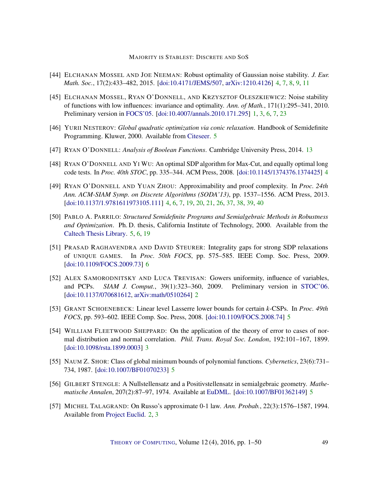- <span id="page-48-4"></span>[44] ELCHANAN MOSSEL AND JOE NEEMAN: Robust optimality of Gaussian noise stability. *J. Eur. Math. Soc.*, 17(2):433–482, 2015. [\[doi:10.4171/JEMS/507,](http://dx.doi.org/10.4171/JEMS/507) [arXiv:1210.4126\]](http://arxiv.org/abs/1210.4126) [4,](#page-3-0) [7,](#page-6-0) [8,](#page-7-3) [9,](#page-8-4) [11](#page-10-2)
- <span id="page-48-0"></span>[45] ELCHANAN MOSSEL, RYAN O'DONNELL, AND KRZYSZTOF OLESZKIEWICZ: Noise stability of functions with low influences: invariance and optimality. *Ann. of Math.*, 171(1):295–341, 2010. Preliminary version in [FOCS'05.](http://dx.doi.org/10.1109/SFCS.2005.53) [\[doi:10.4007/annals.2010.171.295\]](http://dx.doi.org/10.4007/annals.2010.171.295) [1,](#page-0-0) [3,](#page-2-1) [6,](#page-5-0) [7,](#page-6-0) [23](#page-22-1)
- <span id="page-48-9"></span>[46] YURII NESTEROV: *Global quadratic optimization via conic relaxation*. Handbook of Semidefinite Programming. Kluwer, 2000. Available from [Citeseer.](http://citeseerx.ist.psu.edu/viewdoc/summary?doi=10.1.1.21.7365) [5](#page-4-0)
- <span id="page-48-13"></span>[47] RYAN O'DONNELL: *Analysis of Boolean Functions*. Cambridge University Press, 2014. [13](#page-12-0)
- <span id="page-48-5"></span>[48] RYAN O'DONNELL AND YI WU: An optimal SDP algorithm for Max-Cut, and equally optimal long code tests. In *Proc. 40th STOC*, pp. 335–344. ACM Press, 2008. [\[doi:10.1145/1374376.1374425\]](http://dx.doi.org/10.1145/1374376.1374425) [4](#page-3-0)
- <span id="page-48-6"></span>[49] RYAN O'DONNELL AND YUAN ZHOU: Approximability and proof complexity. In *Proc. 24th Ann. ACM-SIAM Symp. on Discrete Algorithms (SODA'13)*, pp. 1537–1556. ACM Press, 2013. [\[doi:10.1137/1.9781611973105.111\]](http://dx.doi.org/10.1137/1.9781611973105.111) [4,](#page-3-0) [6,](#page-5-0) [7,](#page-6-0) [19,](#page-18-1) [20,](#page-19-3) [21,](#page-20-4) [26,](#page-25-1) [37,](#page-36-1) [38,](#page-37-2) [39,](#page-38-2) [40](#page-39-1)
- <span id="page-48-10"></span>[50] PABLO A. PARRILO: *Structured Semidefinite Programs and Semialgebraic Methods in Robustness and Optimization*. Ph. D. thesis, California Institute of Technology, 2000. Available from the [Caltech Thesis Library.](http://thesis.library.caltech.edu/1647/1/Parrilo-Thesis.pdf) [5,](#page-4-0) [6,](#page-5-0) [19](#page-18-1)
- <span id="page-48-12"></span>[51] PRASAD RAGHAVENDRA AND DAVID STEURER: Integrality gaps for strong SDP relaxations of UNIQUE GAMES. In *Proc. 50th FOCS*, pp. 575–585. IEEE Comp. Soc. Press, 2009. [\[doi:10.1109/FOCS.2009.73\]](http://dx.doi.org/10.1109/FOCS.2009.73) [6](#page-5-0)
- <span id="page-48-2"></span>[52] ALEX SAMORODNITSKY AND LUCA TREVISAN: Gowers uniformity, influence of variables, and PCPs. *SIAM J. Comput.*, 39(1):323–360, 2009. Preliminary version in [STOC'06.](http://doi.acm.org/10.1145/1132516.1132519) [\[doi:10.1137/070681612,](http://dx.doi.org/10.1137/070681612) [arXiv:math/0510264\]](http://arxiv.org/abs/math/0510264) [2](#page-1-0)
- <span id="page-48-11"></span>[53] GRANT SCHOENEBECK: Linear level Lasserre lower bounds for certain *k*-CSPs. In *Proc. 49th FOCS*, pp. 593–602. IEEE Comp. Soc. Press, 2008. [\[doi:10.1109/FOCS.2008.74\]](http://dx.doi.org/10.1109/FOCS.2008.74) [5](#page-4-0)
- <span id="page-48-3"></span>[54] WILLIAM FLEETWOOD SHEPPARD: On the application of the theory of error to cases of normal distribution and normal correlation. *Phil. Trans. Royal Soc. London*, 192:101–167, 1899. [\[doi:10.1098/rsta.1899.0003\]](http://dx.doi.org/10.1098/rsta.1899.0003) [3](#page-2-1)
- <span id="page-48-8"></span>[55] NAUM Z. SHOR: Class of global minimum bounds of polynomial functions. *Cybernetics*, 23(6):731– 734, 1987. [\[doi:10.1007/BF01070233\]](http://dx.doi.org/10.1007/BF01070233) [5](#page-4-0)
- <span id="page-48-7"></span>[56] GILBERT STENGLE: A Nullstellensatz and a Positivstellensatz in semialgebraic geometry. *Mathematische Annalen*, 207(2):87–97, 1974. Available at [EuDML.](https://eudml.org/doc/162533) [\[doi:10.1007/BF01362149\]](http://dx.doi.org/10.1007/BF01362149) [5](#page-4-0)
- <span id="page-48-1"></span>[57] MICHEL TALAGRAND: On Russo's approximate 0-1 law. *Ann. Probab.*, 22(3):1576–1587, 1994. Available from [Project Euclid.](https://projecteuclid.org/download/pdf_1/euclid.aop/1176988612) [2,](#page-1-0) [3](#page-2-1)